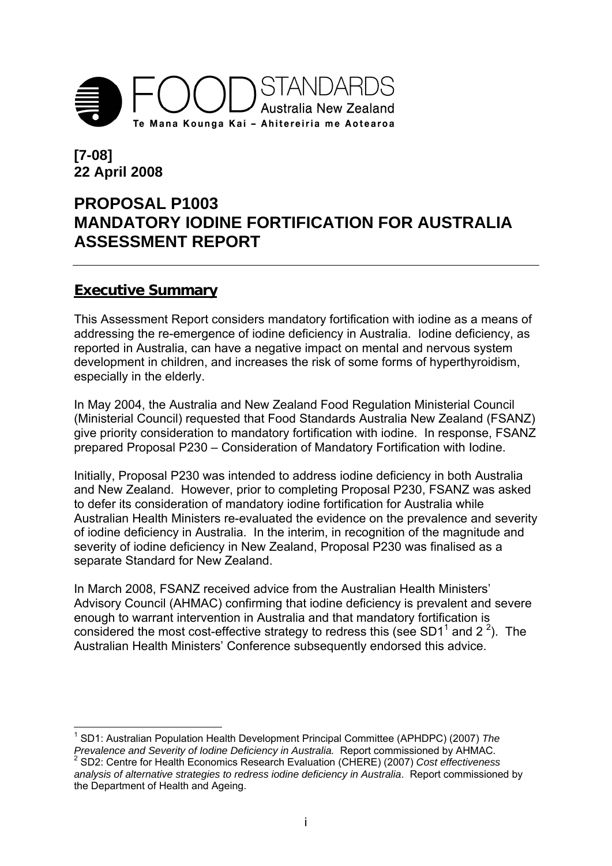

# **[7-08] 22 April 2008**

# **PROPOSAL P1003 MANDATORY IODINE FORTIFICATION FOR AUSTRALIA ASSESSMENT REPORT**

## **Executive Summary**

This Assessment Report considers mandatory fortification with iodine as a means of addressing the re-emergence of iodine deficiency in Australia. Iodine deficiency, as reported in Australia, can have a negative impact on mental and nervous system development in children, and increases the risk of some forms of hyperthyroidism, especially in the elderly.

In May 2004, the Australia and New Zealand Food Regulation Ministerial Council (Ministerial Council) requested that Food Standards Australia New Zealand (FSANZ) give priority consideration to mandatory fortification with iodine. In response, FSANZ prepared Proposal P230 – Consideration of Mandatory Fortification with Iodine.

Initially, Proposal P230 was intended to address iodine deficiency in both Australia and New Zealand. However, prior to completing Proposal P230, FSANZ was asked to defer its consideration of mandatory iodine fortification for Australia while Australian Health Ministers re-evaluated the evidence on the prevalence and severity of iodine deficiency in Australia. In the interim, in recognition of the magnitude and severity of iodine deficiency in New Zealand, Proposal P230 was finalised as a separate Standard for New Zealand.

In March 2008, FSANZ received advice from the Australian Health Ministers' Advisory Council (AHMAC) confirming that iodine deficiency is prevalent and severe enough to warrant intervention in Australia and that mandatory fortification is considered the most cost-effective strategy to redress this (see SD1<sup>1</sup> and 2<sup>2</sup>). The Australian Health Ministers' Conference subsequently endorsed this advice.

1 1 SD1: Australian Population Health Development Principal Committee (APHDPC) (2007) *The Prevalence and Severity of Iodine Deficiency in Australia.* Report commissioned by AHMAC*.* <sup>2</sup>

 SD2: Centre for Health Economics Research Evaluation (CHERE) (2007) *Cost effectiveness analysis of alternative strategies to redress iodine deficiency in Australia*. Report commissioned by the Department of Health and Ageing.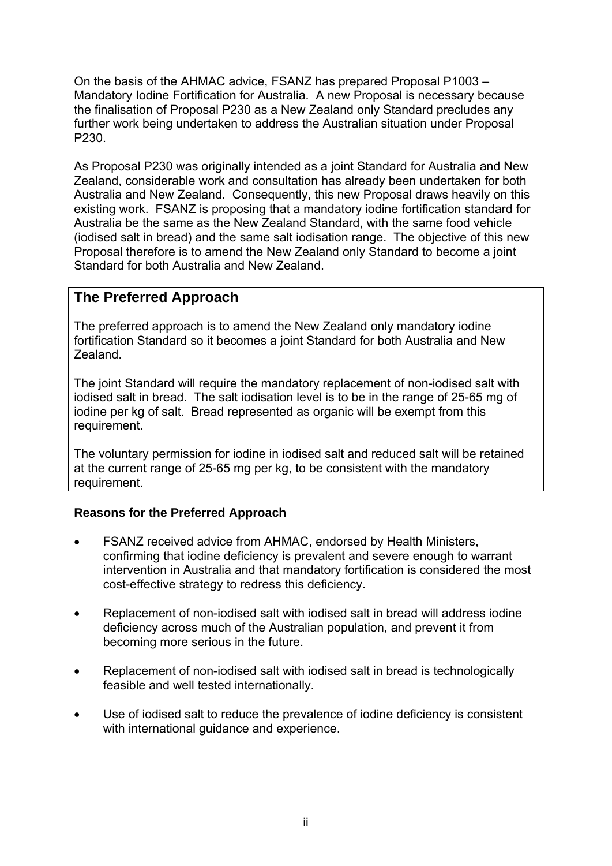On the basis of the AHMAC advice, FSANZ has prepared Proposal P1003 – Mandatory Iodine Fortification for Australia. A new Proposal is necessary because the finalisation of Proposal P230 as a New Zealand only Standard precludes any further work being undertaken to address the Australian situation under Proposal P230.

As Proposal P230 was originally intended as a joint Standard for Australia and New Zealand, considerable work and consultation has already been undertaken for both Australia and New Zealand. Consequently, this new Proposal draws heavily on this existing work. FSANZ is proposing that a mandatory iodine fortification standard for Australia be the same as the New Zealand Standard, with the same food vehicle (iodised salt in bread) and the same salt iodisation range. The objective of this new Proposal therefore is to amend the New Zealand only Standard to become a joint Standard for both Australia and New Zealand.

## **The Preferred Approach**

The preferred approach is to amend the New Zealand only mandatory iodine fortification Standard so it becomes a joint Standard for both Australia and New Zealand.

The joint Standard will require the mandatory replacement of non-iodised salt with iodised salt in bread. The salt iodisation level is to be in the range of 25-65 mg of iodine per kg of salt. Bread represented as organic will be exempt from this requirement.

The voluntary permission for iodine in iodised salt and reduced salt will be retained at the current range of 25-65 mg per kg, to be consistent with the mandatory requirement.

#### **Reasons for the Preferred Approach**

- FSANZ received advice from AHMAC, endorsed by Health Ministers, confirming that iodine deficiency is prevalent and severe enough to warrant intervention in Australia and that mandatory fortification is considered the most cost-effective strategy to redress this deficiency.
- Replacement of non-iodised salt with iodised salt in bread will address iodine deficiency across much of the Australian population, and prevent it from becoming more serious in the future.
- Replacement of non-iodised salt with iodised salt in bread is technologically feasible and well tested internationally.
- Use of iodised salt to reduce the prevalence of iodine deficiency is consistent with international guidance and experience.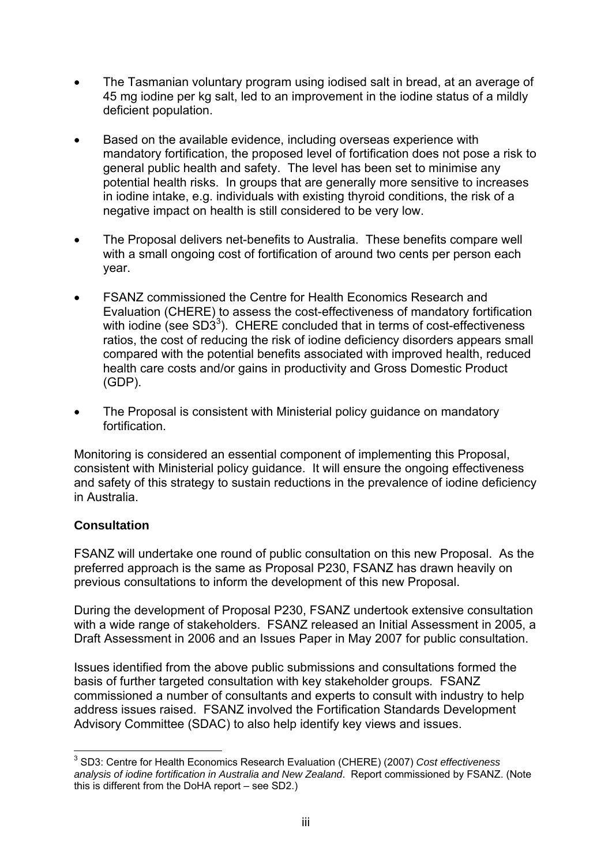- The Tasmanian voluntary program using iodised salt in bread, at an average of 45 mg iodine per kg salt, led to an improvement in the iodine status of a mildly deficient population.
- Based on the available evidence, including overseas experience with mandatory fortification, the proposed level of fortification does not pose a risk to general public health and safety. The level has been set to minimise any potential health risks. In groups that are generally more sensitive to increases in iodine intake, e.g. individuals with existing thyroid conditions, the risk of a negative impact on health is still considered to be very low.
- The Proposal delivers net-benefits to Australia. These benefits compare well with a small ongoing cost of fortification of around two cents per person each year.
- FSANZ commissioned the Centre for Health Economics Research and Evaluation (CHERE) to assess the cost-effectiveness of mandatory fortification with iodine (see SD3 $3$ ). CHERE concluded that in terms of cost-effectiveness ratios, the cost of reducing the risk of iodine deficiency disorders appears small compared with the potential benefits associated with improved health, reduced health care costs and/or gains in productivity and Gross Domestic Product (GDP).
- The Proposal is consistent with Ministerial policy guidance on mandatory fortification.

Monitoring is considered an essential component of implementing this Proposal, consistent with Ministerial policy guidance. It will ensure the ongoing effectiveness and safety of this strategy to sustain reductions in the prevalence of iodine deficiency in Australia.

#### **Consultation**

FSANZ will undertake one round of public consultation on this new Proposal. As the preferred approach is the same as Proposal P230, FSANZ has drawn heavily on previous consultations to inform the development of this new Proposal.

During the development of Proposal P230, FSANZ undertook extensive consultation with a wide range of stakeholders. FSANZ released an Initial Assessment in 2005, a Draft Assessment in 2006 and an Issues Paper in May 2007 for public consultation.

Issues identified from the above public submissions and consultations formed the basis of further targeted consultation with key stakeholder groups*.* FSANZ commissioned a number of consultants and experts to consult with industry to help address issues raised.FSANZ involved the Fortification Standards Development Advisory Committee (SDAC) to also help identify key views and issues.

<sup>1</sup> 3 SD3: Centre for Health Economics Research Evaluation (CHERE) (2007) *Cost effectiveness analysis of iodine fortification in Australia and New Zealand*. Report commissioned by FSANZ. (Note this is different from the DoHA report – see SD2.)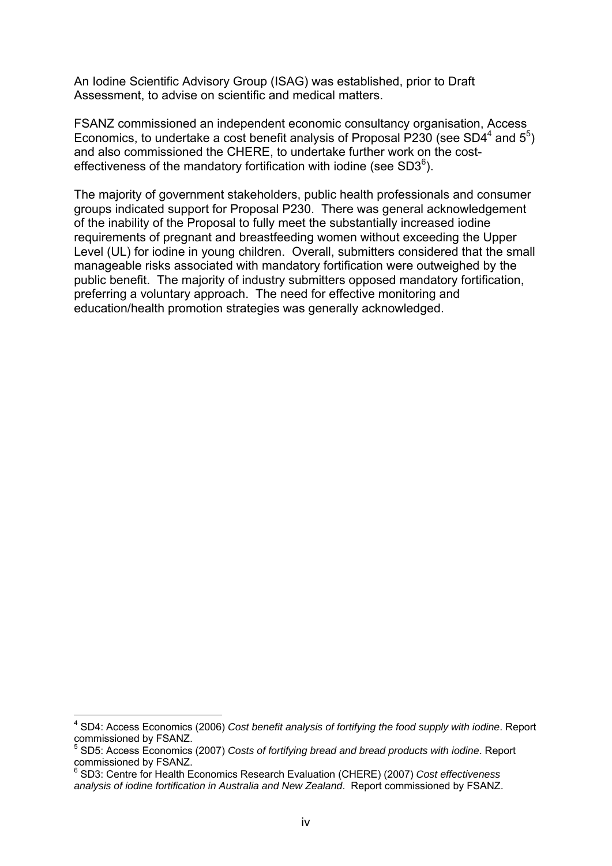An Iodine Scientific Advisory Group (ISAG) was established, prior to Draft Assessment, to advise on scientific and medical matters.

FSANZ commissioned an independent economic consultancy organisation, Access Economics, to undertake a cost benefit analysis of Proposal P230 (see SD4<sup>4</sup> and  $5^5$ ) and also commissioned the CHERE, to undertake further work on the costeffectiveness of the mandatory fortification with iodine (see  $SD3^6$ ).

The majority of government stakeholders, public health professionals and consumer groups indicated support for Proposal P230. There was general acknowledgement of the inability of the Proposal to fully meet the substantially increased iodine requirements of pregnant and breastfeeding women without exceeding the Upper Level (UL) for iodine in young children. Overall, submitters considered that the small manageable risks associated with mandatory fortification were outweighed by the public benefit. The majority of industry submitters opposed mandatory fortification, preferring a voluntary approach. The need for effective monitoring and education/health promotion strategies was generally acknowledged.

1

<sup>4</sup> SD4: Access Economics (2006) *Cost benefit analysis of fortifying the food supply with iodine*. Report commissioned by FSANZ.

<sup>5</sup> SD5: Access Economics (2007) *Costs of fortifying bread and bread products with iodine*. Report commissioned by FSANZ.

<sup>6</sup> SD3: Centre for Health Economics Research Evaluation (CHERE) (2007) *Cost effectiveness analysis of iodine fortification in Australia and New Zealand*. Report commissioned by FSANZ.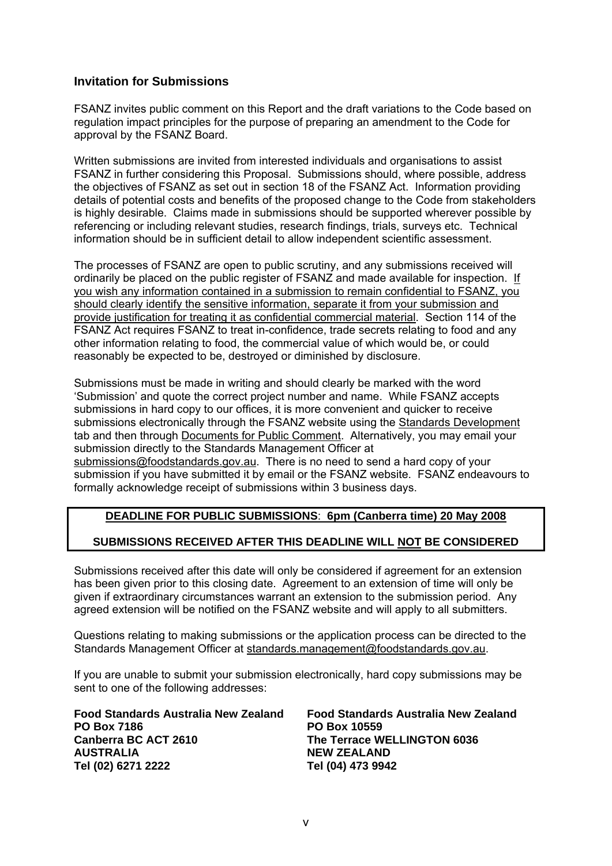#### **Invitation for Submissions**

FSANZ invites public comment on this Report and the draft variations to the Code based on regulation impact principles for the purpose of preparing an amendment to the Code for approval by the FSANZ Board.

Written submissions are invited from interested individuals and organisations to assist FSANZ in further considering this Proposal. Submissions should, where possible, address the objectives of FSANZ as set out in section 18 of the FSANZ Act. Information providing details of potential costs and benefits of the proposed change to the Code from stakeholders is highly desirable. Claims made in submissions should be supported wherever possible by referencing or including relevant studies, research findings, trials, surveys etc. Technical information should be in sufficient detail to allow independent scientific assessment.

The processes of FSANZ are open to public scrutiny, and any submissions received will ordinarily be placed on the public register of FSANZ and made available for inspection. If you wish any information contained in a submission to remain confidential to FSANZ, you should clearly identify the sensitive information, separate it from your submission and provide justification for treating it as confidential commercial material. Section 114 of the FSANZ Act requires FSANZ to treat in-confidence, trade secrets relating to food and any other information relating to food, the commercial value of which would be, or could reasonably be expected to be, destroyed or diminished by disclosure.

Submissions must be made in writing and should clearly be marked with the word 'Submission' and quote the correct project number and name. While FSANZ accepts submissions in hard copy to our offices, it is more convenient and quicker to receive submissions electronically through the FSANZ website using the Standards Development tab and then through Documents for Public Comment. Alternatively, you may email your submission directly to the Standards Management Officer at submissions@foodstandards.gov.au. There is no need to send a hard copy of your submission if you have submitted it by email or the FSANZ website. FSANZ endeavours to formally acknowledge receipt of submissions within 3 business days.

#### **DEADLINE FOR PUBLIC SUBMISSIONS**: **6pm (Canberra time) 20 May 2008**

#### **SUBMISSIONS RECEIVED AFTER THIS DEADLINE WILL NOT BE CONSIDERED**

Submissions received after this date will only be considered if agreement for an extension has been given prior to this closing date. Agreement to an extension of time will only be given if extraordinary circumstances warrant an extension to the submission period. Any agreed extension will be notified on the FSANZ website and will apply to all submitters.

Questions relating to making submissions or the application process can be directed to the Standards Management Officer at standards.management@foodstandards.gov.au.

If you are unable to submit your submission electronically, hard copy submissions may be sent to one of the following addresses:

| Food Standards Australia New Zealand | Food Standards Australia New Zealand |
|--------------------------------------|--------------------------------------|
| <b>PO Box 7186</b>                   | <b>PO Box 10559</b>                  |
| Canberra BC ACT 2610                 | The Terrace WELLINGTON 6036          |
| <b>AUSTRALIA</b>                     | <b>NEW ZEALAND</b>                   |
| Tel (02) 6271 2222                   | Tel (04) 473 9942                    |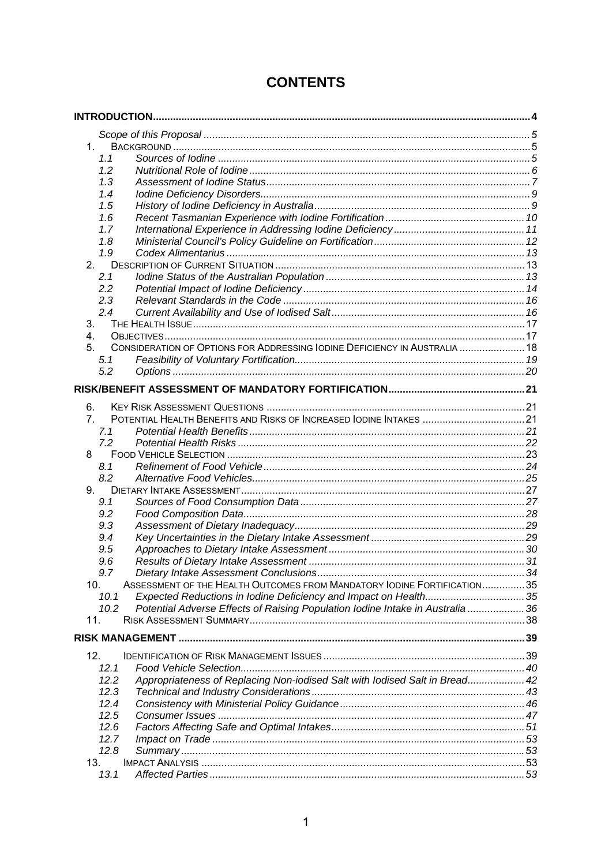| $1_{\cdot}$                                                                                           |  |  |  |
|-------------------------------------------------------------------------------------------------------|--|--|--|
| 1.1                                                                                                   |  |  |  |
| 1.2                                                                                                   |  |  |  |
| 1.3                                                                                                   |  |  |  |
| 1.4                                                                                                   |  |  |  |
| 1.5                                                                                                   |  |  |  |
| 1.6                                                                                                   |  |  |  |
| 1.7                                                                                                   |  |  |  |
| 1.8                                                                                                   |  |  |  |
| 1.9                                                                                                   |  |  |  |
| 2.                                                                                                    |  |  |  |
| 2.1                                                                                                   |  |  |  |
| 2.2                                                                                                   |  |  |  |
| 2.3                                                                                                   |  |  |  |
| 2.4                                                                                                   |  |  |  |
| 3.                                                                                                    |  |  |  |
| 4.                                                                                                    |  |  |  |
| CONSIDERATION OF OPTIONS FOR ADDRESSING IODINE DEFICIENCY IN AUSTRALIA  18<br>5.                      |  |  |  |
| 5.1                                                                                                   |  |  |  |
| 5.2                                                                                                   |  |  |  |
|                                                                                                       |  |  |  |
|                                                                                                       |  |  |  |
| 6.                                                                                                    |  |  |  |
| POTENTIAL HEALTH BENEFITS AND RISKS OF INCREASED IODINE INTAKES  21<br>$7_{\scriptscriptstyle{\sim}}$ |  |  |  |
| 7.1                                                                                                   |  |  |  |
| 7.2                                                                                                   |  |  |  |
| 8                                                                                                     |  |  |  |
| 8.1                                                                                                   |  |  |  |
| 8.2                                                                                                   |  |  |  |
| 9.                                                                                                    |  |  |  |
| 9.1                                                                                                   |  |  |  |
| 9.2                                                                                                   |  |  |  |
| 9.3                                                                                                   |  |  |  |
| 9.4                                                                                                   |  |  |  |
| 9.5                                                                                                   |  |  |  |
| 9.6                                                                                                   |  |  |  |
| Dietary Intake Assessment Conclusions.<br>9.7                                                         |  |  |  |
| ASSESSMENT OF THE HEALTH OUTCOMES FROM MANDATORY IODINE FORTIFICATION35<br>10.                        |  |  |  |
| Expected Reductions in Iodine Deficiency and Impact on Health35<br>10.1                               |  |  |  |
| Potential Adverse Effects of Raising Population Iodine Intake in Australia  36<br>10.2                |  |  |  |
| 11.                                                                                                   |  |  |  |
|                                                                                                       |  |  |  |
|                                                                                                       |  |  |  |
| 12.                                                                                                   |  |  |  |
| 12.1                                                                                                  |  |  |  |
| Appropriateness of Replacing Non-iodised Salt with lodised Salt in Bread 42<br>12.2                   |  |  |  |
| 12.3                                                                                                  |  |  |  |
| 12.4                                                                                                  |  |  |  |
| 12.5                                                                                                  |  |  |  |
| 12.6                                                                                                  |  |  |  |
| 12.7                                                                                                  |  |  |  |
| 12.8                                                                                                  |  |  |  |
| 13.                                                                                                   |  |  |  |
| 13.1                                                                                                  |  |  |  |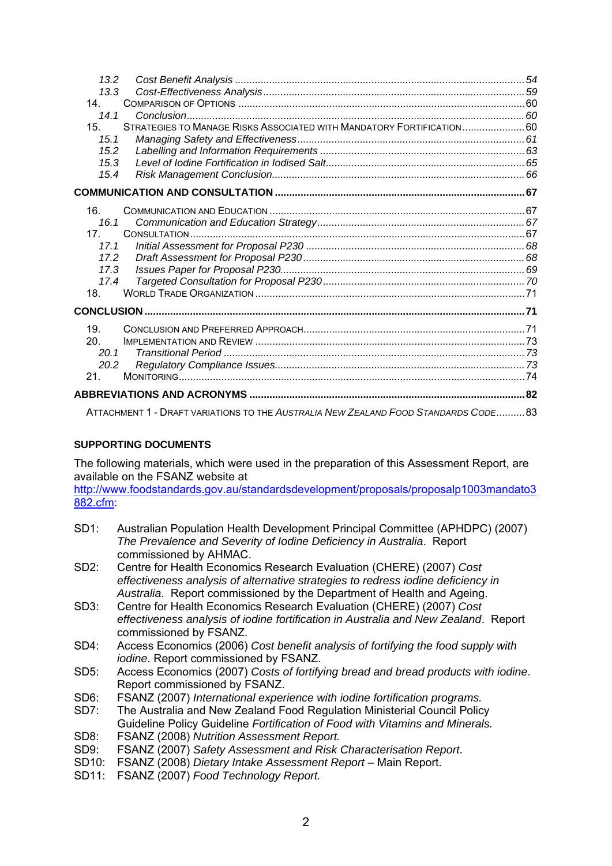| 13.2                                                                                    |  |
|-----------------------------------------------------------------------------------------|--|
| 13.3                                                                                    |  |
| 14 <sup>1</sup>                                                                         |  |
| 14.1                                                                                    |  |
| STRATEGIES TO MANAGE RISKS ASSOCIATED WITH MANDATORY FORTIFICATION60<br>15 <sub>1</sub> |  |
| 15.1                                                                                    |  |
| 15.2                                                                                    |  |
| 15.3                                                                                    |  |
| 15.4                                                                                    |  |
|                                                                                         |  |
| 16.                                                                                     |  |
| 16.1                                                                                    |  |
| 17 <sup>7</sup>                                                                         |  |
| 17.1                                                                                    |  |
| 17.2                                                                                    |  |
| 17.3                                                                                    |  |
| 17.4                                                                                    |  |
| 18.                                                                                     |  |
|                                                                                         |  |
| 19 <sub>1</sub>                                                                         |  |
| 20.                                                                                     |  |
| 20.1                                                                                    |  |
| 20.2                                                                                    |  |
| 21 <sub>1</sub>                                                                         |  |
|                                                                                         |  |
| ATTACHMENT 1 - DRAFT VARIATIONS TO THE AUSTRALIA NEW ZEALAND FOOD STANDARDS CODE 83     |  |

#### **SUPPORTING DOCUMENTS**

The following materials, which were used in the preparation of this Assessment Report, are available on the FSANZ website at

http://www.foodstandards.gov.au/standardsdevelopment/proposals/proposalp1003mandato3 882.cfm:

- SD1: Australian Population Health Development Principal Committee (APHDPC) (2007) *The Prevalence and Severity of Iodine Deficiency in Australia*. Report commissioned by AHMAC.
- SD2: Centre for Health Economics Research Evaluation (CHERE) (2007) *Cost effectiveness analysis of alternative strategies to redress iodine deficiency in Australia*. Report commissioned by the Department of Health and Ageing.
- SD3: Centre for Health Economics Research Evaluation (CHERE) (2007) *Cost effectiveness analysis of iodine fortification in Australia and New Zealand*. Report commissioned by FSANZ.
- SD4: Access Economics (2006) *Cost benefit analysis of fortifying the food supply with iodine*. Report commissioned by FSANZ.
- SD5: Access Economics (2007) *Costs of fortifying bread and bread products with iodine*. Report commissioned by FSANZ.
- SD6: FSANZ (2007) *International experience with iodine fortification programs.*
- SD7: The Australia and New Zealand Food Regulation Ministerial Council Policy Guideline Policy Guideline *Fortification of Food with Vitamins and Minerals.*
- SD8: FSANZ (2008) *Nutrition Assessment Report.*
- SD9: FSANZ (2007) *Safety Assessment and Risk Characterisation Report*.
- SD10: FSANZ (2008) *Dietary Intake Assessment Report* Main Report.
- SD11: FSANZ (2007) *Food Technology Report.*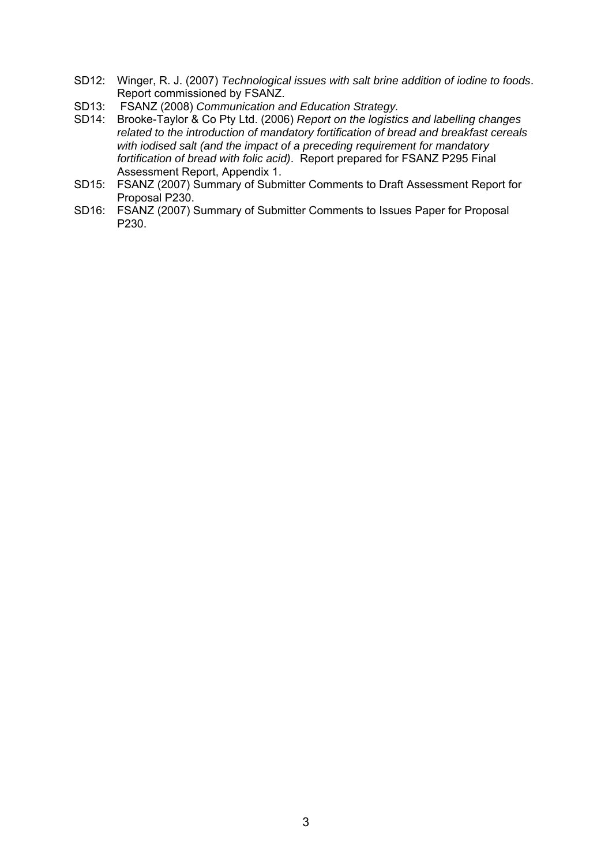- SD12: Winger, R. J. (2007) *Technological issues with salt brine addition of iodine to foods*. Report commissioned by FSANZ.
- SD13: FSANZ (2008) *Communication and Education Strategy.*
- SD14: Brooke-Taylor & Co Pty Ltd. (2006) *Report on the logistics and labelling changes related to the introduction of mandatory fortification of bread and breakfast cereals with iodised salt (and the impact of a preceding requirement for mandatory fortification of bread with folic acid)*. Report prepared for FSANZ P295 Final Assessment Report, Appendix 1.
- SD15: FSANZ (2007) Summary of Submitter Comments to Draft Assessment Report for Proposal P230.
- SD16: FSANZ (2007) Summary of Submitter Comments to Issues Paper for Proposal P230.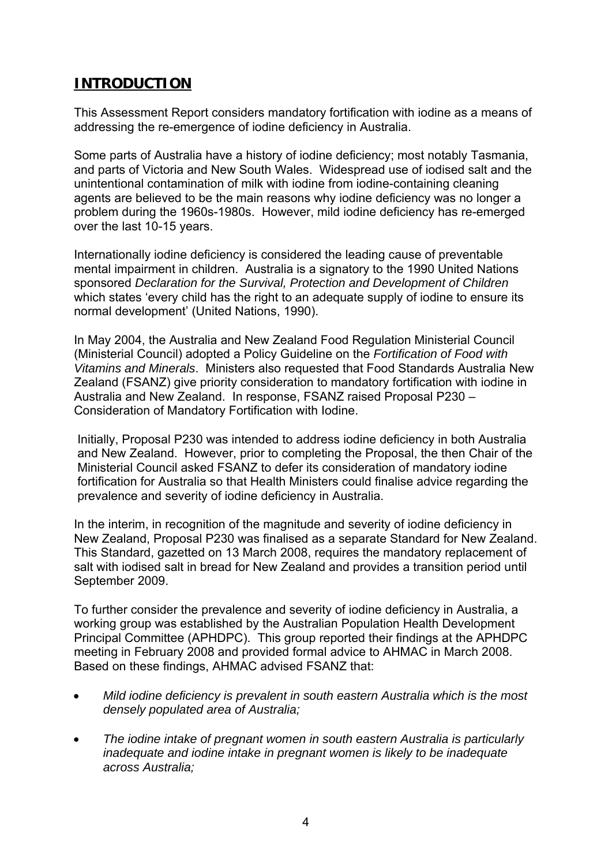# **INTRODUCTION**

This Assessment Report considers mandatory fortification with iodine as a means of addressing the re-emergence of iodine deficiency in Australia.

Some parts of Australia have a history of iodine deficiency; most notably Tasmania, and parts of Victoria and New South Wales. Widespread use of iodised salt and the unintentional contamination of milk with iodine from iodine-containing cleaning agents are believed to be the main reasons why iodine deficiency was no longer a problem during the 1960s-1980s. However, mild iodine deficiency has re-emerged over the last 10-15 years.

Internationally iodine deficiency is considered the leading cause of preventable mental impairment in children. Australia is a signatory to the 1990 United Nations sponsored *Declaration for the Survival, Protection and Development of Children*  which states 'every child has the right to an adequate supply of iodine to ensure its normal development' (United Nations, 1990).

In May 2004, the Australia and New Zealand Food Regulation Ministerial Council (Ministerial Council) adopted a Policy Guideline on the *Fortification of Food with Vitamins and Minerals*. Ministers also requested that Food Standards Australia New Zealand (FSANZ) give priority consideration to mandatory fortification with iodine in Australia and New Zealand. In response, FSANZ raised Proposal P230 – Consideration of Mandatory Fortification with Iodine.

Initially, Proposal P230 was intended to address iodine deficiency in both Australia and New Zealand. However, prior to completing the Proposal, the then Chair of the Ministerial Council asked FSANZ to defer its consideration of mandatory iodine fortification for Australia so that Health Ministers could finalise advice regarding the prevalence and severity of iodine deficiency in Australia.

In the interim, in recognition of the magnitude and severity of iodine deficiency in New Zealand, Proposal P230 was finalised as a separate Standard for New Zealand. This Standard, gazetted on 13 March 2008, requires the mandatory replacement of salt with iodised salt in bread for New Zealand and provides a transition period until September 2009.

To further consider the prevalence and severity of iodine deficiency in Australia, a working group was established by the Australian Population Health Development Principal Committee (APHDPC). This group reported their findings at the APHDPC meeting in February 2008 and provided formal advice to AHMAC in March 2008. Based on these findings, AHMAC advised FSANZ that:

- *Mild iodine deficiency is prevalent in south eastern Australia which is the most densely populated area of Australia;*
- *The iodine intake of pregnant women in south eastern Australia is particularly inadequate and iodine intake in pregnant women is likely to be inadequate across Australia;*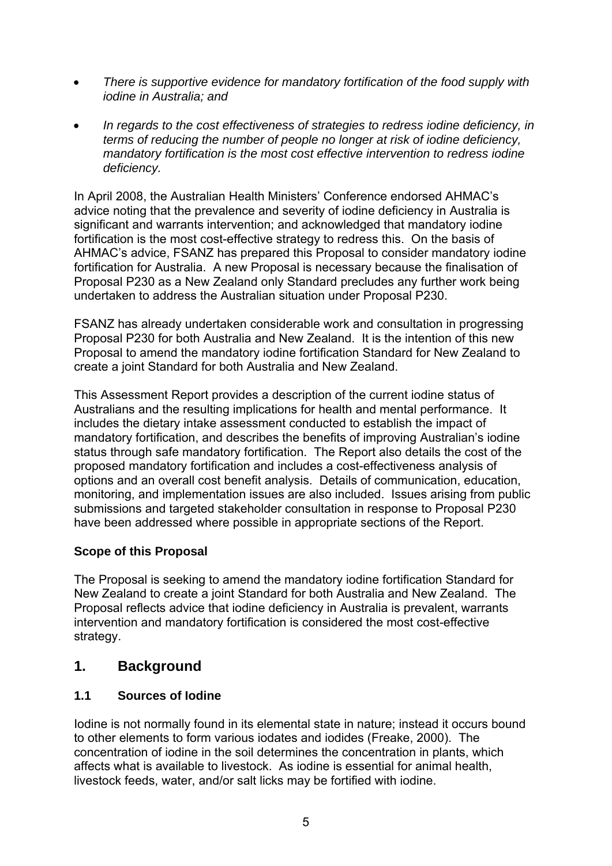- *There is supportive evidence for mandatory fortification of the food supply with iodine in Australia; and*
- *In regards to the cost effectiveness of strategies to redress iodine deficiency, in terms of reducing the number of people no longer at risk of iodine deficiency, mandatory fortification is the most cost effective intervention to redress iodine deficiency.*

In April 2008, the Australian Health Ministers' Conference endorsed AHMAC's advice noting that the prevalence and severity of iodine deficiency in Australia is significant and warrants intervention; and acknowledged that mandatory iodine fortification is the most cost-effective strategy to redress this. On the basis of AHMAC's advice, FSANZ has prepared this Proposal to consider mandatory iodine fortification for Australia. A new Proposal is necessary because the finalisation of Proposal P230 as a New Zealand only Standard precludes any further work being undertaken to address the Australian situation under Proposal P230.

FSANZ has already undertaken considerable work and consultation in progressing Proposal P230 for both Australia and New Zealand. It is the intention of this new Proposal to amend the mandatory iodine fortification Standard for New Zealand to create a joint Standard for both Australia and New Zealand.

This Assessment Report provides a description of the current iodine status of Australians and the resulting implications for health and mental performance. It includes the dietary intake assessment conducted to establish the impact of mandatory fortification, and describes the benefits of improving Australian's iodine status through safe mandatory fortification. The Report also details the cost of the proposed mandatory fortification and includes a cost-effectiveness analysis of options and an overall cost benefit analysis. Details of communication, education, monitoring, and implementation issues are also included. Issues arising from public submissions and targeted stakeholder consultation in response to Proposal P230 have been addressed where possible in appropriate sections of the Report.

#### **Scope of this Proposal**

The Proposal is seeking to amend the mandatory iodine fortification Standard for New Zealand to create a joint Standard for both Australia and New Zealand. The Proposal reflects advice that iodine deficiency in Australia is prevalent, warrants intervention and mandatory fortification is considered the most cost-effective strategy.

## **1. Background**

#### **1.1 Sources of Iodine**

Iodine is not normally found in its elemental state in nature; instead it occurs bound to other elements to form various iodates and iodides (Freake, 2000). The concentration of iodine in the soil determines the concentration in plants, which affects what is available to livestock. As iodine is essential for animal health, livestock feeds, water, and/or salt licks may be fortified with iodine.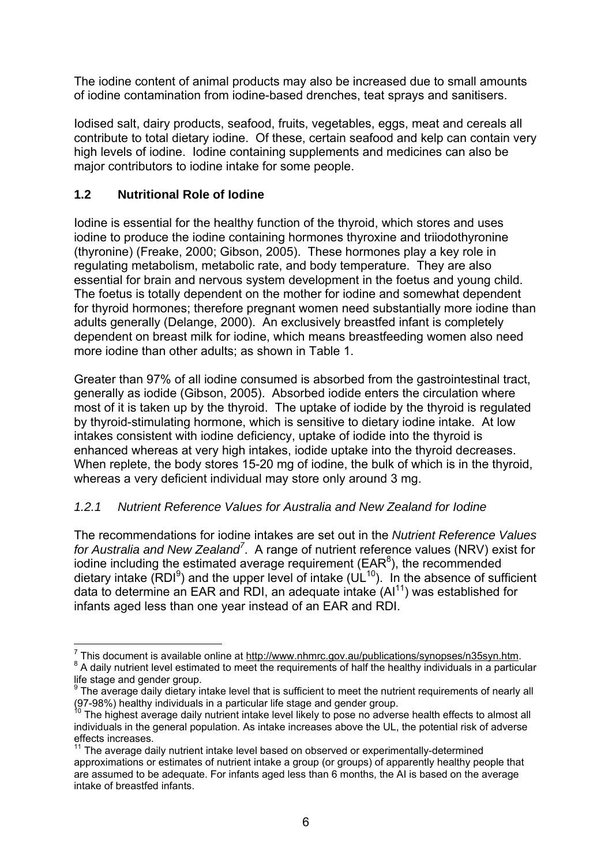The iodine content of animal products may also be increased due to small amounts of iodine contamination from iodine-based drenches, teat sprays and sanitisers.

Iodised salt, dairy products, seafood, fruits, vegetables, eggs, meat and cereals all contribute to total dietary iodine. Of these, certain seafood and kelp can contain very high levels of iodine. Iodine containing supplements and medicines can also be major contributors to iodine intake for some people.

### **1.2 Nutritional Role of Iodine**

Iodine is essential for the healthy function of the thyroid, which stores and uses iodine to produce the iodine containing hormones thyroxine and triiodothyronine (thyronine) (Freake, 2000; Gibson, 2005). These hormones play a key role in regulating metabolism, metabolic rate, and body temperature. They are also essential for brain and nervous system development in the foetus and young child. The foetus is totally dependent on the mother for iodine and somewhat dependent for thyroid hormones; therefore pregnant women need substantially more iodine than adults generally (Delange, 2000). An exclusively breastfed infant is completely dependent on breast milk for iodine, which means breastfeeding women also need more iodine than other adults; as shown in Table 1.

Greater than 97% of all iodine consumed is absorbed from the gastrointestinal tract, generally as iodide (Gibson, 2005). Absorbed iodide enters the circulation where most of it is taken up by the thyroid. The uptake of iodide by the thyroid is regulated by thyroid-stimulating hormone, which is sensitive to dietary iodine intake. At low intakes consistent with iodine deficiency, uptake of iodide into the thyroid is enhanced whereas at very high intakes, iodide uptake into the thyroid decreases. When replete, the body stores 15-20 mg of iodine, the bulk of which is in the thyroid, whereas a very deficient individual may store only around 3 mg.

#### *1.2.1 Nutrient Reference Values for Australia and New Zealand for Iodine*

The recommendations for iodine intakes are set out in the *Nutrient Reference Values for Australia and New Zealand<sup>7</sup>* . A range of nutrient reference values (NRV) exist for iodine including the estimated average requirement ( $\text{EAR}^8$ ), the recommended dietary intake (RDI<sup>9</sup>) and the upper level of intake ( $UL^{10}$ ). In the absence of sufficient data to determine an EAR and RDI, an adequate intake (Al<sup>11</sup>) was established for infants aged less than one year instead of an EAR and RDI.

This document is available online at http://www.nhmrc.gov.au/publications/synopses/n35syn.html<br>8. A deily puttient lovel estimated to meet the requirements of helf the healthy individuals in a portion <sup>8</sup> A daily nutrient level estimated to meet the requirements of half the healthy individuals in a particular life stage and gender group.

<sup>&</sup>lt;sup>9</sup> The average daily dietary intake level that is sufficient to meet the nutrient requirements of nearly all (97-98%) healthy individuals in a particular life stage and gender group.

<sup>&</sup>lt;sup>10</sup> The highest average daily nutrient intake level likely to pose no adverse health effects to almost all individuals in the general population. As intake increases above the UL, the potential risk of adverse effects increases.

 $11$ <sup>11</sup> The average daily nutrient intake level based on observed or experimentally-determined approximations or estimates of nutrient intake a group (or groups) of apparently healthy people that are assumed to be adequate. For infants aged less than 6 months, the AI is based on the average intake of breastfed infants.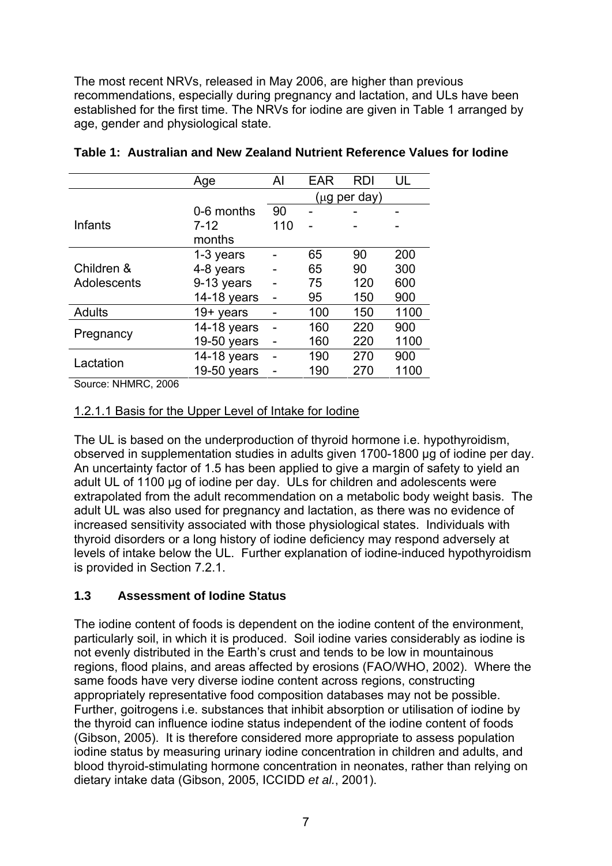The most recent NRVs, released in May 2006, are higher than previous recommendations, especially during pregnancy and lactation, and ULs have been established for the first time. The NRVs for iodine are given in Table 1 arranged by age, gender and physiological state.

|               | Age           | Al  | <b>EAR</b> | <b>RDI</b>   | UL   |
|---------------|---------------|-----|------------|--------------|------|
|               |               |     |            | (µg per day) |      |
|               | 0-6 months    | 90  |            |              |      |
| Infants       | $7 - 12$      | 110 |            |              |      |
|               | months        |     |            |              |      |
|               | 1-3 years     |     | 65         | 90           | 200  |
| Children &    | 4-8 years     |     | 65         | 90           | 300  |
| Adolescents   | 9-13 years    |     | 75         | 120          | 600  |
|               | 14-18 years   |     | 95         | 150          | 900  |
| <b>Adults</b> | $19+$ years   |     | 100        | 150          | 1100 |
| Pregnancy     | 14-18 years   |     | 160        | 220          | 900  |
|               | 19-50 years   |     | 160        | 220          | 1100 |
| Lactation     | 14-18 years   |     | 190        | 270          | 900  |
|               | $19-50$ years |     | 190        | 270          | 1100 |

Source: NHMRC, 2006

#### 1.2.1.1 Basis for the Upper Level of Intake for Iodine

The UL is based on the underproduction of thyroid hormone i.e. hypothyroidism, observed in supplementation studies in adults given 1700-1800 μg of iodine per day. An uncertainty factor of 1.5 has been applied to give a margin of safety to yield an adult UL of 1100 μg of iodine per day. ULs for children and adolescents were extrapolated from the adult recommendation on a metabolic body weight basis. The adult UL was also used for pregnancy and lactation, as there was no evidence of increased sensitivity associated with those physiological states. Individuals with thyroid disorders or a long history of iodine deficiency may respond adversely at levels of intake below the UL. Further explanation of iodine-induced hypothyroidism is provided in Section 7.2.1.

#### **1.3 Assessment of Iodine Status**

The iodine content of foods is dependent on the iodine content of the environment, particularly soil, in which it is produced. Soil iodine varies considerably as iodine is not evenly distributed in the Earth's crust and tends to be low in mountainous regions, flood plains, and areas affected by erosions (FAO/WHO, 2002). Where the same foods have very diverse iodine content across regions, constructing appropriately representative food composition databases may not be possible. Further, goitrogens i.e. substances that inhibit absorption or utilisation of iodine by the thyroid can influence iodine status independent of the iodine content of foods (Gibson, 2005). It is therefore considered more appropriate to assess population iodine status by measuring urinary iodine concentration in children and adults, and blood thyroid-stimulating hormone concentration in neonates, rather than relying on dietary intake data (Gibson, 2005, ICCIDD *et al.*, 2001).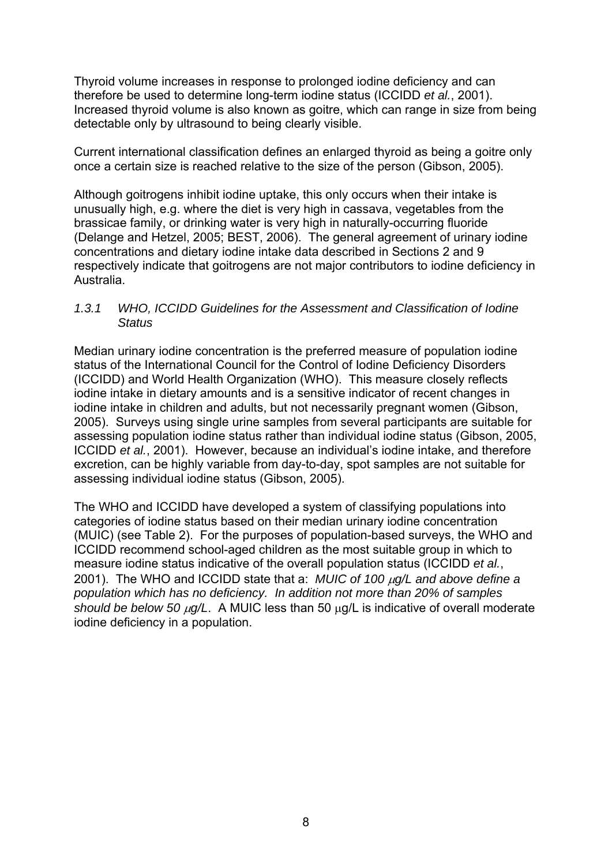Thyroid volume increases in response to prolonged iodine deficiency and can therefore be used to determine long-term iodine status (ICCIDD *et al.*, 2001). Increased thyroid volume is also known as goitre, which can range in size from being detectable only by ultrasound to being clearly visible.

Current international classification defines an enlarged thyroid as being a goitre only once a certain size is reached relative to the size of the person (Gibson, 2005).

Although goitrogens inhibit iodine uptake, this only occurs when their intake is unusually high, e.g. where the diet is very high in cassava, vegetables from the brassicae family, or drinking water is very high in naturally-occurring fluoride (Delange and Hetzel, 2005; BEST, 2006). The general agreement of urinary iodine concentrations and dietary iodine intake data described in Sections 2 and 9 respectively indicate that goitrogens are not major contributors to iodine deficiency in Australia.

#### *1.3.1 WHO, ICCIDD Guidelines for the Assessment and Classification of Iodine Status*

Median urinary iodine concentration is the preferred measure of population iodine status of the International Council for the Control of Iodine Deficiency Disorders (ICCIDD) and World Health Organization (WHO). This measure closely reflects iodine intake in dietary amounts and is a sensitive indicator of recent changes in iodine intake in children and adults, but not necessarily pregnant women (Gibson, 2005). Surveys using single urine samples from several participants are suitable for assessing population iodine status rather than individual iodine status (Gibson, 2005, ICCIDD *et al.*, 2001). However, because an individual's iodine intake, and therefore excretion, can be highly variable from day-to-day, spot samples are not suitable for assessing individual iodine status (Gibson, 2005).

The WHO and ICCIDD have developed a system of classifying populations into categories of iodine status based on their median urinary iodine concentration (MUIC) (see Table 2). For the purposes of population-based surveys, the WHO and ICCIDD recommend school-aged children as the most suitable group in which to measure iodine status indicative of the overall population status (ICCIDD *et al.*, 2001). The WHO and ICCIDD state that a: *MUIC of 100* μ*g/L and above define a population which has no deficiency. In addition not more than 20% of samples should be below 50* μ*g/L*. A MUIC less than 50 μg/L is indicative of overall moderate iodine deficiency in a population.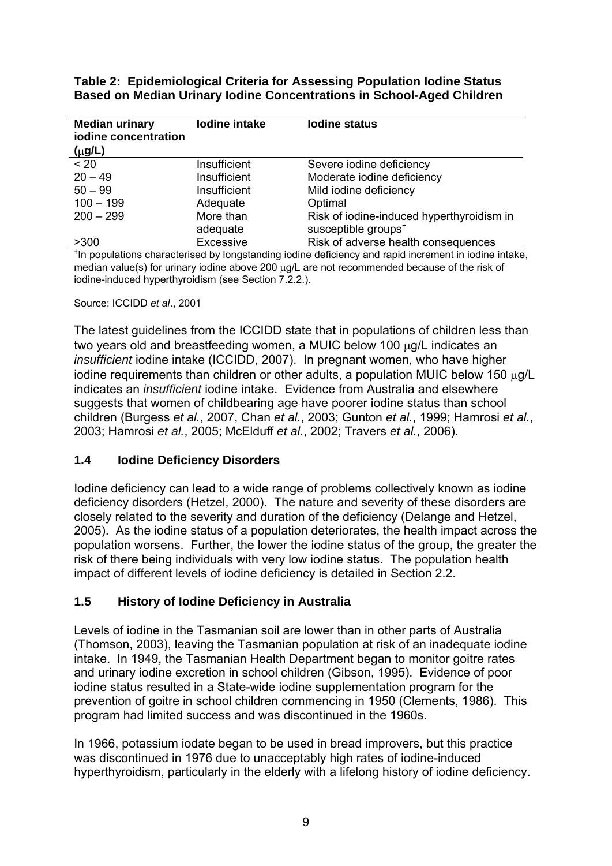| <b>Median urinary</b><br>iodine concentration<br>$(\mu g/L)$ | lodine intake | <b>lodine status</b>                      |
|--------------------------------------------------------------|---------------|-------------------------------------------|
| $~<$ 20                                                      | Insufficient  | Severe iodine deficiency                  |
| $20 - 49$                                                    | Insufficient  | Moderate iodine deficiency                |
| $50 - 99$                                                    | Insufficient  | Mild iodine deficiency                    |
| $100 - 199$                                                  | Adequate      | Optimal                                   |
| $200 - 299$                                                  | More than     | Risk of iodine-induced hyperthyroidism in |
|                                                              | adequate      | susceptible groups <sup>+</sup>           |
| >300                                                         | Excessive     | Risk of adverse health consequences       |

**Table 2: Epidemiological Criteria for Assessing Population Iodine Status Based on Median Urinary Iodine Concentrations in School-Aged Children** 

<sup>t</sup> In populations characterised by longstanding iodine deficiency and rapid increment in iodine intake, median value(s) for urinary iodine above 200 μg/L are not recommended because of the risk of iodine-induced hyperthyroidism (see Section 7.2.2.).

#### Source: ICCIDD *et al*., 2001

The latest guidelines from the ICCIDD state that in populations of children less than two years old and breastfeeding women, a MUIC below 100 μg/L indicates an *insufficient* iodine intake (ICCIDD, 2007). In pregnant women, who have higher iodine requirements than children or other adults, a population MUIC below 150 μg/L indicates an *insufficient* iodine intake. Evidence from Australia and elsewhere suggests that women of childbearing age have poorer iodine status than school children (Burgess *et al.*, 2007, Chan *et al.*, 2003; Gunton *et al.*, 1999; Hamrosi *et al.*, 2003; Hamrosi *et al.*, 2005; McElduff *et al.*, 2002; Travers *et al.*, 2006).

#### **1.4 Iodine Deficiency Disorders**

Iodine deficiency can lead to a wide range of problems collectively known as iodine deficiency disorders (Hetzel, 2000). The nature and severity of these disorders are closely related to the severity and duration of the deficiency (Delange and Hetzel, 2005). As the iodine status of a population deteriorates, the health impact across the population worsens. Further, the lower the iodine status of the group, the greater the risk of there being individuals with very low iodine status. The population health impact of different levels of iodine deficiency is detailed in Section 2.2.

#### **1.5 History of Iodine Deficiency in Australia**

Levels of iodine in the Tasmanian soil are lower than in other parts of Australia (Thomson, 2003), leaving the Tasmanian population at risk of an inadequate iodine intake. In 1949, the Tasmanian Health Department began to monitor goitre rates and urinary iodine excretion in school children (Gibson, 1995). Evidence of poor iodine status resulted in a State-wide iodine supplementation program for the prevention of goitre in school children commencing in 1950 (Clements, 1986). This program had limited success and was discontinued in the 1960s.

In 1966, potassium iodate began to be used in bread improvers, but this practice was discontinued in 1976 due to unacceptably high rates of iodine-induced hyperthyroidism, particularly in the elderly with a lifelong history of iodine deficiency.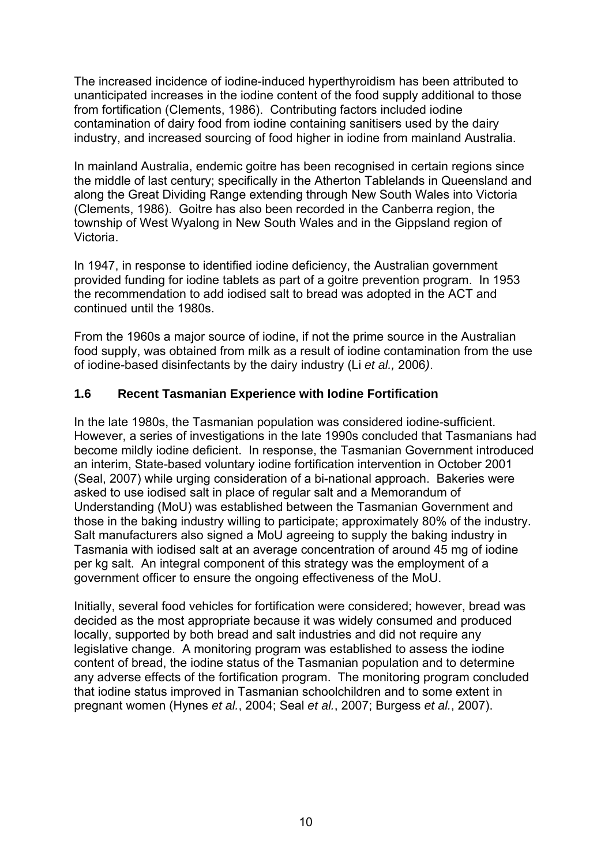The increased incidence of iodine-induced hyperthyroidism has been attributed to unanticipated increases in the iodine content of the food supply additional to those from fortification (Clements, 1986). Contributing factors included iodine contamination of dairy food from iodine containing sanitisers used by the dairy industry, and increased sourcing of food higher in iodine from mainland Australia.

In mainland Australia, endemic goitre has been recognised in certain regions since the middle of last century; specifically in the Atherton Tablelands in Queensland and along the Great Dividing Range extending through New South Wales into Victoria (Clements, 1986). Goitre has also been recorded in the Canberra region, the township of West Wyalong in New South Wales and in the Gippsland region of Victoria.

In 1947, in response to identified iodine deficiency, the Australian government provided funding for iodine tablets as part of a goitre prevention program. In 1953 the recommendation to add iodised salt to bread was adopted in the ACT and continued until the 1980s.

From the 1960s a major source of iodine, if not the prime source in the Australian food supply, was obtained from milk as a result of iodine contamination from the use of iodine-based disinfectants by the dairy industry (Li *et al.,* 2006*)*.

#### **1.6 Recent Tasmanian Experience with Iodine Fortification**

In the late 1980s, the Tasmanian population was considered iodine-sufficient. However, a series of investigations in the late 1990s concluded that Tasmanians had become mildly iodine deficient. In response, the Tasmanian Government introduced an interim, State-based voluntary iodine fortification intervention in October 2001 (Seal, 2007) while urging consideration of a bi-national approach. Bakeries were asked to use iodised salt in place of regular salt and a Memorandum of Understanding (MoU) was established between the Tasmanian Government and those in the baking industry willing to participate; approximately 80% of the industry. Salt manufacturers also signed a MoU agreeing to supply the baking industry in Tasmania with iodised salt at an average concentration of around 45 mg of iodine per kg salt. An integral component of this strategy was the employment of a government officer to ensure the ongoing effectiveness of the MoU.

Initially, several food vehicles for fortification were considered; however, bread was decided as the most appropriate because it was widely consumed and produced locally, supported by both bread and salt industries and did not require any legislative change. A monitoring program was established to assess the iodine content of bread, the iodine status of the Tasmanian population and to determine any adverse effects of the fortification program. The monitoring program concluded that iodine status improved in Tasmanian schoolchildren and to some extent in pregnant women (Hynes *et al.*, 2004; Seal *et al.*, 2007; Burgess *et al.*, 2007).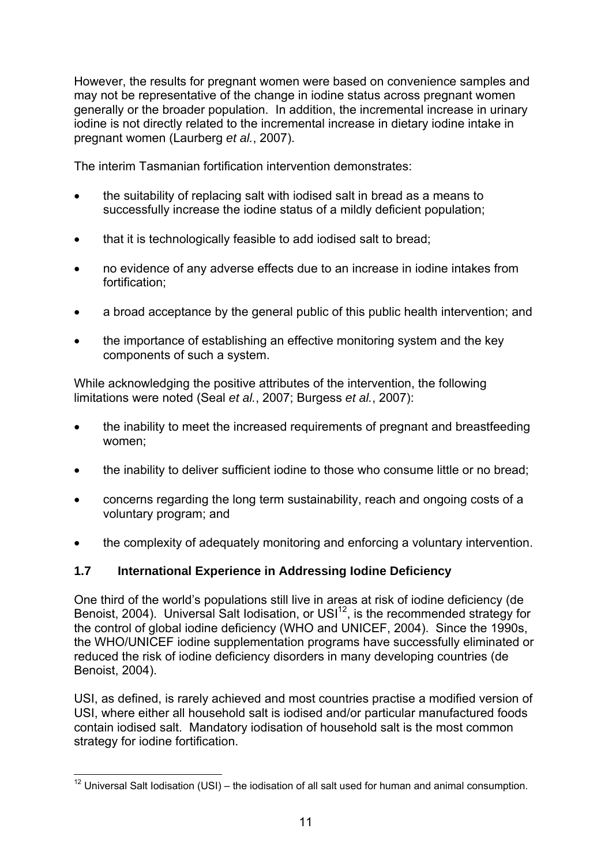However, the results for pregnant women were based on convenience samples and may not be representative of the change in iodine status across pregnant women generally or the broader population. In addition, the incremental increase in urinary iodine is not directly related to the incremental increase in dietary iodine intake in pregnant women (Laurberg *et al.*, 2007).

The interim Tasmanian fortification intervention demonstrates:

- the suitability of replacing salt with iodised salt in bread as a means to successfully increase the iodine status of a mildly deficient population;
- that it is technologically feasible to add iodised salt to bread:
- no evidence of any adverse effects due to an increase in iodine intakes from fortification;
- a broad acceptance by the general public of this public health intervention; and
- the importance of establishing an effective monitoring system and the key components of such a system.

While acknowledging the positive attributes of the intervention, the following limitations were noted (Seal *et al.*, 2007; Burgess *et al.*, 2007):

- the inability to meet the increased requirements of pregnant and breastfeeding women;
- the inability to deliver sufficient iodine to those who consume little or no bread:
- concerns regarding the long term sustainability, reach and ongoing costs of a voluntary program; and
- the complexity of adequately monitoring and enforcing a voluntary intervention.

## **1.7 International Experience in Addressing Iodine Deficiency**

One third of the world's populations still live in areas at risk of iodine deficiency (de Benoist, 2004). Universal Salt Iodisation, or USI<sup>12</sup>, is the recommended strategy for the control of global iodine deficiency (WHO and UNICEF, 2004). Since the 1990s, the WHO/UNICEF iodine supplementation programs have successfully eliminated or reduced the risk of iodine deficiency disorders in many developing countries (de Benoist, 2004).

USI, as defined, is rarely achieved and most countries practise a modified version of USI, where either all household salt is iodised and/or particular manufactured foods contain iodised salt. Mandatory iodisation of household salt is the most common strategy for iodine fortification.

<sup>1</sup>  $12$  Universal Salt Iodisation (USI) – the iodisation of all salt used for human and animal consumption.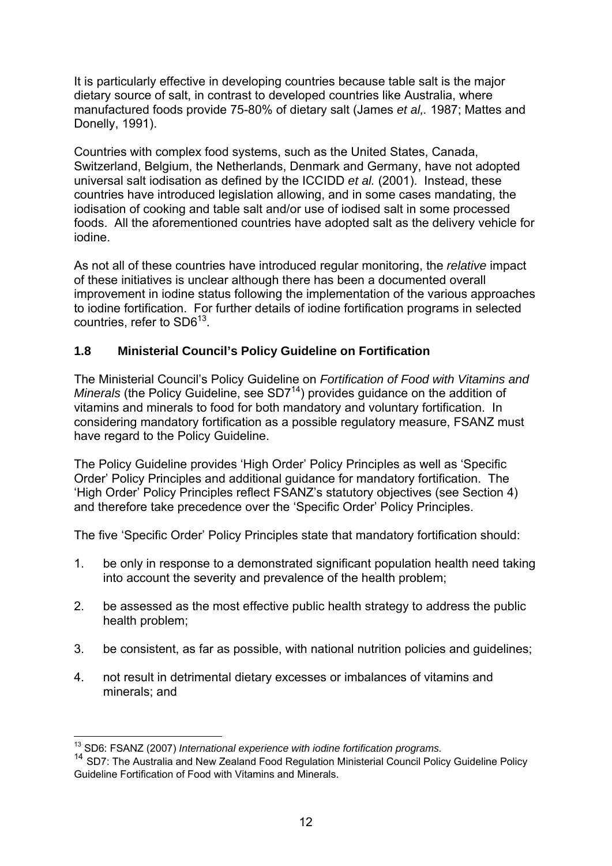It is particularly effective in developing countries because table salt is the major dietary source of salt, in contrast to developed countries like Australia, where manufactured foods provide 75-80% of dietary salt (James *et al,.* 1987; Mattes and Donelly, 1991).

Countries with complex food systems, such as the United States, Canada, Switzerland, Belgium, the Netherlands, Denmark and Germany, have not adopted universal salt iodisation as defined by the ICCIDD *et al.* (2001). Instead, these countries have introduced legislation allowing, and in some cases mandating, the iodisation of cooking and table salt and/or use of iodised salt in some processed foods. All the aforementioned countries have adopted salt as the delivery vehicle for iodine.

As not all of these countries have introduced regular monitoring, the *relative* impact of these initiatives is unclear although there has been a documented overall improvement in iodine status following the implementation of the various approaches to iodine fortification. For further details of iodine fortification programs in selected countries, refer to SD6<sup>13</sup>.

#### **1.8 Ministerial Council's Policy Guideline on Fortification**

The Ministerial Council's Policy Guideline on *Fortification of Food with Vitamins and Minerals* (the Policy Guideline, see SD7<sup>14</sup>) provides guidance on the addition of vitamins and minerals to food for both mandatory and voluntary fortification. In considering mandatory fortification as a possible regulatory measure, FSANZ must have regard to the Policy Guideline.

The Policy Guideline provides 'High Order' Policy Principles as well as 'Specific Order' Policy Principles and additional guidance for mandatory fortification. The 'High Order' Policy Principles reflect FSANZ's statutory objectives (see Section 4) and therefore take precedence over the 'Specific Order' Policy Principles.

The five 'Specific Order' Policy Principles state that mandatory fortification should:

- 1. be only in response to a demonstrated significant population health need taking into account the severity and prevalence of the health problem;
- 2. be assessed as the most effective public health strategy to address the public health problem;
- 3. be consistent, as far as possible, with national nutrition policies and guidelines;
- 4. not result in detrimental dietary excesses or imbalances of vitamins and minerals; and

<sup>&</sup>lt;sup>13</sup> SD6: FSANZ (2007) International experience with iodine fortification programs.

<sup>&</sup>lt;sup>14</sup> SD7: The Australia and New Zealand Food Regulation Ministerial Council Policy Guideline Policy Guideline Fortification of Food with Vitamins and Minerals.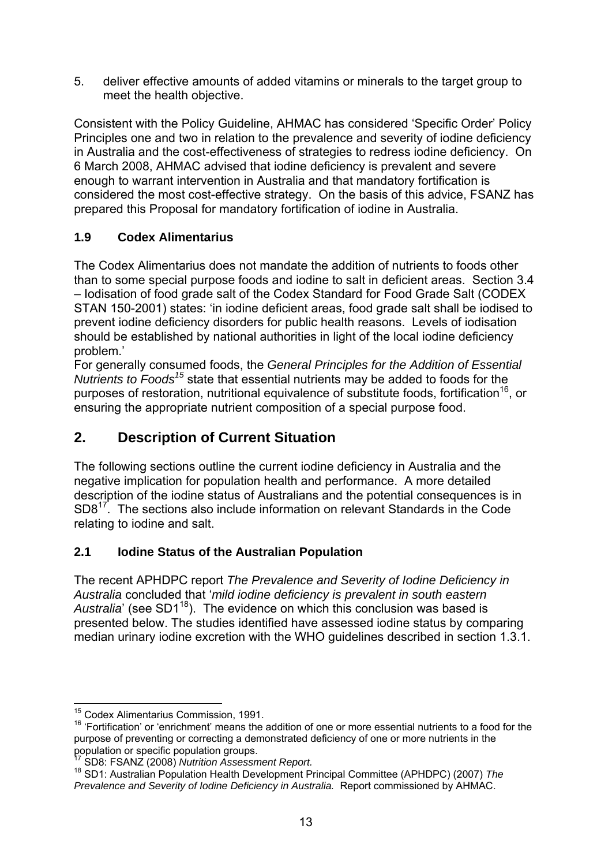5. deliver effective amounts of added vitamins or minerals to the target group to meet the health objective.

Consistent with the Policy Guideline, AHMAC has considered 'Specific Order' Policy Principles one and two in relation to the prevalence and severity of iodine deficiency in Australia and the cost-effectiveness of strategies to redress iodine deficiency. On 6 March 2008, AHMAC advised that iodine deficiency is prevalent and severe enough to warrant intervention in Australia and that mandatory fortification is considered the most cost-effective strategy. On the basis of this advice, FSANZ has prepared this Proposal for mandatory fortification of iodine in Australia.

## **1.9 Codex Alimentarius**

The Codex Alimentarius does not mandate the addition of nutrients to foods other than to some special purpose foods and iodine to salt in deficient areas. Section 3.4 – Iodisation of food grade salt of the Codex Standard for Food Grade Salt (CODEX STAN 150-2001) states: 'in iodine deficient areas, food grade salt shall be iodised to prevent iodine deficiency disorders for public health reasons. Levels of iodisation should be established by national authorities in light of the local iodine deficiency problem.'

For generally consumed foods, the *General Principles for the Addition of Essential Nutrients to Foods15* state that essential nutrients may be added to foods for the purposes of restoration, nutritional equivalence of substitute foods, fortification<sup>16</sup>, or ensuring the appropriate nutrient composition of a special purpose food.

# **2. Description of Current Situation**

The following sections outline the current iodine deficiency in Australia and the negative implication for population health and performance. A more detailed description of the iodine status of Australians and the potential consequences is in SD817. The sections also include information on relevant Standards in the Code relating to iodine and salt.

## **2.1 Iodine Status of the Australian Population**

The recent APHDPC report *The Prevalence and Severity of Iodine Deficiency in Australia* concluded that '*mild iodine deficiency is prevalent in south eastern Australia*' (see SD1<sup>18</sup>). The evidence on which this conclusion was based is presented below. The studies identified have assessed iodine status by comparing median urinary iodine excretion with the WHO guidelines described in section 1.3.1.

<sup>1</sup> <sup>15</sup> Codex Alimentarius Commission, 1991.

<sup>&</sup>lt;sup>16</sup> 'Fortification' or 'enrichment' means the addition of one or more essential nutrients to a food for the purpose of preventing or correcting a demonstrated deficiency of one or more nutrients in the population or specific population groups.<br><sup>17</sup> SD8: FSANZ (2008) Nutrition Assessment Report.

<sup>&</sup>lt;sup>18</sup> SD1: Australian Population Health Development Principal Committee (APHDPC) (2007) The *Prevalence and Severity of Iodine Deficiency in Australia.* Report commissioned by AHMAC.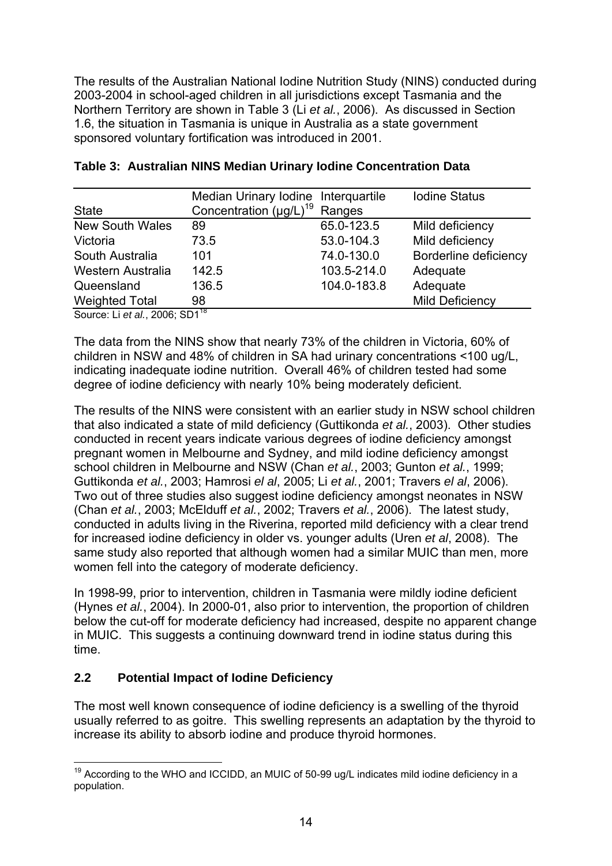The results of the Australian National Iodine Nutrition Study (NINS) conducted during 2003-2004 in school-aged children in all jurisdictions except Tasmania and the Northern Territory are shown in Table 3 (Li *et al.*, 2006). As discussed in Section 1.6, the situation in Tasmania is unique in Australia as a state government sponsored voluntary fortification was introduced in 2001.

|                                     | Median Urinary Iodine Interquartile |             | <b>Iodine Status</b>   |
|-------------------------------------|-------------------------------------|-------------|------------------------|
| <b>State</b>                        | Concentration $(\mu g/L)^{19}$      | Ranges      |                        |
| <b>New South Wales</b>              | 89                                  | 65.0-123.5  | Mild deficiency        |
| Victoria                            | 73.5                                | 53.0-104.3  | Mild deficiency        |
| South Australia                     | 101                                 | 74.0-130.0  | Borderline deficiency  |
| Western Australia                   | 142.5                               | 103.5-214.0 | Adequate               |
| Queensland                          | 136.5                               | 104.0-183.8 | Adequate               |
| <b>Weighted Total</b>               | 98                                  |             | <b>Mild Deficiency</b> |
| $ConProof 11 of al. 2008: CD1^{18}$ |                                     |             |                        |

#### **Table 3: Australian NINS Median Urinary Iodine Concentration Data**

Source: Li *et al.*, 2006; SD1<sup>18</sup>

The data from the NINS show that nearly 73% of the children in Victoria, 60% of children in NSW and 48% of children in SA had urinary concentrations <100 ug/L, indicating inadequate iodine nutrition. Overall 46% of children tested had some degree of iodine deficiency with nearly 10% being moderately deficient.

The results of the NINS were consistent with an earlier study in NSW school children that also indicated a state of mild deficiency (Guttikonda *et al.*, 2003). Other studies conducted in recent years indicate various degrees of iodine deficiency amongst pregnant women in Melbourne and Sydney, and mild iodine deficiency amongst school children in Melbourne and NSW (Chan *et al.*, 2003; Gunton *et al.*, 1999; Guttikonda *et al.*, 2003; Hamrosi *el al*, 2005; Li *et al.*, 2001; Travers *el al*, 2006). Two out of three studies also suggest iodine deficiency amongst neonates in NSW (Chan *et al.*, 2003; McElduff *et al.*, 2002; Travers *et al.*, 2006). The latest study, conducted in adults living in the Riverina, reported mild deficiency with a clear trend for increased iodine deficiency in older vs. younger adults (Uren *et al*, 2008). The same study also reported that although women had a similar MUIC than men, more women fell into the category of moderate deficiency.

In 1998-99, prior to intervention, children in Tasmania were mildly iodine deficient (Hynes *et al.*, 2004). In 2000-01, also prior to intervention, the proportion of children below the cut-off for moderate deficiency had increased, despite no apparent change in MUIC. This suggests a continuing downward trend in iodine status during this time.

#### **2.2 Potential Impact of Iodine Deficiency**

The most well known consequence of iodine deficiency is a swelling of the thyroid usually referred to as goitre. This swelling represents an adaptation by the thyroid to increase its ability to absorb iodine and produce thyroid hormones.

<sup>1</sup>  $19$  According to the WHO and ICCIDD, an MUIC of 50-99 ug/L indicates mild iodine deficiency in a population.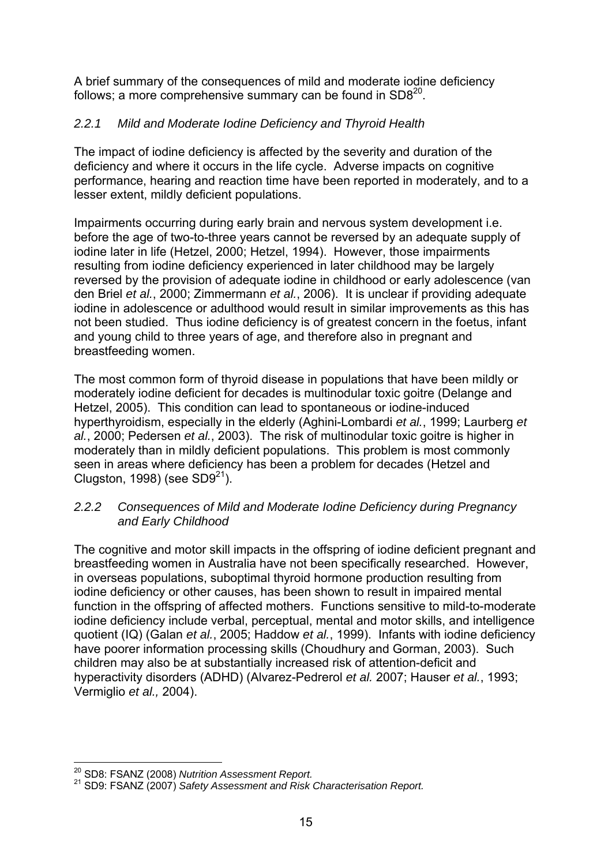A brief summary of the consequences of mild and moderate iodine deficiency follows; a more comprehensive summary can be found in  $SD8^{20}$ .

## *2.2.1 Mild and Moderate Iodine Deficiency and Thyroid Health*

The impact of iodine deficiency is affected by the severity and duration of the deficiency and where it occurs in the life cycle. Adverse impacts on cognitive performance, hearing and reaction time have been reported in moderately, and to a lesser extent, mildly deficient populations.

Impairments occurring during early brain and nervous system development i.e. before the age of two-to-three years cannot be reversed by an adequate supply of iodine later in life (Hetzel, 2000; Hetzel, 1994). However, those impairments resulting from iodine deficiency experienced in later childhood may be largely reversed by the provision of adequate iodine in childhood or early adolescence (van den Briel *et al.*, 2000; Zimmermann *et al.*, 2006). It is unclear if providing adequate iodine in adolescence or adulthood would result in similar improvements as this has not been studied. Thus iodine deficiency is of greatest concern in the foetus, infant and young child to three years of age, and therefore also in pregnant and breastfeeding women.

The most common form of thyroid disease in populations that have been mildly or moderately iodine deficient for decades is multinodular toxic goitre (Delange and Hetzel, 2005). This condition can lead to spontaneous or iodine-induced hyperthyroidism, especially in the elderly (Aghini-Lombardi *et al.*, 1999; Laurberg *et al.*, 2000; Pedersen *et al.*, 2003). The risk of multinodular toxic goitre is higher in moderately than in mildly deficient populations. This problem is most commonly seen in areas where deficiency has been a problem for decades (Hetzel and Clugston, 1998) (see  $SD9<sup>21</sup>$ ).

#### *2.2.2 Consequences of Mild and Moderate Iodine Deficiency during Pregnancy and Early Childhood*

The cognitive and motor skill impacts in the offspring of iodine deficient pregnant and breastfeeding women in Australia have not been specifically researched. However, in overseas populations, suboptimal thyroid hormone production resulting from iodine deficiency or other causes, has been shown to result in impaired mental function in the offspring of affected mothers. Functions sensitive to mild-to-moderate iodine deficiency include verbal, perceptual, mental and motor skills, and intelligence quotient (IQ) (Galan *et al.*, 2005; Haddow *et al.*, 1999). Infants with iodine deficiency have poorer information processing skills (Choudhury and Gorman, 2003). Such children may also be at substantially increased risk of attention-deficit and hyperactivity disorders (ADHD) (Alvarez-Pedrerol *et al.* 2007; Hauser *et al.*, 1993; Vermiglio *et al.,* 2004).

<sup>&</sup>lt;sup>20</sup> SD8: FSANZ (2008) Nutrition Assessment Report.

<sup>20</sup> SD8: FSANZ (2008) *Nutrition Assessment Report.* 21 SD9: FSANZ (2007) *Safety Assessment and Risk Characterisation Report.*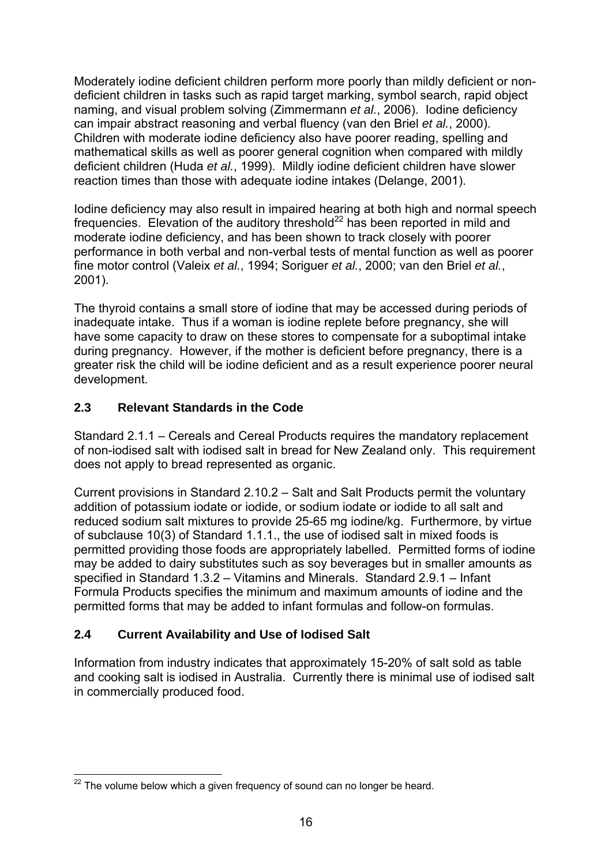Moderately iodine deficient children perform more poorly than mildly deficient or nondeficient children in tasks such as rapid target marking, symbol search, rapid object naming, and visual problem solving (Zimmermann *et al.*, 2006). Iodine deficiency can impair abstract reasoning and verbal fluency (van den Briel *et al.*, 2000). Children with moderate iodine deficiency also have poorer reading, spelling and mathematical skills as well as poorer general cognition when compared with mildly deficient children (Huda *et al.*, 1999). Mildly iodine deficient children have slower reaction times than those with adequate iodine intakes (Delange, 2001).

Iodine deficiency may also result in impaired hearing at both high and normal speech frequencies. Elevation of the auditory threshold<sup>22</sup> has been reported in mild and moderate iodine deficiency, and has been shown to track closely with poorer performance in both verbal and non-verbal tests of mental function as well as poorer fine motor control (Valeix *et al.*, 1994; Soriguer *et al.*, 2000; van den Briel *et al.*, 2001).

The thyroid contains a small store of iodine that may be accessed during periods of inadequate intake. Thus if a woman is iodine replete before pregnancy, she will have some capacity to draw on these stores to compensate for a suboptimal intake during pregnancy. However, if the mother is deficient before pregnancy, there is a greater risk the child will be iodine deficient and as a result experience poorer neural development.

### **2.3 Relevant Standards in the Code**

Standard 2.1.1 – Cereals and Cereal Products requires the mandatory replacement of non-iodised salt with iodised salt in bread for New Zealand only. This requirement does not apply to bread represented as organic.

Current provisions in Standard 2.10.2 – Salt and Salt Products permit the voluntary addition of potassium iodate or iodide, or sodium iodate or iodide to all salt and reduced sodium salt mixtures to provide 25-65 mg iodine/kg. Furthermore, by virtue of subclause 10(3) of Standard 1.1.1., the use of iodised salt in mixed foods is permitted providing those foods are appropriately labelled. Permitted forms of iodine may be added to dairy substitutes such as soy beverages but in smaller amounts as specified in Standard 1.3.2 – Vitamins and Minerals. Standard 2.9.1 – Infant Formula Products specifies the minimum and maximum amounts of iodine and the permitted forms that may be added to infant formulas and follow-on formulas.

## **2.4 Current Availability and Use of Iodised Salt**

Information from industry indicates that approximately 15-20% of salt sold as table and cooking salt is iodised in Australia. Currently there is minimal use of iodised salt in commercially produced food.

<sup>1</sup>  $22$  The volume below which a given frequency of sound can no longer be heard.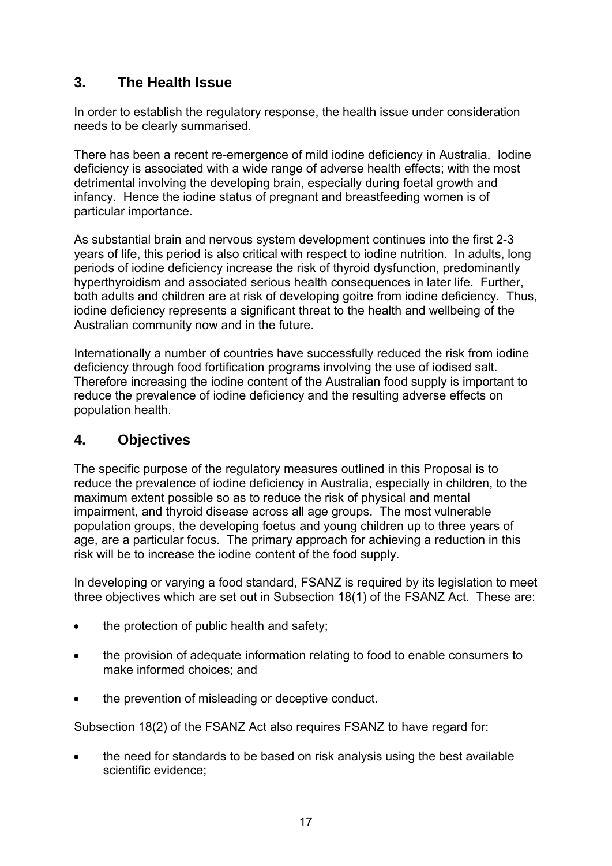# **3. The Health Issue**

In order to establish the regulatory response, the health issue under consideration needs to be clearly summarised.

There has been a recent re-emergence of mild iodine deficiency in Australia. Iodine deficiency is associated with a wide range of adverse health effects; with the most detrimental involving the developing brain, especially during foetal growth and infancy. Hence the iodine status of pregnant and breastfeeding women is of particular importance.

As substantial brain and nervous system development continues into the first 2-3 years of life, this period is also critical with respect to iodine nutrition. In adults, long periods of iodine deficiency increase the risk of thyroid dysfunction, predominantly hyperthyroidism and associated serious health consequences in later life. Further, both adults and children are at risk of developing goitre from iodine deficiency. Thus, iodine deficiency represents a significant threat to the health and wellbeing of the Australian community now and in the future.

Internationally a number of countries have successfully reduced the risk from iodine deficiency through food fortification programs involving the use of iodised salt. Therefore increasing the iodine content of the Australian food supply is important to reduce the prevalence of iodine deficiency and the resulting adverse effects on population health.

## **4. Objectives**

The specific purpose of the regulatory measures outlined in this Proposal is to reduce the prevalence of iodine deficiency in Australia, especially in children, to the maximum extent possible so as to reduce the risk of physical and mental impairment, and thyroid disease across all age groups. The most vulnerable population groups, the developing foetus and young children up to three years of age, are a particular focus. The primary approach for achieving a reduction in this risk will be to increase the iodine content of the food supply.

In developing or varying a food standard, FSANZ is required by its legislation to meet three objectives which are set out in Subsection 18(1) of the FSANZ Act. These are:

- the protection of public health and safety:
- the provision of adequate information relating to food to enable consumers to make informed choices; and
- the prevention of misleading or deceptive conduct.

Subsection 18(2) of the FSANZ Act also requires FSANZ to have regard for:

• the need for standards to be based on risk analysis using the best available scientific evidence;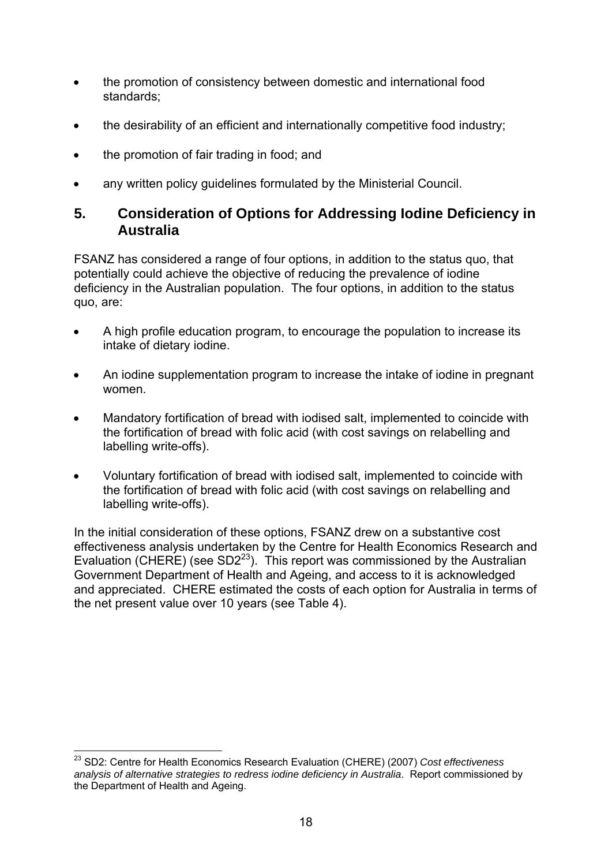- the promotion of consistency between domestic and international food standards;
- the desirability of an efficient and internationally competitive food industry;
- the promotion of fair trading in food; and
- any written policy guidelines formulated by the Ministerial Council.

## **5. Consideration of Options for Addressing Iodine Deficiency in Australia**

FSANZ has considered a range of four options, in addition to the status quo, that potentially could achieve the objective of reducing the prevalence of iodine deficiency in the Australian population. The four options, in addition to the status quo, are:

- A high profile education program, to encourage the population to increase its intake of dietary iodine.
- An iodine supplementation program to increase the intake of iodine in pregnant women.
- Mandatory fortification of bread with iodised salt, implemented to coincide with the fortification of bread with folic acid (with cost savings on relabelling and labelling write-offs).
- Voluntary fortification of bread with iodised salt, implemented to coincide with the fortification of bread with folic acid (with cost savings on relabelling and labelling write-offs).

In the initial consideration of these options, FSANZ drew on a substantive cost effectiveness analysis undertaken by the Centre for Health Economics Research and Evaluation (CHERE) (see SD2 $^{23}$ ). This report was commissioned by the Australian Government Department of Health and Ageing, and access to it is acknowledged and appreciated. CHERE estimated the costs of each option for Australia in terms of the net present value over 10 years (see Table 4).

<sup>1</sup> 23 SD2: Centre for Health Economics Research Evaluation (CHERE) (2007) *Cost effectiveness analysis of alternative strategies to redress iodine deficiency in Australia*. Report commissioned by the Department of Health and Ageing.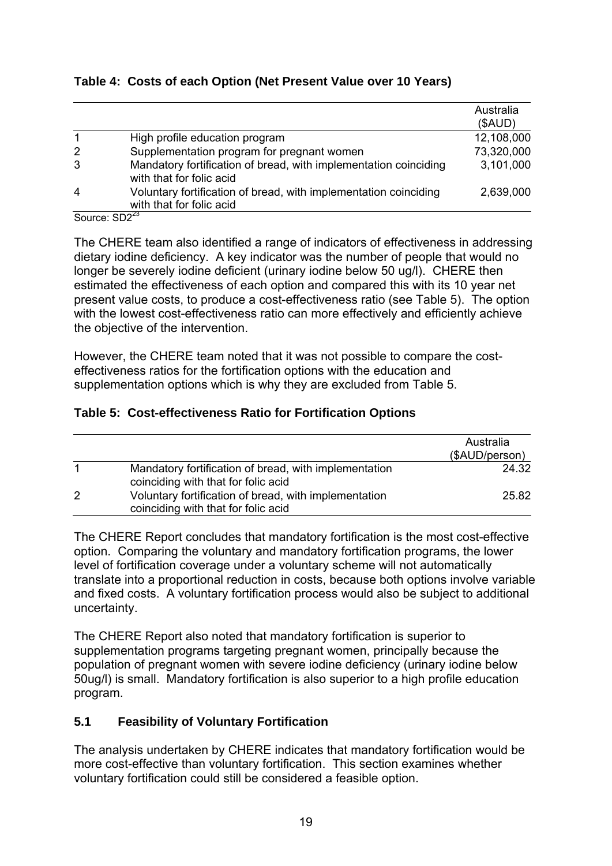#### **Table 4: Costs of each Option (Net Present Value over 10 Years)**

|                      |                                                                                              | Australia  |
|----------------------|----------------------------------------------------------------------------------------------|------------|
|                      |                                                                                              | (SAUD)     |
|                      | High profile education program                                                               | 12,108,000 |
| 2                    | Supplementation program for pregnant women                                                   | 73,320,000 |
| 3                    | Mandatory fortification of bread, with implementation coinciding<br>with that for folic acid | 3,101,000  |
| $\overline{4}$       | Voluntary fortification of bread, with implementation coinciding<br>with that for folic acid | 2,639,000  |
| $\sim$ $\sim$ $\sim$ | $\sim$ $\sim$ $\sim$ $\sim$ $\sim$                                                           |            |

Source: SD2<sup>4</sup>

The CHERE team also identified a range of indicators of effectiveness in addressing dietary iodine deficiency. A key indicator was the number of people that would no longer be severely iodine deficient (urinary iodine below 50 ug/l). CHERE then estimated the effectiveness of each option and compared this with its 10 year net present value costs, to produce a cost-effectiveness ratio (see Table 5). The option with the lowest cost-effectiveness ratio can more effectively and efficiently achieve the objective of the intervention.

However, the CHERE team noted that it was not possible to compare the costeffectiveness ratios for the fortification options with the education and supplementation options which is why they are excluded from Table 5.

#### **Table 5: Cost-effectiveness Ratio for Fortification Options**

|   |                                                                                              | Australia<br>(\$AUD/person) |
|---|----------------------------------------------------------------------------------------------|-----------------------------|
| 1 | Mandatory fortification of bread, with implementation<br>coinciding with that for folic acid | 24.32                       |
| 2 | Voluntary fortification of bread, with implementation<br>coinciding with that for folic acid | 25.82                       |

The CHERE Report concludes that mandatory fortification is the most cost-effective option. Comparing the voluntary and mandatory fortification programs, the lower level of fortification coverage under a voluntary scheme will not automatically translate into a proportional reduction in costs, because both options involve variable and fixed costs. A voluntary fortification process would also be subject to additional uncertainty.

The CHERE Report also noted that mandatory fortification is superior to supplementation programs targeting pregnant women, principally because the population of pregnant women with severe iodine deficiency (urinary iodine below 50ug/l) is small. Mandatory fortification is also superior to a high profile education program.

#### **5.1 Feasibility of Voluntary Fortification**

The analysis undertaken by CHERE indicates that mandatory fortification would be more cost-effective than voluntary fortification. This section examines whether voluntary fortification could still be considered a feasible option.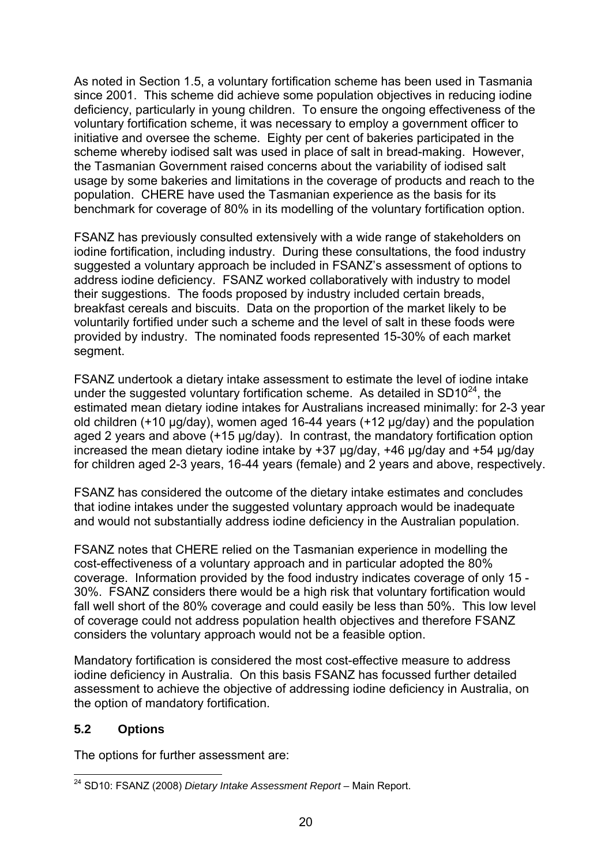As noted in Section 1.5, a voluntary fortification scheme has been used in Tasmania since 2001. This scheme did achieve some population objectives in reducing iodine deficiency, particularly in young children. To ensure the ongoing effectiveness of the voluntary fortification scheme, it was necessary to employ a government officer to initiative and oversee the scheme. Eighty per cent of bakeries participated in the scheme whereby iodised salt was used in place of salt in bread-making. However, the Tasmanian Government raised concerns about the variability of iodised salt usage by some bakeries and limitations in the coverage of products and reach to the population. CHERE have used the Tasmanian experience as the basis for its benchmark for coverage of 80% in its modelling of the voluntary fortification option.

FSANZ has previously consulted extensively with a wide range of stakeholders on iodine fortification, including industry. During these consultations, the food industry suggested a voluntary approach be included in FSANZ's assessment of options to address iodine deficiency. FSANZ worked collaboratively with industry to model their suggestions. The foods proposed by industry included certain breads, breakfast cereals and biscuits. Data on the proportion of the market likely to be voluntarily fortified under such a scheme and the level of salt in these foods were provided by industry. The nominated foods represented 15-30% of each market segment.

FSANZ undertook a dietary intake assessment to estimate the level of iodine intake under the suggested voluntary fortification scheme. As detailed in  $SD10^{24}$ , the estimated mean dietary iodine intakes for Australians increased minimally: for 2-3 year old children (+10 μg/day), women aged 16-44 years (+12 μg/day) and the population aged 2 years and above (+15 µg/day). In contrast, the mandatory fortification option increased the mean dietary iodine intake by +37 μg/day, +46 µg/day and +54 μg/day for children aged 2-3 years, 16-44 years (female) and 2 years and above, respectively.

FSANZ has considered the outcome of the dietary intake estimates and concludes that iodine intakes under the suggested voluntary approach would be inadequate and would not substantially address iodine deficiency in the Australian population.

FSANZ notes that CHERE relied on the Tasmanian experience in modelling the cost-effectiveness of a voluntary approach and in particular adopted the 80% coverage. Information provided by the food industry indicates coverage of only 15 - 30%. FSANZ considers there would be a high risk that voluntary fortification would fall well short of the 80% coverage and could easily be less than 50%. This low level of coverage could not address population health objectives and therefore FSANZ considers the voluntary approach would not be a feasible option.

Mandatory fortification is considered the most cost-effective measure to address iodine deficiency in Australia. On this basis FSANZ has focussed further detailed assessment to achieve the objective of addressing iodine deficiency in Australia, on the option of mandatory fortification.

#### **5.2 Options**

The options for further assessment are:

<sup>1</sup> 24 SD10: FSANZ (2008) *Dietary Intake Assessment Report –* Main Report.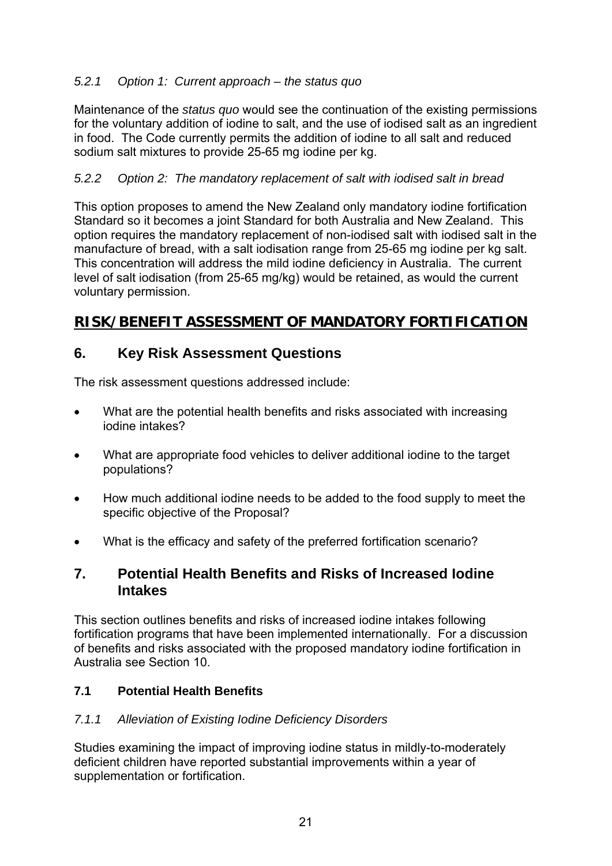### *5.2.1 Option 1: Current approach – the status quo*

Maintenance of the *status quo* would see the continuation of the existing permissions for the voluntary addition of iodine to salt, and the use of iodised salt as an ingredient in food. The Code currently permits the addition of iodine to all salt and reduced sodium salt mixtures to provide 25-65 mg iodine per kg.

### *5.2.2 Option 2: The mandatory replacement of salt with iodised salt in bread*

This option proposes to amend the New Zealand only mandatory iodine fortification Standard so it becomes a joint Standard for both Australia and New Zealand. This option requires the mandatory replacement of non-iodised salt with iodised salt in the manufacture of bread, with a salt iodisation range from 25-65 mg iodine per kg salt. This concentration will address the mild iodine deficiency in Australia. The current level of salt iodisation (from 25-65 mg/kg) would be retained, as would the current voluntary permission.

# **RISK/BENEFIT ASSESSMENT OF MANDATORY FORTIFICATION**

## **6. Key Risk Assessment Questions**

The risk assessment questions addressed include:

- What are the potential health benefits and risks associated with increasing iodine intakes?
- What are appropriate food vehicles to deliver additional iodine to the target populations?
- How much additional iodine needs to be added to the food supply to meet the specific objective of the Proposal?
- What is the efficacy and safety of the preferred fortification scenario?

## **7. Potential Health Benefits and Risks of Increased Iodine Intakes**

This section outlines benefits and risks of increased iodine intakes following fortification programs that have been implemented internationally. For a discussion of benefits and risks associated with the proposed mandatory iodine fortification in Australia see Section 10.

#### **7.1 Potential Health Benefits**

#### *7.1.1 Alleviation of Existing Iodine Deficiency Disorders*

Studies examining the impact of improving iodine status in mildly-to-moderately deficient children have reported substantial improvements within a year of supplementation or fortification.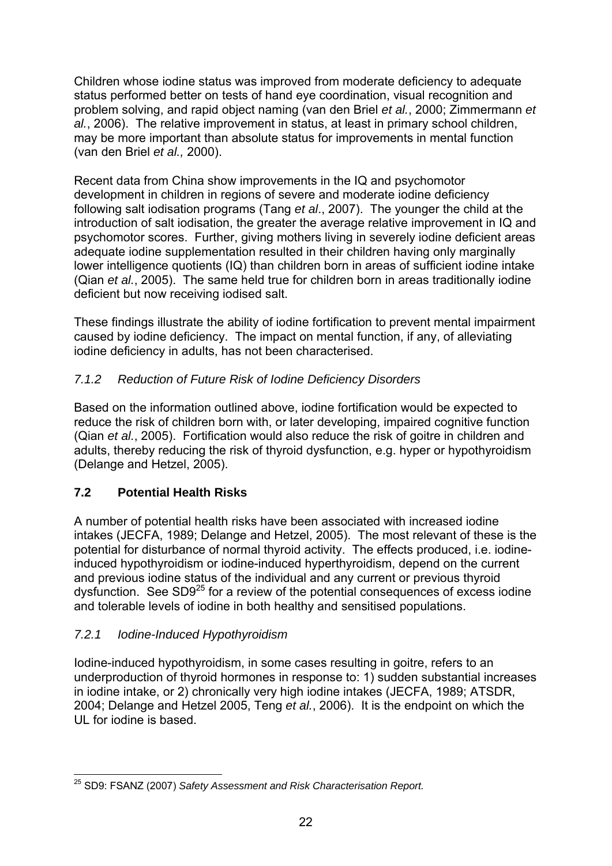Children whose iodine status was improved from moderate deficiency to adequate status performed better on tests of hand eye coordination, visual recognition and problem solving, and rapid object naming (van den Briel *et al.*, 2000; Zimmermann *et al.*, 2006). The relative improvement in status, at least in primary school children, may be more important than absolute status for improvements in mental function (van den Briel *et al.,* 2000).

Recent data from China show improvements in the IQ and psychomotor development in children in regions of severe and moderate iodine deficiency following salt iodisation programs (Tang *et al*., 2007). The younger the child at the introduction of salt iodisation, the greater the average relative improvement in IQ and psychomotor scores. Further, giving mothers living in severely iodine deficient areas adequate iodine supplementation resulted in their children having only marginally lower intelligence quotients (IQ) than children born in areas of sufficient iodine intake (Qian *et al.*, 2005). The same held true for children born in areas traditionally iodine deficient but now receiving iodised salt.

These findings illustrate the ability of iodine fortification to prevent mental impairment caused by iodine deficiency. The impact on mental function, if any, of alleviating iodine deficiency in adults, has not been characterised.

## *7.1.2 Reduction of Future Risk of Iodine Deficiency Disorders*

Based on the information outlined above, iodine fortification would be expected to reduce the risk of children born with, or later developing, impaired cognitive function (Qian *et al.*, 2005). Fortification would also reduce the risk of goitre in children and adults, thereby reducing the risk of thyroid dysfunction, e.g. hyper or hypothyroidism (Delange and Hetzel, 2005).

## **7.2 Potential Health Risks**

A number of potential health risks have been associated with increased iodine intakes (JECFA, 1989; Delange and Hetzel, 2005). The most relevant of these is the potential for disturbance of normal thyroid activity. The effects produced, i.e. iodineinduced hypothyroidism or iodine-induced hyperthyroidism, depend on the current and previous iodine status of the individual and any current or previous thyroid dysfunction. See  $SD9^{25}$  for a review of the potential consequences of excess iodine and tolerable levels of iodine in both healthy and sensitised populations.

## *7.2.1 Iodine-Induced Hypothyroidism*

Iodine-induced hypothyroidism, in some cases resulting in goitre, refers to an underproduction of thyroid hormones in response to: 1) sudden substantial increases in iodine intake, or 2) chronically very high iodine intakes (JECFA, 1989; ATSDR, 2004; Delange and Hetzel 2005, Teng *et al.*, 2006). It is the endpoint on which the UL for iodine is based.

<sup>1</sup> 25 SD9: FSANZ (2007) *Safety Assessment and Risk Characterisation Report.*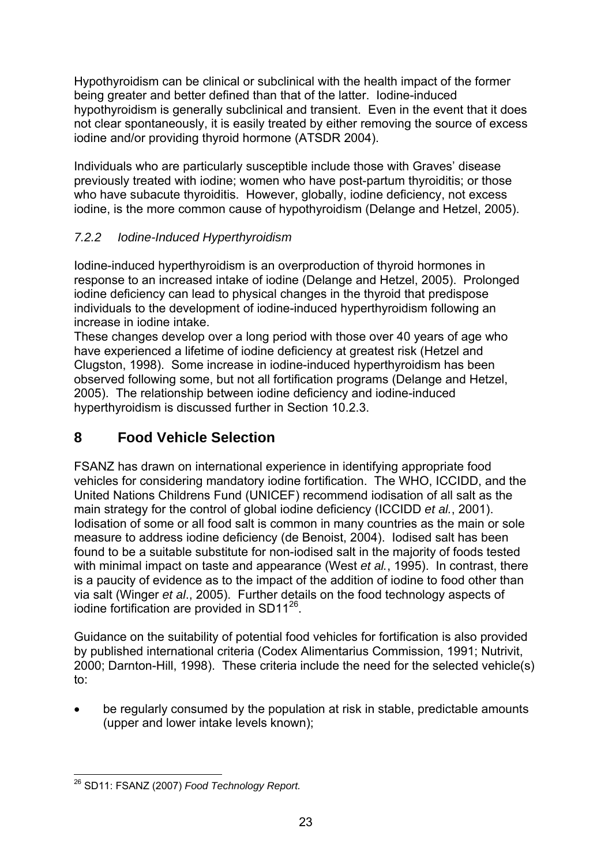Hypothyroidism can be clinical or subclinical with the health impact of the former being greater and better defined than that of the latter. Iodine-induced hypothyroidism is generally subclinical and transient. Even in the event that it does not clear spontaneously, it is easily treated by either removing the source of excess iodine and/or providing thyroid hormone (ATSDR 2004).

Individuals who are particularly susceptible include those with Graves' disease previously treated with iodine; women who have post-partum thyroiditis; or those who have subacute thyroiditis. However, globally, iodine deficiency, not excess iodine, is the more common cause of hypothyroidism (Delange and Hetzel, 2005).

## *7.2.2 Iodine-Induced Hyperthyroidism*

Iodine-induced hyperthyroidism is an overproduction of thyroid hormones in response to an increased intake of iodine (Delange and Hetzel, 2005). Prolonged iodine deficiency can lead to physical changes in the thyroid that predispose individuals to the development of iodine-induced hyperthyroidism following an increase in iodine intake.

These changes develop over a long period with those over 40 years of age who have experienced a lifetime of iodine deficiency at greatest risk (Hetzel and Clugston, 1998). Some increase in iodine-induced hyperthyroidism has been observed following some, but not all fortification programs (Delange and Hetzel, 2005). The relationship between iodine deficiency and iodine-induced hyperthyroidism is discussed further in Section 10.2.3.

# **8 Food Vehicle Selection**

FSANZ has drawn on international experience in identifying appropriate food vehicles for considering mandatory iodine fortification. The WHO, ICCIDD, and the United Nations Childrens Fund (UNICEF) recommend iodisation of all salt as the main strategy for the control of global iodine deficiency (ICCIDD *et al.*, 2001). Iodisation of some or all food salt is common in many countries as the main or sole measure to address iodine deficiency (de Benoist, 2004). Iodised salt has been found to be a suitable substitute for non-iodised salt in the majority of foods tested with minimal impact on taste and appearance (West *et al.*, 1995). In contrast, there is a paucity of evidence as to the impact of the addition of iodine to food other than via salt (Winger *et al*., 2005). Further details on the food technology aspects of iodine fortification are provided in  $SD11^{26}$ .

Guidance on the suitability of potential food vehicles for fortification is also provided by published international criteria (Codex Alimentarius Commission, 1991; Nutrivit, 2000; Darnton-Hill, 1998). These criteria include the need for the selected vehicle(s) to:

• be regularly consumed by the population at risk in stable, predictable amounts (upper and lower intake levels known);

<sup>1</sup> 26 SD11: FSANZ (2007) *Food Technology Report.*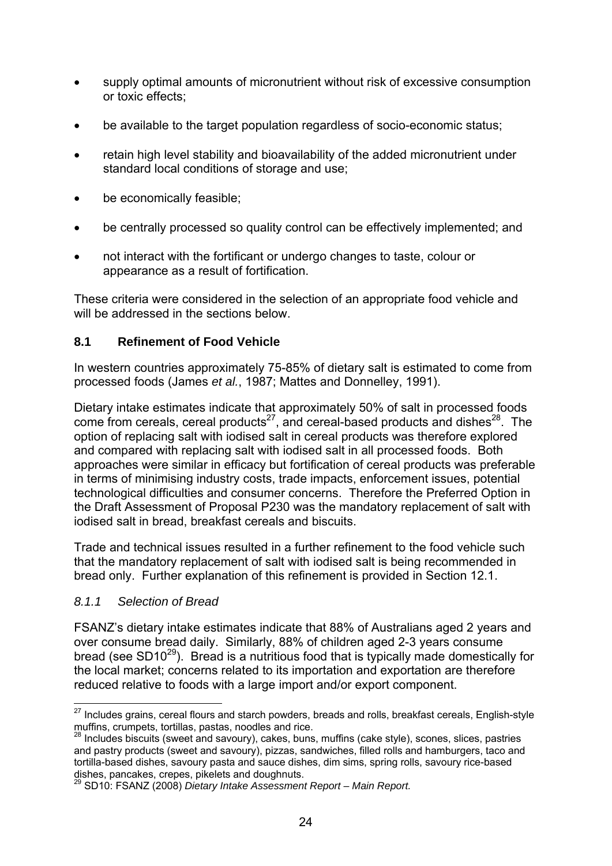- supply optimal amounts of micronutrient without risk of excessive consumption or toxic effects;
- be available to the target population regardless of socio-economic status;
- retain high level stability and bioavailability of the added micronutrient under standard local conditions of storage and use;
- be economically feasible;
- be centrally processed so quality control can be effectively implemented; and
- not interact with the fortificant or undergo changes to taste, colour or appearance as a result of fortification.

These criteria were considered in the selection of an appropriate food vehicle and will be addressed in the sections below.

#### **8.1 Refinement of Food Vehicle**

In western countries approximately 75-85% of dietary salt is estimated to come from processed foods (James *et al.*, 1987; Mattes and Donnelley, 1991).

Dietary intake estimates indicate that approximately 50% of salt in processed foods come from cereals, cereal products<sup>27</sup>, and cereal-based products and dishes<sup>28</sup>. The option of replacing salt with iodised salt in cereal products was therefore explored and compared with replacing salt with iodised salt in all processed foods. Both approaches were similar in efficacy but fortification of cereal products was preferable in terms of minimising industry costs, trade impacts, enforcement issues, potential technological difficulties and consumer concerns. Therefore the Preferred Option in the Draft Assessment of Proposal P230 was the mandatory replacement of salt with iodised salt in bread, breakfast cereals and biscuits.

Trade and technical issues resulted in a further refinement to the food vehicle such that the mandatory replacement of salt with iodised salt is being recommended in bread only. Further explanation of this refinement is provided in Section 12.1.

#### *8.1.1 Selection of Bread*

FSANZ's dietary intake estimates indicate that 88% of Australians aged 2 years and over consume bread daily. Similarly, 88% of children aged 2-3 years consume bread (see SD10<sup>29</sup>). Bread is a nutritious food that is typically made domestically for the local market; concerns related to its importation and exportation are therefore reduced relative to foods with a large import and/or export component.

<sup>1</sup>  $27$  Includes grains, cereal flours and starch powders, breads and rolls, breakfast cereals, English-style muffins, crumpets, tortillas, pastas, noodles and rice.

 $28$  Includes biscuits (sweet and savoury), cakes, buns, muffins (cake style), scones, slices, pastries and pastry products (sweet and savoury), pizzas, sandwiches, filled rolls and hamburgers, taco and tortilla-based dishes, savoury pasta and sauce dishes, dim sims, spring rolls, savoury rice-based dishes, pancakes, crepes, pikelets and doughnuts.

<sup>29</sup> SD10: FSANZ (2008) *Dietary Intake Assessment Report – Main Report.*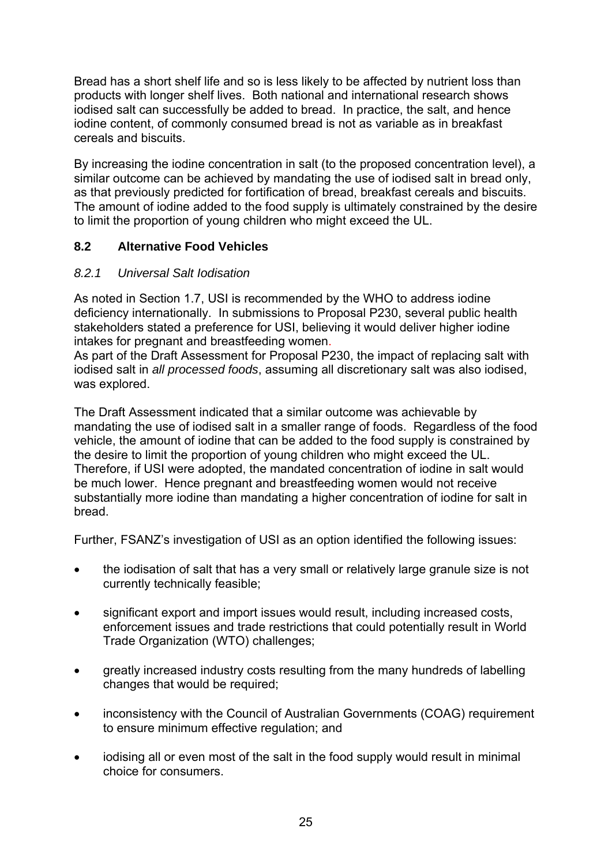Bread has a short shelf life and so is less likely to be affected by nutrient loss than products with longer shelf lives. Both national and international research shows iodised salt can successfully be added to bread. In practice, the salt, and hence iodine content, of commonly consumed bread is not as variable as in breakfast cereals and biscuits.

By increasing the iodine concentration in salt (to the proposed concentration level), a similar outcome can be achieved by mandating the use of iodised salt in bread only, as that previously predicted for fortification of bread, breakfast cereals and biscuits. The amount of iodine added to the food supply is ultimately constrained by the desire to limit the proportion of young children who might exceed the UL.

## **8.2 Alternative Food Vehicles**

### *8.2.1 Universal Salt Iodisation*

As noted in Section 1.7, USI is recommended by the WHO to address iodine deficiency internationally. In submissions to Proposal P230, several public health stakeholders stated a preference for USI, believing it would deliver higher iodine intakes for pregnant and breastfeeding women.

As part of the Draft Assessment for Proposal P230, the impact of replacing salt with iodised salt in *all processed foods*, assuming all discretionary salt was also iodised, was explored.

The Draft Assessment indicated that a similar outcome was achievable by mandating the use of iodised salt in a smaller range of foods. Regardless of the food vehicle, the amount of iodine that can be added to the food supply is constrained by the desire to limit the proportion of young children who might exceed the UL. Therefore, if USI were adopted, the mandated concentration of iodine in salt would be much lower. Hence pregnant and breastfeeding women would not receive substantially more iodine than mandating a higher concentration of iodine for salt in bread.

Further, FSANZ's investigation of USI as an option identified the following issues:

- the iodisation of salt that has a very small or relatively large granule size is not currently technically feasible;
- significant export and import issues would result, including increased costs, enforcement issues and trade restrictions that could potentially result in World Trade Organization (WTO) challenges;
- greatly increased industry costs resulting from the many hundreds of labelling changes that would be required;
- inconsistency with the Council of Australian Governments (COAG) requirement to ensure minimum effective regulation; and
- iodising all or even most of the salt in the food supply would result in minimal choice for consumers.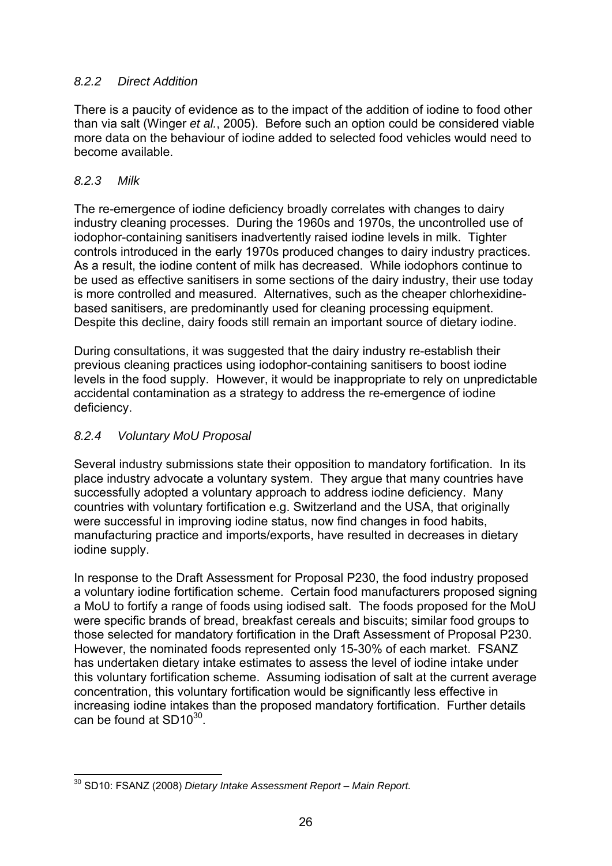### *8.2.2 Direct Addition*

There is a paucity of evidence as to the impact of the addition of iodine to food other than via salt (Winger *et al.*, 2005). Before such an option could be considered viable more data on the behaviour of iodine added to selected food vehicles would need to become available.

#### *8.2.3 Milk*

The re-emergence of iodine deficiency broadly correlates with changes to dairy industry cleaning processes. During the 1960s and 1970s, the uncontrolled use of iodophor-containing sanitisers inadvertently raised iodine levels in milk. Tighter controls introduced in the early 1970s produced changes to dairy industry practices. As a result, the iodine content of milk has decreased. While iodophors continue to be used as effective sanitisers in some sections of the dairy industry, their use today is more controlled and measured. Alternatives, such as the cheaper chlorhexidinebased sanitisers, are predominantly used for cleaning processing equipment. Despite this decline, dairy foods still remain an important source of dietary iodine.

During consultations, it was suggested that the dairy industry re-establish their previous cleaning practices using iodophor-containing sanitisers to boost iodine levels in the food supply. However, it would be inappropriate to rely on unpredictable accidental contamination as a strategy to address the re-emergence of iodine deficiency.

### *8.2.4 Voluntary MoU Proposal*

Several industry submissions state their opposition to mandatory fortification. In its place industry advocate a voluntary system. They argue that many countries have successfully adopted a voluntary approach to address iodine deficiency. Many countries with voluntary fortification e.g. Switzerland and the USA, that originally were successful in improving iodine status, now find changes in food habits, manufacturing practice and imports/exports, have resulted in decreases in dietary iodine supply.

In response to the Draft Assessment for Proposal P230, the food industry proposed a voluntary iodine fortification scheme. Certain food manufacturers proposed signing a MoU to fortify a range of foods using iodised salt. The foods proposed for the MoU were specific brands of bread, breakfast cereals and biscuits; similar food groups to those selected for mandatory fortification in the Draft Assessment of Proposal P230. However, the nominated foods represented only 15-30% of each market. FSANZ has undertaken dietary intake estimates to assess the level of iodine intake under this voluntary fortification scheme. Assuming iodisation of salt at the current average concentration, this voluntary fortification would be significantly less effective in increasing iodine intakes than the proposed mandatory fortification. Further details can be found at  $SD10^{30}$ .

<sup>1</sup> 30 SD10: FSANZ (2008) *Dietary Intake Assessment Report – Main Report.*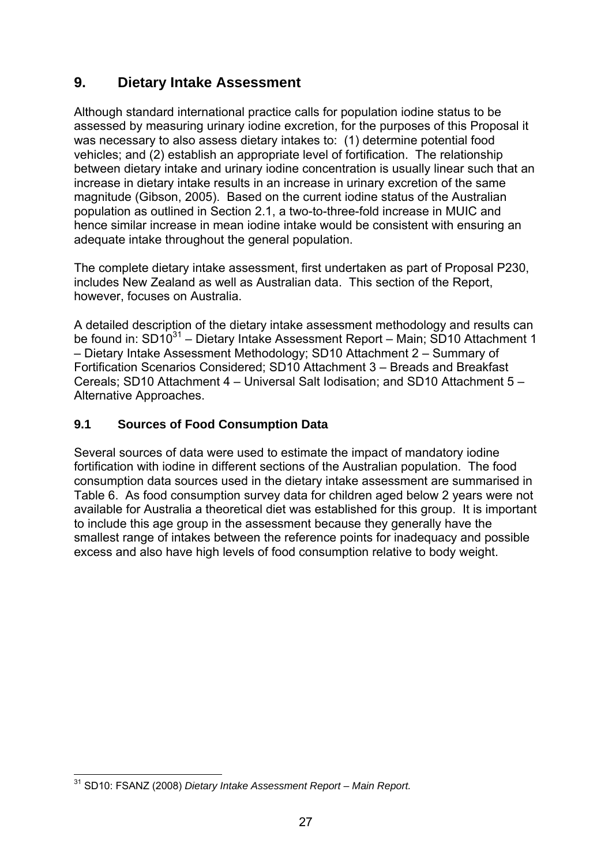# **9. Dietary Intake Assessment**

Although standard international practice calls for population iodine status to be assessed by measuring urinary iodine excretion, for the purposes of this Proposal it was necessary to also assess dietary intakes to: (1) determine potential food vehicles; and (2) establish an appropriate level of fortification. The relationship between dietary intake and urinary iodine concentration is usually linear such that an increase in dietary intake results in an increase in urinary excretion of the same magnitude (Gibson, 2005). Based on the current iodine status of the Australian population as outlined in Section 2.1, a two-to-three-fold increase in MUIC and hence similar increase in mean iodine intake would be consistent with ensuring an adequate intake throughout the general population.

The complete dietary intake assessment, first undertaken as part of Proposal P230, includes New Zealand as well as Australian data. This section of the Report, however, focuses on Australia.

A detailed description of the dietary intake assessment methodology and results can be found in: SD1031 *–* Dietary Intake Assessment Report – Main; SD10 Attachment 1 – Dietary Intake Assessment Methodology; SD10 Attachment 2 – Summary of Fortification Scenarios Considered; SD10 Attachment 3 – Breads and Breakfast Cereals; SD10 Attachment 4 – Universal Salt Iodisation; and SD10 Attachment 5 – Alternative Approaches.

#### **9.1 Sources of Food Consumption Data**

Several sources of data were used to estimate the impact of mandatory iodine fortification with iodine in different sections of the Australian population. The food consumption data sources used in the dietary intake assessment are summarised in Table 6. As food consumption survey data for children aged below 2 years were not available for Australia a theoretical diet was established for this group. It is important to include this age group in the assessment because they generally have the smallest range of intakes between the reference points for inadequacy and possible excess and also have high levels of food consumption relative to body weight.

<sup>1</sup> 31 SD10: FSANZ (2008) *Dietary Intake Assessment Report – Main Report.*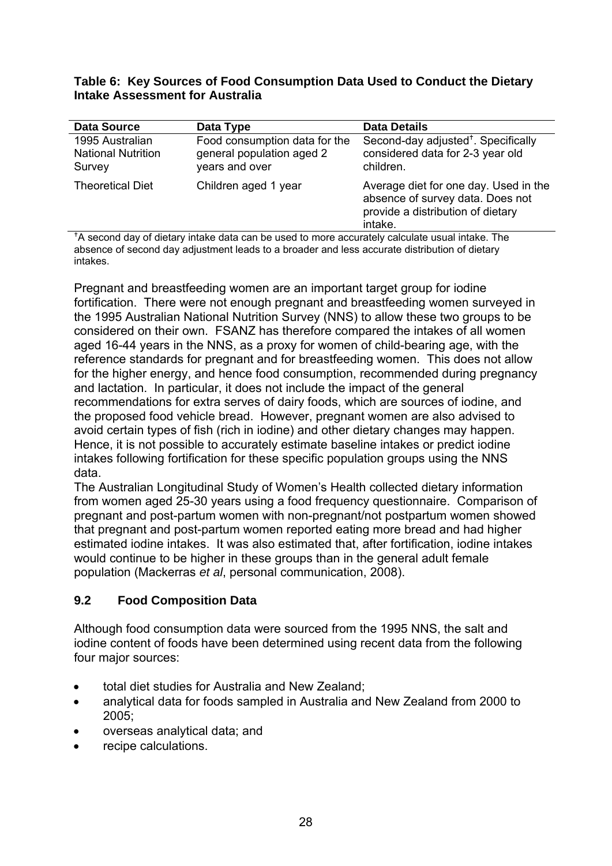#### **Table 6: Key Sources of Food Consumption Data Used to Conduct the Dietary Intake Assessment for Australia**

| <b>Data Source</b>                                     | Data Type                                                                    | <b>Data Details</b>                                                                                                       |
|--------------------------------------------------------|------------------------------------------------------------------------------|---------------------------------------------------------------------------------------------------------------------------|
| 1995 Australian<br><b>National Nutrition</b><br>Survey | Food consumption data for the<br>general population aged 2<br>years and over | Second-day adjusted <sup>+</sup> . Specifically<br>considered data for 2-3 year old<br>children.                          |
| <b>Theoretical Diet</b>                                | Children aged 1 year                                                         | Average diet for one day. Used in the<br>absence of survey data. Does not<br>provide a distribution of dietary<br>intake. |

<sup>+</sup>A second day of dietary intake data can be used to more accurately calculate usual intake. The absence of second day adjustment leads to a broader and less accurate distribution of dietary intakes.

Pregnant and breastfeeding women are an important target group for iodine fortification. There were not enough pregnant and breastfeeding women surveyed in the 1995 Australian National Nutrition Survey (NNS) to allow these two groups to be considered on their own. FSANZ has therefore compared the intakes of all women aged 16-44 years in the NNS, as a proxy for women of child-bearing age, with the reference standards for pregnant and for breastfeeding women. This does not allow for the higher energy, and hence food consumption, recommended during pregnancy and lactation. In particular, it does not include the impact of the general recommendations for extra serves of dairy foods, which are sources of iodine, and the proposed food vehicle bread. However, pregnant women are also advised to avoid certain types of fish (rich in iodine) and other dietary changes may happen. Hence, it is not possible to accurately estimate baseline intakes or predict iodine intakes following fortification for these specific population groups using the NNS data.

The Australian Longitudinal Study of Women's Health collected dietary information from women aged 25-30 years using a food frequency questionnaire. Comparison of pregnant and post-partum women with non-pregnant/not postpartum women showed that pregnant and post-partum women reported eating more bread and had higher estimated iodine intakes. It was also estimated that, after fortification, iodine intakes would continue to be higher in these groups than in the general adult female population (Mackerras *et al*, personal communication, 2008).

## **9.2 Food Composition Data**

Although food consumption data were sourced from the 1995 NNS, the salt and iodine content of foods have been determined using recent data from the following four major sources:

- total diet studies for Australia and New Zealand;
- analytical data for foods sampled in Australia and New Zealand from 2000 to 2005;
- overseas analytical data; and
- recipe calculations.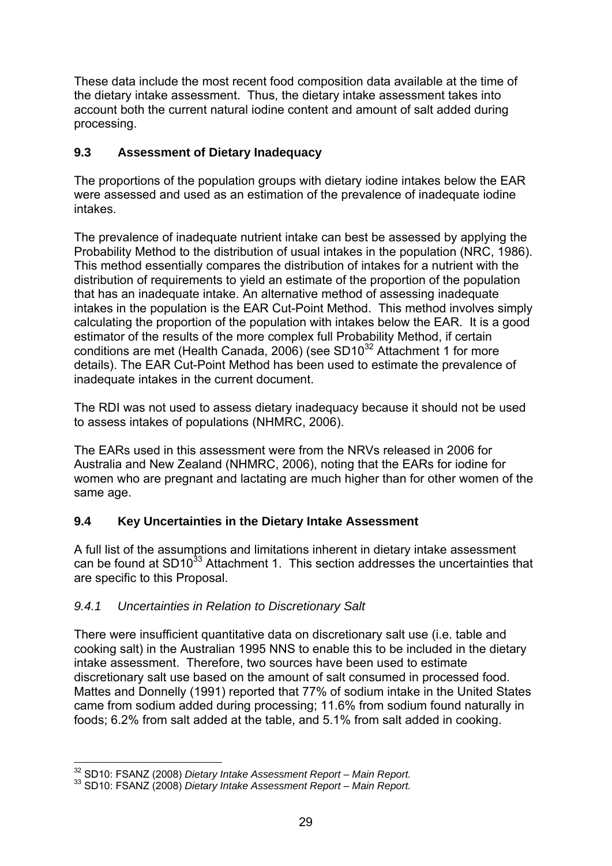These data include the most recent food composition data available at the time of the dietary intake assessment. Thus, the dietary intake assessment takes into account both the current natural iodine content and amount of salt added during processing.

## **9.3 Assessment of Dietary Inadequacy**

The proportions of the population groups with dietary iodine intakes below the EAR were assessed and used as an estimation of the prevalence of inadequate iodine intakes.

The prevalence of inadequate nutrient intake can best be assessed by applying the Probability Method to the distribution of usual intakes in the population (NRC, 1986). This method essentially compares the distribution of intakes for a nutrient with the distribution of requirements to yield an estimate of the proportion of the population that has an inadequate intake. An alternative method of assessing inadequate intakes in the population is the EAR Cut-Point Method. This method involves simply calculating the proportion of the population with intakes below the EAR. It is a good estimator of the results of the more complex full Probability Method, if certain conditions are met (Health Canada, 2006) (see  $SD10^{32}$  Attachment 1 for more details). The EAR Cut-Point Method has been used to estimate the prevalence of inadequate intakes in the current document.

The RDI was not used to assess dietary inadequacy because it should not be used to assess intakes of populations (NHMRC, 2006).

The EARs used in this assessment were from the NRVs released in 2006 for Australia and New Zealand (NHMRC, 2006), noting that the EARs for iodine for women who are pregnant and lactating are much higher than for other women of the same age.

## **9.4 Key Uncertainties in the Dietary Intake Assessment**

A full list of the assumptions and limitations inherent in dietary intake assessment can be found at SD10 $33$  Attachment 1. This section addresses the uncertainties that are specific to this Proposal.

## *9.4.1 Uncertainties in Relation to Discretionary Salt*

There were insufficient quantitative data on discretionary salt use (i.e. table and cooking salt) in the Australian 1995 NNS to enable this to be included in the dietary intake assessment. Therefore, two sources have been used to estimate discretionary salt use based on the amount of salt consumed in processed food. Mattes and Donnelly (1991) reported that 77% of sodium intake in the United States came from sodium added during processing; 11.6% from sodium found naturally in foods; 6.2% from salt added at the table, and 5.1% from salt added in cooking.

<sup>1</sup> 32 SD10: FSANZ (2008) *Dietary Intake Assessment Report – Main Report.* 33 SD10: FSANZ (2008) *Dietary Intake Assessment Report – Main Report.*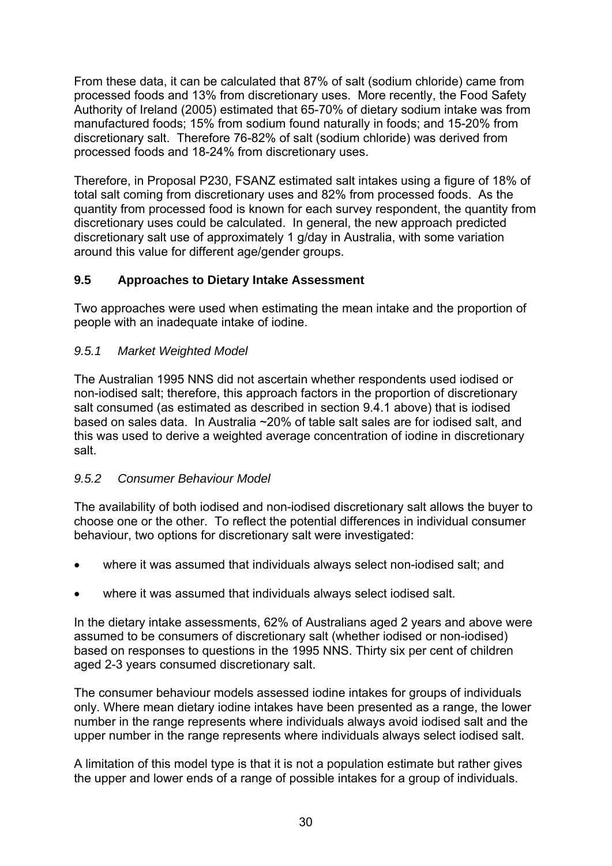From these data, it can be calculated that 87% of salt (sodium chloride) came from processed foods and 13% from discretionary uses. More recently, the Food Safety Authority of Ireland (2005) estimated that 65-70% of dietary sodium intake was from manufactured foods; 15% from sodium found naturally in foods; and 15-20% from discretionary salt. Therefore 76-82% of salt (sodium chloride) was derived from processed foods and 18-24% from discretionary uses.

Therefore, in Proposal P230, FSANZ estimated salt intakes using a figure of 18% of total salt coming from discretionary uses and 82% from processed foods. As the quantity from processed food is known for each survey respondent, the quantity from discretionary uses could be calculated. In general, the new approach predicted discretionary salt use of approximately 1 g/day in Australia, with some variation around this value for different age/gender groups.

### **9.5 Approaches to Dietary Intake Assessment**

Two approaches were used when estimating the mean intake and the proportion of people with an inadequate intake of iodine.

#### *9.5.1 Market Weighted Model*

The Australian 1995 NNS did not ascertain whether respondents used iodised or non-iodised salt; therefore, this approach factors in the proportion of discretionary salt consumed (as estimated as described in section 9.4.1 above) that is iodised based on sales data. In Australia ~20% of table salt sales are for iodised salt, and this was used to derive a weighted average concentration of iodine in discretionary salt.

#### *9.5.2 Consumer Behaviour Model*

The availability of both iodised and non-iodised discretionary salt allows the buyer to choose one or the other. To reflect the potential differences in individual consumer behaviour, two options for discretionary salt were investigated:

- where it was assumed that individuals always select non-iodised salt; and
- where it was assumed that individuals always select iodised salt.

In the dietary intake assessments, 62% of Australians aged 2 years and above were assumed to be consumers of discretionary salt (whether iodised or non-iodised) based on responses to questions in the 1995 NNS. Thirty six per cent of children aged 2-3 years consumed discretionary salt.

The consumer behaviour models assessed iodine intakes for groups of individuals only. Where mean dietary iodine intakes have been presented as a range, the lower number in the range represents where individuals always avoid iodised salt and the upper number in the range represents where individuals always select iodised salt.

A limitation of this model type is that it is not a population estimate but rather gives the upper and lower ends of a range of possible intakes for a group of individuals.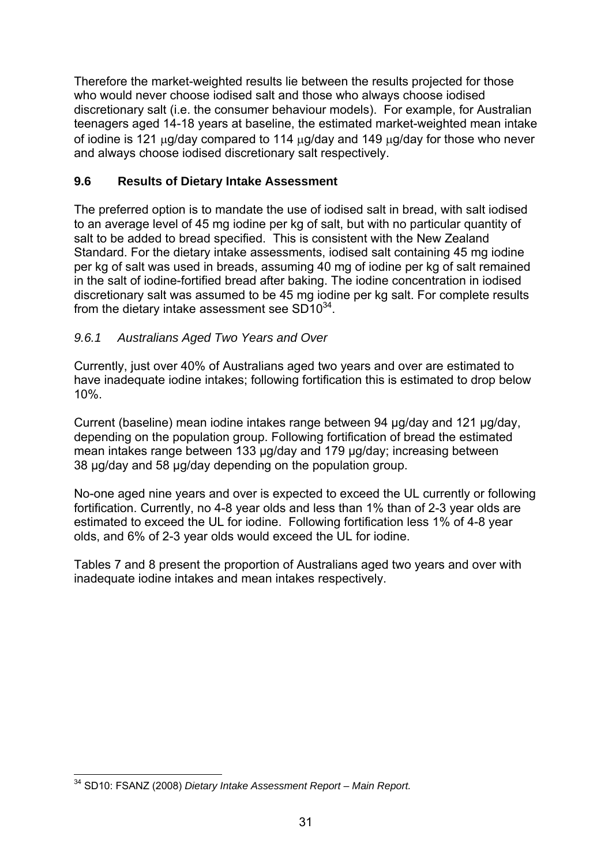Therefore the market-weighted results lie between the results projected for those who would never choose iodised salt and those who always choose iodised discretionary salt (i.e. the consumer behaviour models). For example, for Australian teenagers aged 14-18 years at baseline, the estimated market-weighted mean intake of iodine is 121 μg/day compared to 114 μg/day and 149 μg/day for those who never and always choose iodised discretionary salt respectively.

## **9.6 Results of Dietary Intake Assessment**

The preferred option is to mandate the use of iodised salt in bread, with salt iodised to an average level of 45 mg iodine per kg of salt, but with no particular quantity of salt to be added to bread specified. This is consistent with the New Zealand Standard. For the dietary intake assessments, iodised salt containing 45 mg iodine per kg of salt was used in breads, assuming 40 mg of iodine per kg of salt remained in the salt of iodine-fortified bread after baking. The iodine concentration in iodised discretionary salt was assumed to be 45 mg iodine per kg salt. For complete results from the dietary intake assessment see  $SD10^{34}$ .

### *9.6.1 Australians Aged Two Years and Over*

Currently, just over 40% of Australians aged two years and over are estimated to have inadequate iodine intakes; following fortification this is estimated to drop below 10%.

Current (baseline) mean iodine intakes range between 94 µg/day and 121 µg/day, depending on the population group. Following fortification of bread the estimated mean intakes range between 133 µg/day and 179 µg/day; increasing between 38 µg/day and 58 µg/day depending on the population group.

No-one aged nine years and over is expected to exceed the UL currently or following fortification. Currently, no 4-8 year olds and less than 1% than of 2-3 year olds are estimated to exceed the UL for iodine. Following fortification less 1% of 4-8 year olds, and 6% of 2-3 year olds would exceed the UL for iodine.

Tables 7 and 8 present the proportion of Australians aged two years and over with inadequate iodine intakes and mean intakes respectively.

<sup>1</sup> 34 SD10: FSANZ (2008) *Dietary Intake Assessment Report – Main Report.*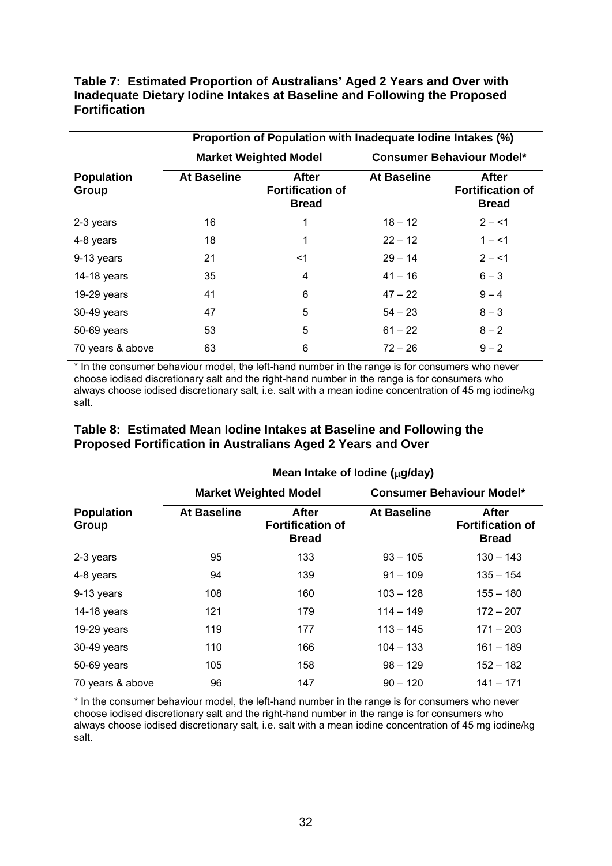**Table 7: Estimated Proportion of Australians' Aged 2 Years and Over with Inadequate Dietary Iodine Intakes at Baseline and Following the Proposed Fortification** 

|                            | Proportion of Population with Inadequate Iodine Intakes (%) |                                                                  |                    |                                                         |
|----------------------------|-------------------------------------------------------------|------------------------------------------------------------------|--------------------|---------------------------------------------------------|
|                            |                                                             | <b>Consumer Behaviour Model*</b><br><b>Market Weighted Model</b> |                    |                                                         |
| <b>Population</b><br>Group | <b>At Baseline</b>                                          | <b>After</b><br><b>Fortification of</b><br><b>Bread</b>          | <b>At Baseline</b> | <b>After</b><br><b>Fortification of</b><br><b>Bread</b> |
| 2-3 years                  | 16                                                          | 1                                                                | $18 - 12$          | $2 - 1$                                                 |
| 4-8 years                  | 18                                                          | 1                                                                | $22 - 12$          | $1 - 1$                                                 |
| 9-13 years                 | 21                                                          | <1                                                               | $29 - 14$          | $2 - 1$                                                 |
| 14-18 years                | 35                                                          | 4                                                                | $41 - 16$          | $6 - 3$                                                 |
| 19-29 years                | 41                                                          | 6                                                                | $47 - 22$          | $9 - 4$                                                 |
| 30-49 years                | 47                                                          | 5                                                                | $54 - 23$          | $8 - 3$                                                 |
| 50-69 years                | 53                                                          | 5                                                                | $61 - 22$          | $8 - 2$                                                 |
| 70 years & above           | 63                                                          | 6                                                                | $72 - 26$          | $9 - 2$                                                 |

\* In the consumer behaviour model, the left-hand number in the range is for consumers who never choose iodised discretionary salt and the right-hand number in the range is for consumers who always choose iodised discretionary salt, i.e. salt with a mean iodine concentration of 45 mg iodine/kg salt.

|  | Table 8: Estimated Mean Iodine Intakes at Baseline and Following the |  |
|--|----------------------------------------------------------------------|--|
|  | Proposed Fortification in Australians Aged 2 Years and Over          |  |

|                            | Mean Intake of Iodine (µg/day) |                                                                  |                    |                                                         |
|----------------------------|--------------------------------|------------------------------------------------------------------|--------------------|---------------------------------------------------------|
|                            |                                | <b>Consumer Behaviour Model*</b><br><b>Market Weighted Model</b> |                    |                                                         |
| <b>Population</b><br>Group | <b>At Baseline</b>             | <b>After</b><br><b>Fortification of</b><br><b>Bread</b>          | <b>At Baseline</b> | <b>After</b><br><b>Fortification of</b><br><b>Bread</b> |
| 2-3 years                  | 95                             | 133                                                              | $93 - 105$         | $130 - 143$                                             |
| 4-8 years                  | 94                             | 139                                                              | $91 - 109$         | $135 - 154$                                             |
| 9-13 years                 | 108                            | 160                                                              | $103 - 128$        | $155 - 180$                                             |
| 14-18 years                | 121                            | 179                                                              | $114 - 149$        | $172 - 207$                                             |
| 19-29 years                | 119                            | 177                                                              | $113 - 145$        | $171 - 203$                                             |
| 30-49 years                | 110                            | 166                                                              | 104 – 133          | $161 - 189$                                             |
| 50-69 years                | 105                            | 158                                                              | $98 - 129$         | $152 - 182$                                             |
| 70 years & above           | 96                             | 147                                                              | $90 - 120$         | $141 - 171$                                             |

\* In the consumer behaviour model, the left-hand number in the range is for consumers who never choose iodised discretionary salt and the right-hand number in the range is for consumers who always choose iodised discretionary salt, i.e. salt with a mean iodine concentration of 45 mg iodine/kg salt.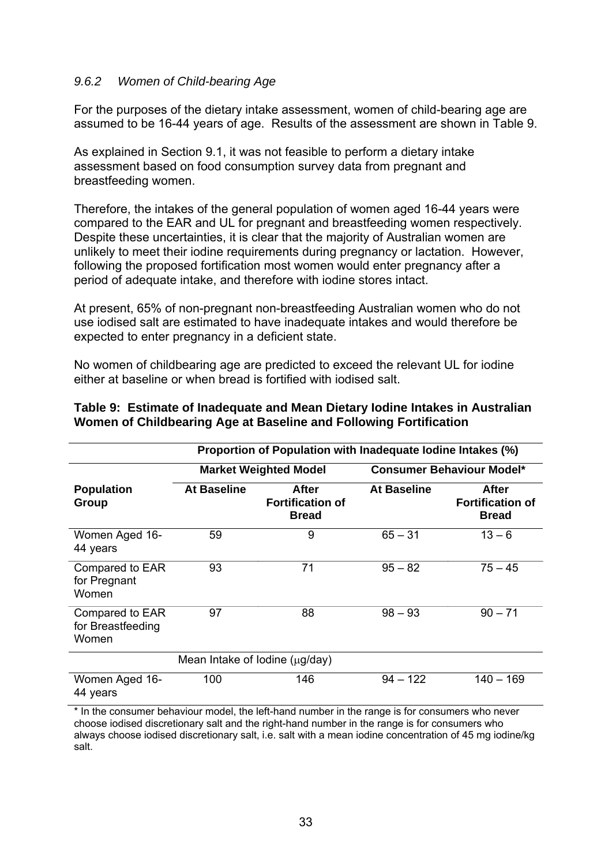#### *9.6.2 Women of Child-bearing Age*

For the purposes of the dietary intake assessment, women of child-bearing age are assumed to be 16-44 years of age. Results of the assessment are shown in Table 9.

As explained in Section 9.1, it was not feasible to perform a dietary intake assessment based on food consumption survey data from pregnant and breastfeeding women.

Therefore, the intakes of the general population of women aged 16-44 years were compared to the EAR and UL for pregnant and breastfeeding women respectively. Despite these uncertainties, it is clear that the majority of Australian women are unlikely to meet their iodine requirements during pregnancy or lactation. However, following the proposed fortification most women would enter pregnancy after a period of adequate intake, and therefore with iodine stores intact.

At present, 65% of non-pregnant non-breastfeeding Australian women who do not use iodised salt are estimated to have inadequate intakes and would therefore be expected to enter pregnancy in a deficient state.

No women of childbearing age are predicted to exceed the relevant UL for iodine either at baseline or when bread is fortified with iodised salt.

|                                               |                    | Proportion of Population with Inadequate Iodine Intakes (%) |                                  |                                                  |
|-----------------------------------------------|--------------------|-------------------------------------------------------------|----------------------------------|--------------------------------------------------|
| <b>Market Weighted Model</b>                  |                    |                                                             | <b>Consumer Behaviour Model*</b> |                                                  |
| <b>Population</b><br>Group                    | <b>At Baseline</b> | After<br><b>Fortification of</b><br><b>Bread</b>            | At Baseline                      | After<br><b>Fortification of</b><br><b>Bread</b> |
| Women Aged 16-<br>44 years                    | 59                 | 9                                                           | $65 - 31$                        | $13 - 6$                                         |
| Compared to EAR<br>for Pregnant<br>Women      | 93                 | 71                                                          | $95 - 82$                        | $75 - 45$                                        |
| Compared to EAR<br>for Breastfeeding<br>Women | 97                 | 88                                                          | $98 - 93$                        | $90 - 71$                                        |
| Mean Intake of Iodine $(\mu q / day)$         |                    |                                                             |                                  |                                                  |
| Women Aged 16-<br>44 years                    | 100                | 146                                                         | $94 - 122$                       | $140 - 169$                                      |

#### **Table 9: Estimate of Inadequate and Mean Dietary Iodine Intakes in Australian Women of Childbearing Age at Baseline and Following Fortification**

\* In the consumer behaviour model, the left-hand number in the range is for consumers who never choose iodised discretionary salt and the right-hand number in the range is for consumers who always choose iodised discretionary salt, i.e. salt with a mean iodine concentration of 45 mg iodine/kg salt.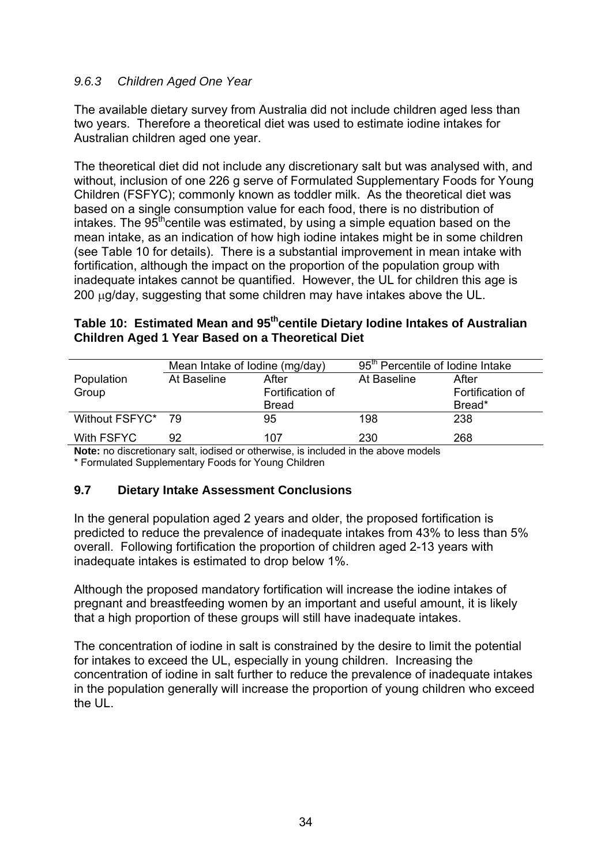## *9.6.3 Children Aged One Year*

The available dietary survey from Australia did not include children aged less than two years. Therefore a theoretical diet was used to estimate iodine intakes for Australian children aged one year.

The theoretical diet did not include any discretionary salt but was analysed with, and without, inclusion of one 226 g serve of Formulated Supplementary Foods for Young Children (FSFYC); commonly known as toddler milk. As the theoretical diet was based on a single consumption value for each food, there is no distribution of intakes. The  $95<sup>th</sup>$ centile was estimated, by using a simple equation based on the mean intake, as an indication of how high iodine intakes might be in some children (see Table 10 for details). There is a substantial improvement in mean intake with fortification, although the impact on the proportion of the population group with inadequate intakes cannot be quantified. However, the UL for children this age is 200 μg/day, suggesting that some children may have intakes above the UL.

#### Table 10: Estimated Mean and 95<sup>th</sup>centile Dietary lodine Intakes of Australian **Children Aged 1 Year Based on a Theoretical Diet**

|                   | Mean Intake of Iodine (mg/day)                                                                                    |                  | 95 <sup>th</sup> Percentile of Iodine Intake |                  |
|-------------------|-------------------------------------------------------------------------------------------------------------------|------------------|----------------------------------------------|------------------|
| Population        | At Baseline                                                                                                       | After            | At Baseline                                  | After            |
| Group             |                                                                                                                   | Fortification of |                                              | Fortification of |
|                   |                                                                                                                   | <b>Bread</b>     |                                              | Bread*           |
| Without FSFYC* 79 |                                                                                                                   | 95               | 198                                          | 238              |
| With FSFYC        | 92                                                                                                                | 107              | 230                                          | 268              |
|                   | بملواه ومورود والمستقاط والمستراة والمسترات والمستحدث والمستنقص والمستنقص والمستحدث والمستحدث والمستحدث والمستحدث |                  |                                              |                  |

**Note:** no discretionary salt, iodised or otherwise, is included in the above models \* Formulated Supplementary Foods for Young Children

## **9.7 Dietary Intake Assessment Conclusions**

In the general population aged 2 years and older, the proposed fortification is predicted to reduce the prevalence of inadequate intakes from 43% to less than 5% overall. Following fortification the proportion of children aged 2-13 years with inadequate intakes is estimated to drop below 1%.

Although the proposed mandatory fortification will increase the iodine intakes of pregnant and breastfeeding women by an important and useful amount, it is likely that a high proportion of these groups will still have inadequate intakes.

The concentration of iodine in salt is constrained by the desire to limit the potential for intakes to exceed the UL, especially in young children. Increasing the concentration of iodine in salt further to reduce the prevalence of inadequate intakes in the population generally will increase the proportion of young children who exceed the UL.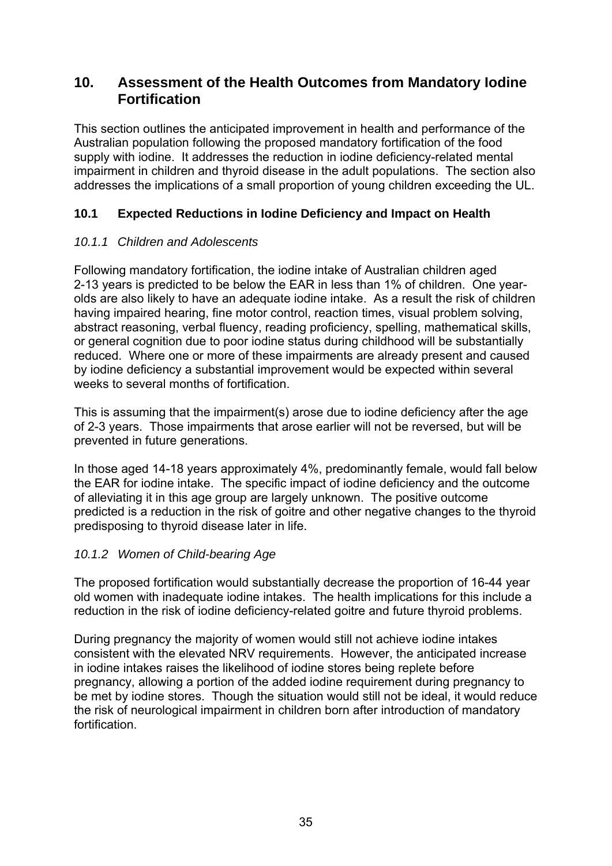# **10. Assessment of the Health Outcomes from Mandatory Iodine Fortification**

This section outlines the anticipated improvement in health and performance of the Australian population following the proposed mandatory fortification of the food supply with iodine. It addresses the reduction in iodine deficiency-related mental impairment in children and thyroid disease in the adult populations. The section also addresses the implications of a small proportion of young children exceeding the UL.

# **10.1 Expected Reductions in Iodine Deficiency and Impact on Health**

## *10.1.1 Children and Adolescents*

Following mandatory fortification, the iodine intake of Australian children aged 2-13 years is predicted to be below the EAR in less than 1% of children. One yearolds are also likely to have an adequate iodine intake. As a result the risk of children having impaired hearing, fine motor control, reaction times, visual problem solving, abstract reasoning, verbal fluency, reading proficiency, spelling, mathematical skills, or general cognition due to poor iodine status during childhood will be substantially reduced. Where one or more of these impairments are already present and caused by iodine deficiency a substantial improvement would be expected within several weeks to several months of fortification.

This is assuming that the impairment(s) arose due to iodine deficiency after the age of 2-3 years. Those impairments that arose earlier will not be reversed, but will be prevented in future generations.

In those aged 14-18 years approximately 4%, predominantly female, would fall below the EAR for iodine intake. The specific impact of iodine deficiency and the outcome of alleviating it in this age group are largely unknown. The positive outcome predicted is a reduction in the risk of goitre and other negative changes to the thyroid predisposing to thyroid disease later in life.

## *10.1.2 Women of Child-bearing Age*

The proposed fortification would substantially decrease the proportion of 16-44 year old women with inadequate iodine intakes. The health implications for this include a reduction in the risk of iodine deficiency-related goitre and future thyroid problems.

During pregnancy the majority of women would still not achieve iodine intakes consistent with the elevated NRV requirements. However, the anticipated increase in iodine intakes raises the likelihood of iodine stores being replete before pregnancy, allowing a portion of the added iodine requirement during pregnancy to be met by iodine stores. Though the situation would still not be ideal, it would reduce the risk of neurological impairment in children born after introduction of mandatory fortification.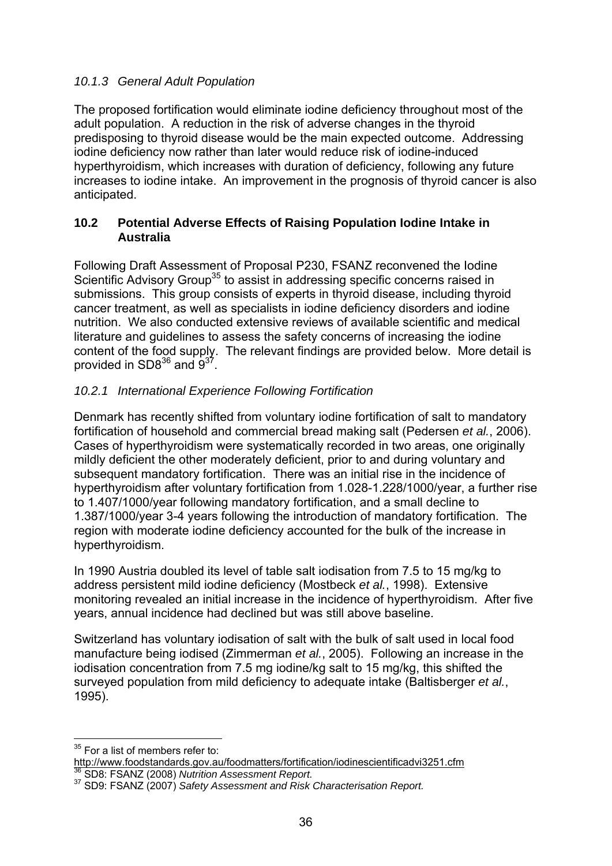#### *10.1.3 General Adult Population*

The proposed fortification would eliminate iodine deficiency throughout most of the adult population. A reduction in the risk of adverse changes in the thyroid predisposing to thyroid disease would be the main expected outcome. Addressing iodine deficiency now rather than later would reduce risk of iodine-induced hyperthyroidism, which increases with duration of deficiency, following any future increases to iodine intake. An improvement in the prognosis of thyroid cancer is also anticipated.

#### **10.2 Potential Adverse Effects of Raising Population Iodine Intake in Australia**

Following Draft Assessment of Proposal P230, FSANZ reconvened the Iodine Scientific Advisory Group<sup>35</sup> to assist in addressing specific concerns raised in submissions. This group consists of experts in thyroid disease, including thyroid cancer treatment, as well as specialists in iodine deficiency disorders and iodine nutrition. We also conducted extensive reviews of available scientific and medical literature and guidelines to assess the safety concerns of increasing the iodine content of the food supply. The relevant findings are provided below. More detail is provided in  $SD8^{36}$  and  $9^{37}$ .

# *10.2.1 International Experience Following Fortification*

Denmark has recently shifted from voluntary iodine fortification of salt to mandatory fortification of household and commercial bread making salt (Pedersen *et al.*, 2006). Cases of hyperthyroidism were systematically recorded in two areas, one originally mildly deficient the other moderately deficient, prior to and during voluntary and subsequent mandatory fortification. There was an initial rise in the incidence of hyperthyroidism after voluntary fortification from 1.028-1.228/1000/year, a further rise to 1.407/1000/year following mandatory fortification, and a small decline to 1.387/1000/year 3-4 years following the introduction of mandatory fortification. The region with moderate iodine deficiency accounted for the bulk of the increase in hyperthyroidism.

In 1990 Austria doubled its level of table salt iodisation from 7.5 to 15 mg/kg to address persistent mild iodine deficiency (Mostbeck *et al.*, 1998). Extensive monitoring revealed an initial increase in the incidence of hyperthyroidism. After five years, annual incidence had declined but was still above baseline.

Switzerland has voluntary iodisation of salt with the bulk of salt used in local food manufacture being iodised (Zimmerman *et al.*, 2005). Following an increase in the iodisation concentration from 7.5 mg iodine/kg salt to 15 mg/kg, this shifted the surveyed population from mild deficiency to adequate intake (Baltisberger *et al.*, 1995).

<sup>1</sup>  $35$  For a list of members refer to:

http://www.foodstandards.gov.au/foodmatters/fortification/iodinescientificadvi3251.cfm

<sup>36</sup> SD8: FSANZ (2008) *Nutrition Assessment Report.* 37 SD9: FSANZ (2007) *Safety Assessment and Risk Characterisation Report.*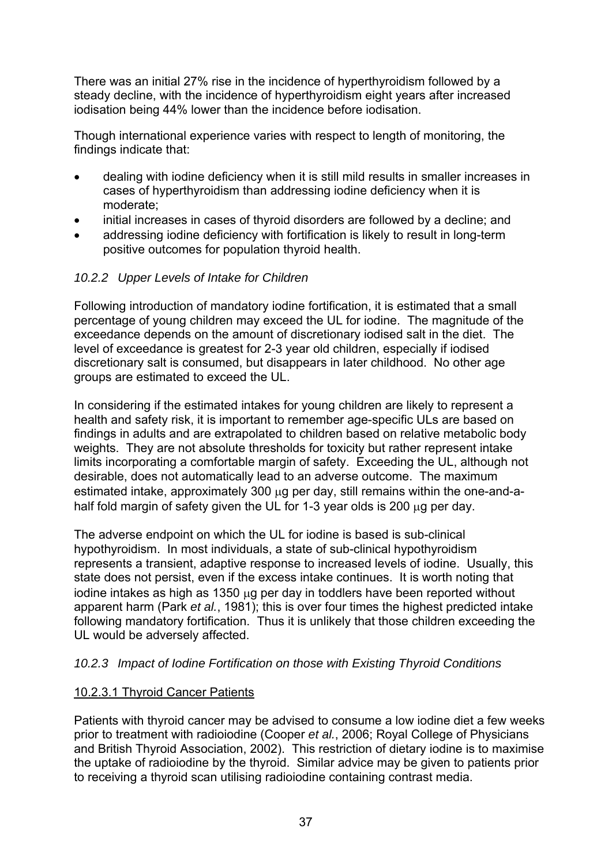There was an initial 27% rise in the incidence of hyperthyroidism followed by a steady decline, with the incidence of hyperthyroidism eight years after increased iodisation being 44% lower than the incidence before iodisation.

Though international experience varies with respect to length of monitoring, the findings indicate that:

- dealing with iodine deficiency when it is still mild results in smaller increases in cases of hyperthyroidism than addressing iodine deficiency when it is moderate;
- initial increases in cases of thyroid disorders are followed by a decline; and
- addressing iodine deficiency with fortification is likely to result in long-term positive outcomes for population thyroid health.

#### *10.2.2 Upper Levels of Intake for Children*

Following introduction of mandatory iodine fortification, it is estimated that a small percentage of young children may exceed the UL for iodine. The magnitude of the exceedance depends on the amount of discretionary iodised salt in the diet. The level of exceedance is greatest for 2-3 year old children, especially if iodised discretionary salt is consumed, but disappears in later childhood. No other age groups are estimated to exceed the UL.

In considering if the estimated intakes for young children are likely to represent a health and safety risk, it is important to remember age-specific ULs are based on findings in adults and are extrapolated to children based on relative metabolic body weights. They are not absolute thresholds for toxicity but rather represent intake limits incorporating a comfortable margin of safety. Exceeding the UL, although not desirable, does not automatically lead to an adverse outcome. The maximum estimated intake, approximately 300 μg per day, still remains within the one-and-ahalf fold margin of safety given the UL for 1-3 year olds is 200 μg per day.

The adverse endpoint on which the UL for iodine is based is sub-clinical hypothyroidism. In most individuals, a state of sub-clinical hypothyroidism represents a transient, adaptive response to increased levels of iodine. Usually, this state does not persist, even if the excess intake continues. It is worth noting that iodine intakes as high as 1350 μg per day in toddlers have been reported without apparent harm (Park *et al.*, 1981); this is over four times the highest predicted intake following mandatory fortification. Thus it is unlikely that those children exceeding the UL would be adversely affected.

#### *10.2.3 Impact of Iodine Fortification on those with Existing Thyroid Conditions*

#### 10.2.3.1 Thyroid Cancer Patients

Patients with thyroid cancer may be advised to consume a low iodine diet a few weeks prior to treatment with radioiodine (Cooper *et al.*, 2006; Royal College of Physicians and British Thyroid Association, 2002). This restriction of dietary iodine is to maximise the uptake of radioiodine by the thyroid. Similar advice may be given to patients prior to receiving a thyroid scan utilising radioiodine containing contrast media.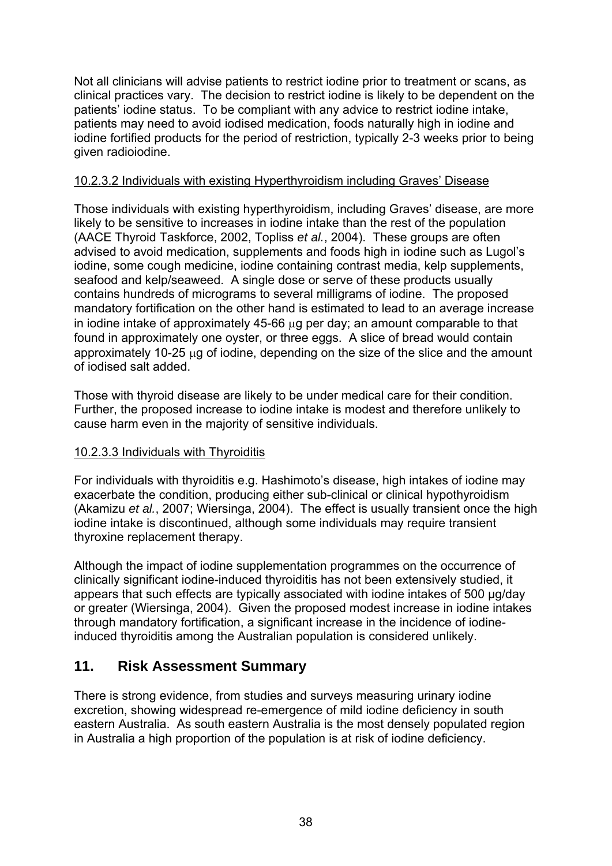Not all clinicians will advise patients to restrict iodine prior to treatment or scans, as clinical practices vary. The decision to restrict iodine is likely to be dependent on the patients' iodine status. To be compliant with any advice to restrict iodine intake, patients may need to avoid iodised medication, foods naturally high in iodine and iodine fortified products for the period of restriction, typically 2-3 weeks prior to being given radioiodine.

#### 10.2.3.2 Individuals with existing Hyperthyroidism including Graves' Disease

Those individuals with existing hyperthyroidism, including Graves' disease, are more likely to be sensitive to increases in iodine intake than the rest of the population (AACE Thyroid Taskforce, 2002, Topliss *et al.*, 2004). These groups are often advised to avoid medication, supplements and foods high in iodine such as Lugol's iodine, some cough medicine, iodine containing contrast media, kelp supplements, seafood and kelp/seaweed. A single dose or serve of these products usually contains hundreds of micrograms to several milligrams of iodine. The proposed mandatory fortification on the other hand is estimated to lead to an average increase in iodine intake of approximately 45-66 μg per day; an amount comparable to that found in approximately one oyster, or three eggs. A slice of bread would contain approximately 10-25 μg of iodine, depending on the size of the slice and the amount of iodised salt added.

Those with thyroid disease are likely to be under medical care for their condition. Further, the proposed increase to iodine intake is modest and therefore unlikely to cause harm even in the majority of sensitive individuals.

## 10.2.3.3 Individuals with Thyroiditis

For individuals with thyroiditis e.g. Hashimoto's disease, high intakes of iodine may exacerbate the condition, producing either sub-clinical or clinical hypothyroidism (Akamizu *et al.*, 2007; Wiersinga, 2004). The effect is usually transient once the high iodine intake is discontinued, although some individuals may require transient thyroxine replacement therapy.

Although the impact of iodine supplementation programmes on the occurrence of clinically significant iodine-induced thyroiditis has not been extensively studied, it appears that such effects are typically associated with iodine intakes of 500 μg/day or greater (Wiersinga, 2004). Given the proposed modest increase in iodine intakes through mandatory fortification, a significant increase in the incidence of iodineinduced thyroiditis among the Australian population is considered unlikely.

# **11. Risk Assessment Summary**

There is strong evidence, from studies and surveys measuring urinary iodine excretion, showing widespread re-emergence of mild iodine deficiency in south eastern Australia. As south eastern Australia is the most densely populated region in Australia a high proportion of the population is at risk of iodine deficiency.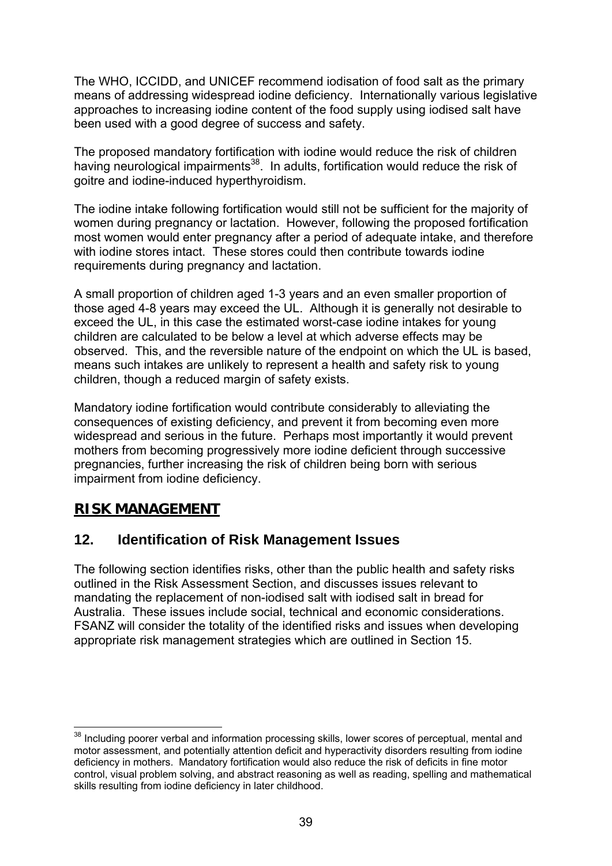The WHO, ICCIDD, and UNICEF recommend iodisation of food salt as the primary means of addressing widespread iodine deficiency. Internationally various legislative approaches to increasing iodine content of the food supply using iodised salt have been used with a good degree of success and safety.

The proposed mandatory fortification with iodine would reduce the risk of children having neurological impairments<sup>38</sup>. In adults, fortification would reduce the risk of goitre and iodine-induced hyperthyroidism.

The iodine intake following fortification would still not be sufficient for the majority of women during pregnancy or lactation. However, following the proposed fortification most women would enter pregnancy after a period of adequate intake, and therefore with iodine stores intact. These stores could then contribute towards iodine requirements during pregnancy and lactation.

A small proportion of children aged 1-3 years and an even smaller proportion of those aged 4-8 years may exceed the UL. Although it is generally not desirable to exceed the UL, in this case the estimated worst-case iodine intakes for young children are calculated to be below a level at which adverse effects may be observed. This, and the reversible nature of the endpoint on which the UL is based, means such intakes are unlikely to represent a health and safety risk to young children, though a reduced margin of safety exists.

Mandatory iodine fortification would contribute considerably to alleviating the consequences of existing deficiency, and prevent it from becoming even more widespread and serious in the future. Perhaps most importantly it would prevent mothers from becoming progressively more iodine deficient through successive pregnancies, further increasing the risk of children being born with serious impairment from iodine deficiency.

# **RISK MANAGEMENT**

# **12. Identification of Risk Management Issues**

The following section identifies risks, other than the public health and safety risks outlined in the Risk Assessment Section, and discusses issues relevant to mandating the replacement of non-iodised salt with iodised salt in bread for Australia. These issues include social, technical and economic considerations. FSANZ will consider the totality of the identified risks and issues when developing appropriate risk management strategies which are outlined in Section 15.

<sup>1</sup>  $38$  Including poorer verbal and information processing skills, lower scores of perceptual, mental and motor assessment, and potentially attention deficit and hyperactivity disorders resulting from iodine deficiency in mothers. Mandatory fortification would also reduce the risk of deficits in fine motor control, visual problem solving, and abstract reasoning as well as reading, spelling and mathematical skills resulting from iodine deficiency in later childhood.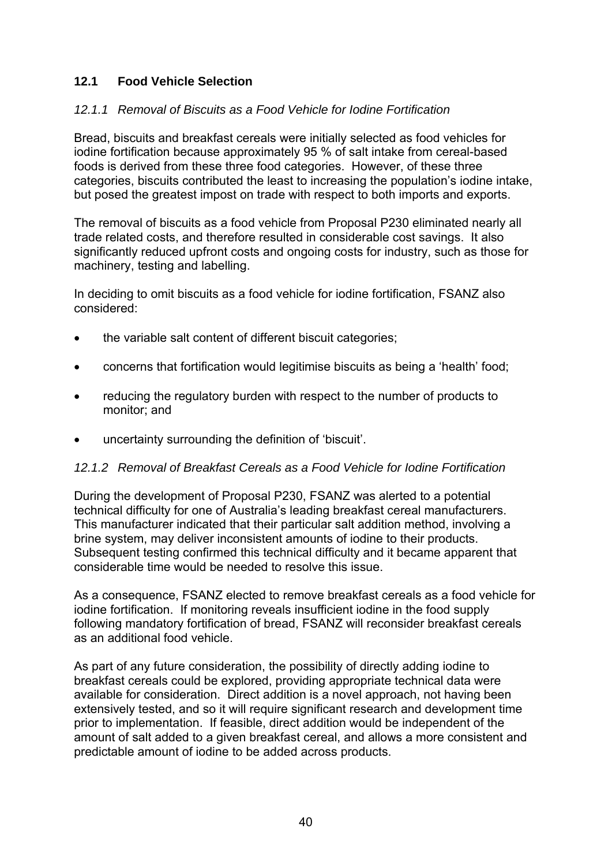# **12.1 Food Vehicle Selection**

#### *12.1.1 Removal of Biscuits as a Food Vehicle for Iodine Fortification*

Bread, biscuits and breakfast cereals were initially selected as food vehicles for iodine fortification because approximately 95 % of salt intake from cereal-based foods is derived from these three food categories. However, of these three categories, biscuits contributed the least to increasing the population's iodine intake, but posed the greatest impost on trade with respect to both imports and exports.

The removal of biscuits as a food vehicle from Proposal P230 eliminated nearly all trade related costs, and therefore resulted in considerable cost savings. It also significantly reduced upfront costs and ongoing costs for industry, such as those for machinery, testing and labelling.

In deciding to omit biscuits as a food vehicle for iodine fortification, FSANZ also considered:

- the variable salt content of different biscuit categories;
- concerns that fortification would legitimise biscuits as being a 'health' food;
- reducing the regulatory burden with respect to the number of products to monitor; and
- uncertainty surrounding the definition of 'biscuit'.

#### *12.1.2 Removal of Breakfast Cereals as a Food Vehicle for Iodine Fortification*

During the development of Proposal P230, FSANZ was alerted to a potential technical difficulty for one of Australia's leading breakfast cereal manufacturers. This manufacturer indicated that their particular salt addition method, involving a brine system, may deliver inconsistent amounts of iodine to their products. Subsequent testing confirmed this technical difficulty and it became apparent that considerable time would be needed to resolve this issue.

As a consequence, FSANZ elected to remove breakfast cereals as a food vehicle for iodine fortification. If monitoring reveals insufficient iodine in the food supply following mandatory fortification of bread, FSANZ will reconsider breakfast cereals as an additional food vehicle.

As part of any future consideration, the possibility of directly adding iodine to breakfast cereals could be explored, providing appropriate technical data were available for consideration. Direct addition is a novel approach, not having been extensively tested, and so it will require significant research and development time prior to implementation. If feasible, direct addition would be independent of the amount of salt added to a given breakfast cereal, and allows a more consistent and predictable amount of iodine to be added across products.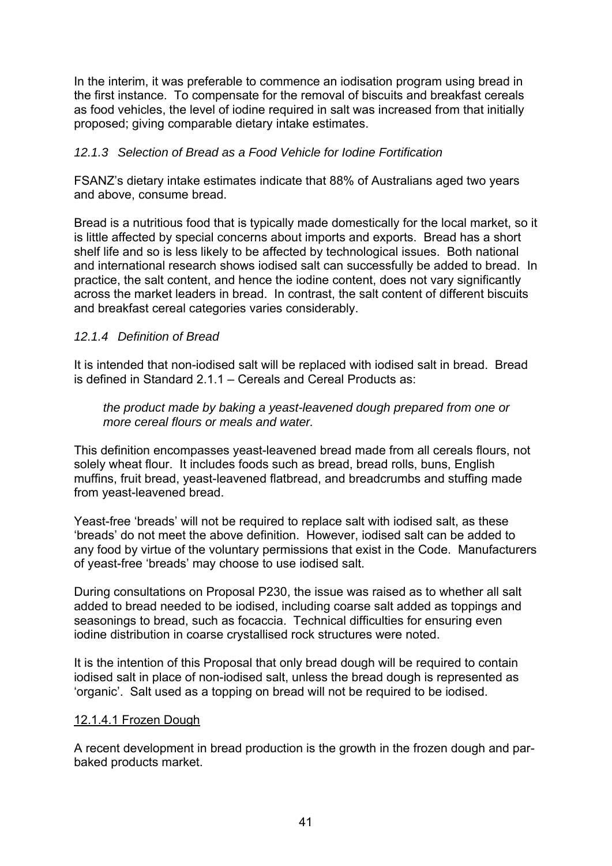In the interim, it was preferable to commence an iodisation program using bread in the first instance. To compensate for the removal of biscuits and breakfast cereals as food vehicles, the level of iodine required in salt was increased from that initially proposed; giving comparable dietary intake estimates.

#### *12.1.3 Selection of Bread as a Food Vehicle for Iodine Fortification*

FSANZ's dietary intake estimates indicate that 88% of Australians aged two years and above, consume bread.

Bread is a nutritious food that is typically made domestically for the local market, so it is little affected by special concerns about imports and exports. Bread has a short shelf life and so is less likely to be affected by technological issues. Both national and international research shows iodised salt can successfully be added to bread. In practice, the salt content, and hence the iodine content, does not vary significantly across the market leaders in bread. In contrast, the salt content of different biscuits and breakfast cereal categories varies considerably.

#### *12.1.4 Definition of Bread*

It is intended that non-iodised salt will be replaced with iodised salt in bread. Bread is defined in Standard 2.1.1 – Cereals and Cereal Products as:

 *the product made by baking a yeast-leavened dough prepared from one or more cereal flours or meals and water.* 

This definition encompasses yeast-leavened bread made from all cereals flours, not solely wheat flour. It includes foods such as bread, bread rolls, buns, English muffins, fruit bread, yeast-leavened flatbread, and breadcrumbs and stuffing made from yeast-leavened bread.

Yeast-free 'breads' will not be required to replace salt with iodised salt, as these 'breads' do not meet the above definition. However, iodised salt can be added to any food by virtue of the voluntary permissions that exist in the Code. Manufacturers of yeast-free 'breads' may choose to use iodised salt.

During consultations on Proposal P230, the issue was raised as to whether all salt added to bread needed to be iodised, including coarse salt added as toppings and seasonings to bread, such as focaccia. Technical difficulties for ensuring even iodine distribution in coarse crystallised rock structures were noted.

It is the intention of this Proposal that only bread dough will be required to contain iodised salt in place of non-iodised salt, unless the bread dough is represented as 'organic'. Salt used as a topping on bread will not be required to be iodised.

#### 12.1.4.1 Frozen Dough

A recent development in bread production is the growth in the frozen dough and parbaked products market.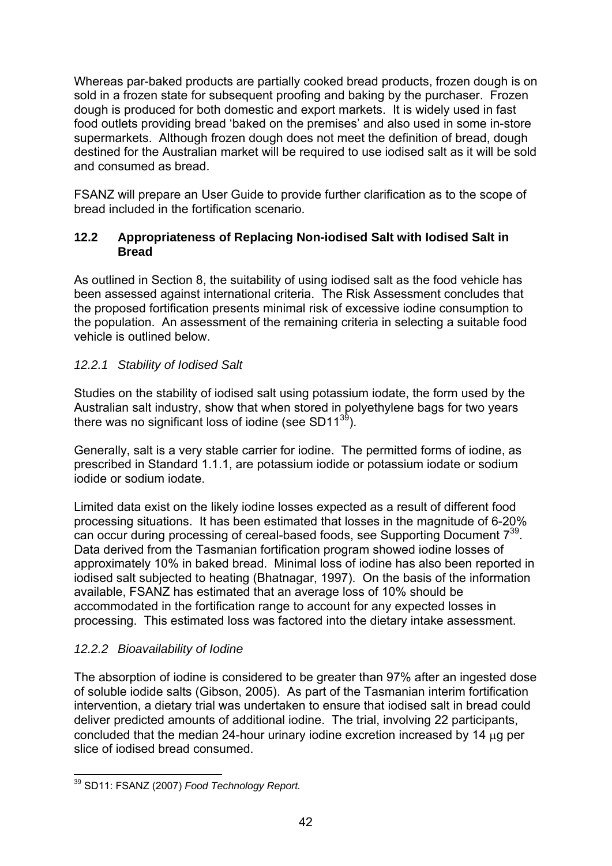Whereas par-baked products are partially cooked bread products, frozen dough is on sold in a frozen state for subsequent proofing and baking by the purchaser. Frozen dough is produced for both domestic and export markets. It is widely used in fast food outlets providing bread 'baked on the premises' and also used in some in-store supermarkets. Although frozen dough does not meet the definition of bread, dough destined for the Australian market will be required to use iodised salt as it will be sold and consumed as bread.

FSANZ will prepare an User Guide to provide further clarification as to the scope of bread included in the fortification scenario.

## **12.2 Appropriateness of Replacing Non-iodised Salt with Iodised Salt in Bread**

As outlined in Section 8, the suitability of using iodised salt as the food vehicle has been assessed against international criteria. The Risk Assessment concludes that the proposed fortification presents minimal risk of excessive iodine consumption to the population. An assessment of the remaining criteria in selecting a suitable food vehicle is outlined below.

# *12.2.1 Stability of Iodised Salt*

Studies on the stability of iodised salt using potassium iodate, the form used by the Australian salt industry, show that when stored in polyethylene bags for two years there was no significant loss of iodine (see SD11 $39$ ).

Generally, salt is a very stable carrier for iodine. The permitted forms of iodine, as prescribed in Standard 1.1.1, are potassium iodide or potassium iodate or sodium iodide or sodium iodate.

Limited data exist on the likely iodine losses expected as a result of different food processing situations. It has been estimated that losses in the magnitude of 6-20% can occur during processing of cereal-based foods, see Supporting Document 739. Data derived from the Tasmanian fortification program showed iodine losses of approximately 10% in baked bread. Minimal loss of iodine has also been reported in iodised salt subjected to heating (Bhatnagar, 1997). On the basis of the information available, FSANZ has estimated that an average loss of 10% should be accommodated in the fortification range to account for any expected losses in processing. This estimated loss was factored into the dietary intake assessment.

## *12.2.2 Bioavailability of Iodine*

The absorption of iodine is considered to be greater than 97% after an ingested dose of soluble iodide salts (Gibson, 2005). As part of the Tasmanian interim fortification intervention, a dietary trial was undertaken to ensure that iodised salt in bread could deliver predicted amounts of additional iodine. The trial, involving 22 participants, concluded that the median 24-hour urinary iodine excretion increased by 14 μg per slice of iodised bread consumed.

<sup>1</sup> 39 SD11: FSANZ (2007) *Food Technology Report.*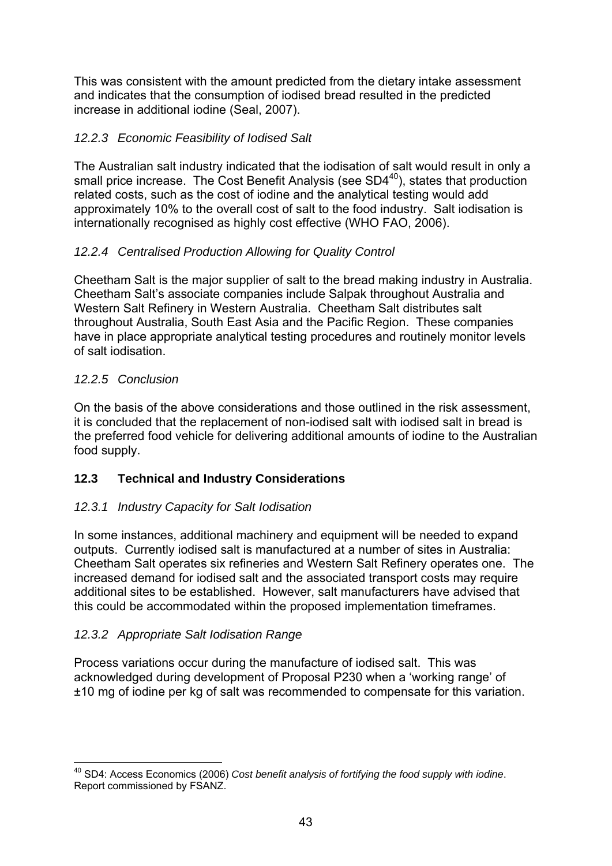This was consistent with the amount predicted from the dietary intake assessment and indicates that the consumption of iodised bread resulted in the predicted increase in additional iodine (Seal, 2007).

# *12.2.3 Economic Feasibility of Iodised Salt*

The Australian salt industry indicated that the iodisation of salt would result in only a small price increase. The Cost Benefit Analysis (see SD4<sup>40</sup>), states that production related costs, such as the cost of iodine and the analytical testing would add approximately 10% to the overall cost of salt to the food industry. Salt iodisation is internationally recognised as highly cost effective (WHO FAO, 2006).

# *12.2.4 Centralised Production Allowing for Quality Control*

Cheetham Salt is the major supplier of salt to the bread making industry in Australia. Cheetham Salt's associate companies include Salpak throughout Australia and Western Salt Refinery in Western Australia. Cheetham Salt distributes salt throughout Australia, South East Asia and the Pacific Region. These companies have in place appropriate analytical testing procedures and routinely monitor levels of salt iodisation.

## *12.2.5 Conclusion*

On the basis of the above considerations and those outlined in the risk assessment, it is concluded that the replacement of non-iodised salt with iodised salt in bread is the preferred food vehicle for delivering additional amounts of iodine to the Australian food supply.

# **12.3 Technical and Industry Considerations**

## *12.3.1 Industry Capacity for Salt Iodisation*

In some instances, additional machinery and equipment will be needed to expand outputs. Currently iodised salt is manufactured at a number of sites in Australia: Cheetham Salt operates six refineries and Western Salt Refinery operates one. The increased demand for iodised salt and the associated transport costs may require additional sites to be established. However, salt manufacturers have advised that this could be accommodated within the proposed implementation timeframes.

## *12.3.2 Appropriate Salt Iodisation Range*

Process variations occur during the manufacture of iodised salt. This was acknowledged during development of Proposal P230 when a 'working range' of ±10 mg of iodine per kg of salt was recommended to compensate for this variation.

<sup>1</sup> 40 SD4: Access Economics (2006) *Cost benefit analysis of fortifying the food supply with iodine*. Report commissioned by FSANZ.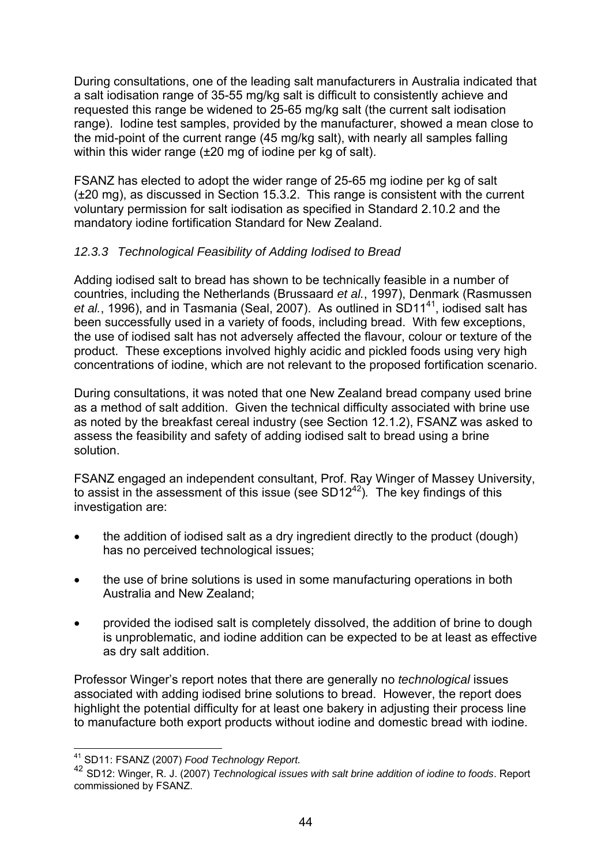During consultations, one of the leading salt manufacturers in Australia indicated that a salt iodisation range of 35-55 mg/kg salt is difficult to consistently achieve and requested this range be widened to 25-65 mg/kg salt (the current salt iodisation range). Iodine test samples, provided by the manufacturer, showed a mean close to the mid-point of the current range (45 mg/kg salt), with nearly all samples falling within this wider range (±20 mg of iodine per kg of salt).

FSANZ has elected to adopt the wider range of 25-65 mg iodine per kg of salt (±20 mg), as discussed in Section 15.3.2. This range is consistent with the current voluntary permission for salt iodisation as specified in Standard 2.10.2 and the mandatory iodine fortification Standard for New Zealand.

## *12.3.3 Technological Feasibility of Adding Iodised to Bread*

Adding iodised salt to bread has shown to be technically feasible in a number of countries, including the Netherlands (Brussaard *et al.*, 1997), Denmark (Rasmussen et al., 1996), and in Tasmania (Seal, 2007). As outlined in SD11<sup>41</sup>, iodised salt has been successfully used in a variety of foods, including bread. With few exceptions, the use of iodised salt has not adversely affected the flavour, colour or texture of the product. These exceptions involved highly acidic and pickled foods using very high concentrations of iodine, which are not relevant to the proposed fortification scenario.

During consultations, it was noted that one New Zealand bread company used brine as a method of salt addition. Given the technical difficulty associated with brine use as noted by the breakfast cereal industry (see Section 12.1.2), FSANZ was asked to assess the feasibility and safety of adding iodised salt to bread using a brine solution.

FSANZ engaged an independent consultant, Prof. Ray Winger of Massey University, to assist in the assessment of this issue (see SD12<sup>42</sup>). The key findings of this investigation are:

- the addition of iodised salt as a dry ingredient directly to the product (dough) has no perceived technological issues;
- the use of brine solutions is used in some manufacturing operations in both Australia and New Zealand;
- provided the iodised salt is completely dissolved, the addition of brine to dough is unproblematic, and iodine addition can be expected to be at least as effective as dry salt addition.

Professor Winger's report notes that there are generally no *technological* issues associated with adding iodised brine solutions to bread. However, the report does highlight the potential difficulty for at least one bakery in adjusting their process line to manufacture both export products without iodine and domestic bread with iodine.

<sup>&</sup>lt;sup>41</sup> SD11: FSANZ (2007) Food Technology Report.

<sup>&</sup>lt;sup>42</sup> SD12: Winger, R. J. (2007) *Technological issues with salt brine addition of iodine to foods. Report* commissioned by FSANZ.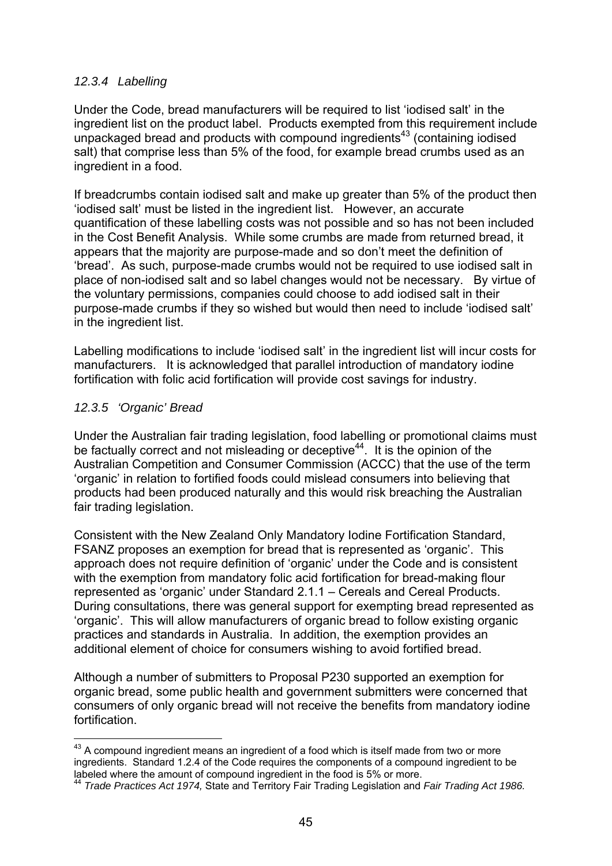#### *12.3.4 Labelling*

Under the Code, bread manufacturers will be required to list 'iodised salt' in the ingredient list on the product label. Products exempted from this requirement include unpackaged bread and products with compound ingredients<sup>43</sup> (containing iodised salt) that comprise less than 5% of the food, for example bread crumbs used as an ingredient in a food.

If breadcrumbs contain iodised salt and make up greater than 5% of the product then 'iodised salt' must be listed in the ingredient list. However, an accurate quantification of these labelling costs was not possible and so has not been included in the Cost Benefit Analysis. While some crumbs are made from returned bread, it appears that the majority are purpose-made and so don't meet the definition of 'bread'. As such, purpose-made crumbs would not be required to use iodised salt in place of non-iodised salt and so label changes would not be necessary. By virtue of the voluntary permissions, companies could choose to add iodised salt in their purpose-made crumbs if they so wished but would then need to include 'iodised salt' in the ingredient list.

Labelling modifications to include 'iodised salt' in the ingredient list will incur costs for manufacturers. It is acknowledged that parallel introduction of mandatory iodine fortification with folic acid fortification will provide cost savings for industry.

#### *12.3.5 'Organic' Bread*

1

Under the Australian fair trading legislation, food labelling or promotional claims must be factually correct and not misleading or deceptive<sup>44</sup>. It is the opinion of the Australian Competition and Consumer Commission (ACCC) that the use of the term 'organic' in relation to fortified foods could mislead consumers into believing that products had been produced naturally and this would risk breaching the Australian fair trading legislation.

Consistent with the New Zealand Only Mandatory Iodine Fortification Standard, FSANZ proposes an exemption for bread that is represented as 'organic'. This approach does not require definition of 'organic' under the Code and is consistent with the exemption from mandatory folic acid fortification for bread-making flour represented as 'organic' under Standard 2.1.1 – Cereals and Cereal Products. During consultations, there was general support for exempting bread represented as 'organic'. This will allow manufacturers of organic bread to follow existing organic practices and standards in Australia. In addition, the exemption provides an additional element of choice for consumers wishing to avoid fortified bread.

Although a number of submitters to Proposal P230 supported an exemption for organic bread, some public health and government submitters were concerned that consumers of only organic bread will not receive the benefits from mandatory iodine fortification.

 $43$  A compound ingredient means an ingredient of a food which is itself made from two or more ingredients. Standard 1.2.4 of the Code requires the components of a compound ingredient to be labeled where the amount of compound ingredient in the food is 5% or more.

<sup>44</sup> *Trade Practices Act 1974,* State and Territory Fair Trading Legislation and *Fair Trading Act 1986.*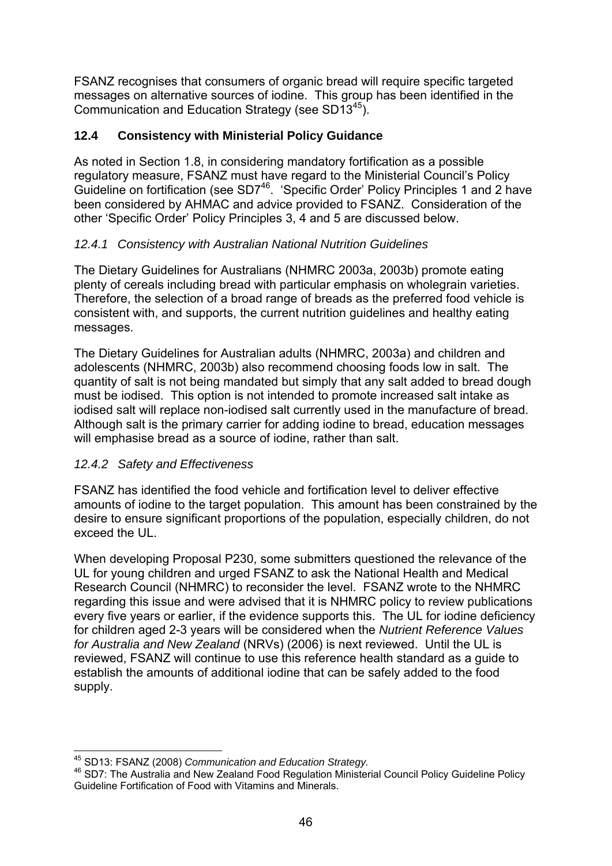FSANZ recognises that consumers of organic bread will require specific targeted messages on alternative sources of iodine. This group has been identified in the Communication and Education Strategy (see SD1345).

# **12.4 Consistency with Ministerial Policy Guidance**

As noted in Section 1.8, in considering mandatory fortification as a possible regulatory measure, FSANZ must have regard to the Ministerial Council's Policy Guideline on fortification (see SD7<sup>46</sup>. 'Specific Order' Policy Principles 1 and 2 have been considered by AHMAC and advice provided to FSANZ. Consideration of the other 'Specific Order' Policy Principles 3, 4 and 5 are discussed below.

# *12.4.1 Consistency with Australian National Nutrition Guidelines*

The Dietary Guidelines for Australians (NHMRC 2003a, 2003b) promote eating plenty of cereals including bread with particular emphasis on wholegrain varieties. Therefore, the selection of a broad range of breads as the preferred food vehicle is consistent with, and supports, the current nutrition guidelines and healthy eating messages.

The Dietary Guidelines for Australian adults (NHMRC, 2003a) and children and adolescents (NHMRC, 2003b) also recommend choosing foods low in salt. The quantity of salt is not being mandated but simply that any salt added to bread dough must be iodised. This option is not intended to promote increased salt intake as iodised salt will replace non-iodised salt currently used in the manufacture of bread. Although salt is the primary carrier for adding iodine to bread, education messages will emphasise bread as a source of iodine, rather than salt.

## *12.4.2 Safety and Effectiveness*

FSANZ has identified the food vehicle and fortification level to deliver effective amounts of iodine to the target population. This amount has been constrained by the desire to ensure significant proportions of the population, especially children, do not exceed the UL.

When developing Proposal P230, some submitters questioned the relevance of the UL for young children and urged FSANZ to ask the National Health and Medical Research Council (NHMRC) to reconsider the level. FSANZ wrote to the NHMRC regarding this issue and were advised that it is NHMRC policy to review publications every five years or earlier, if the evidence supports this. The UL for iodine deficiency for children aged 2-3 years will be considered when the *Nutrient Reference Values for Australia and New Zealand* (NRVs) (2006) is next reviewed. Until the UL is reviewed, FSANZ will continue to use this reference health standard as a guide to establish the amounts of additional iodine that can be safely added to the food supply.

<sup>&</sup>lt;sup>45</sup> SD13: FSANZ (2008) Communication and Education Strategy.

<sup>&</sup>lt;sup>46</sup> SD7: The Australia and New Zealand Food Regulation Ministerial Council Policy Guideline Policy Guideline Fortification of Food with Vitamins and Minerals.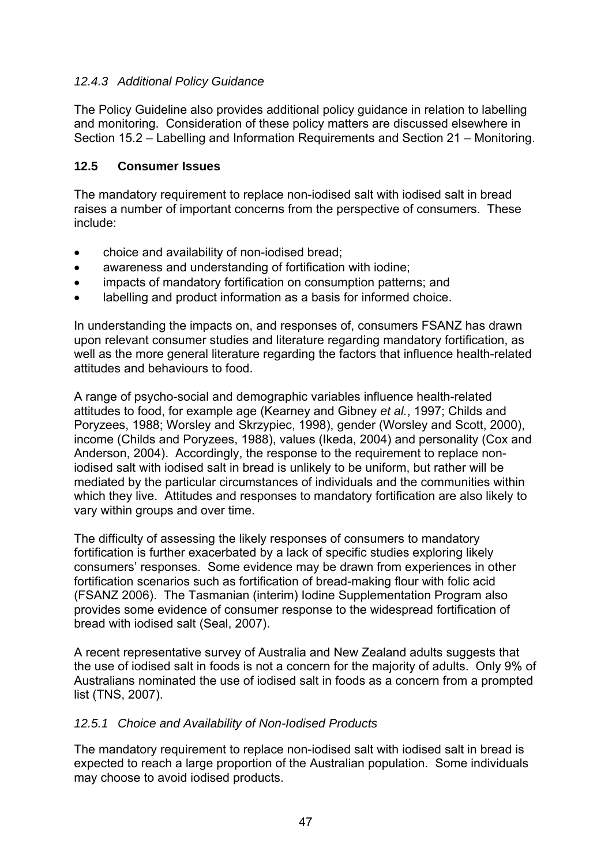## *12.4.3 Additional Policy Guidance*

The Policy Guideline also provides additional policy guidance in relation to labelling and monitoring. Consideration of these policy matters are discussed elsewhere in Section 15.2 – Labelling and Information Requirements and Section 21 – Monitoring.

#### **12.5 Consumer Issues**

The mandatory requirement to replace non-iodised salt with iodised salt in bread raises a number of important concerns from the perspective of consumers. These include:

- choice and availability of non-iodised bread;
- awareness and understanding of fortification with iodine;
- impacts of mandatory fortification on consumption patterns; and
- labelling and product information as a basis for informed choice.

In understanding the impacts on, and responses of, consumers FSANZ has drawn upon relevant consumer studies and literature regarding mandatory fortification, as well as the more general literature regarding the factors that influence health-related attitudes and behaviours to food.

A range of psycho-social and demographic variables influence health-related attitudes to food, for example age (Kearney and Gibney *et al.*, 1997; Childs and Poryzees, 1988; Worsley and Skrzypiec, 1998), gender (Worsley and Scott, 2000), income (Childs and Poryzees, 1988), values (Ikeda, 2004) and personality (Cox and Anderson, 2004). Accordingly, the response to the requirement to replace noniodised salt with iodised salt in bread is unlikely to be uniform, but rather will be mediated by the particular circumstances of individuals and the communities within which they live. Attitudes and responses to mandatory fortification are also likely to vary within groups and over time.

The difficulty of assessing the likely responses of consumers to mandatory fortification is further exacerbated by a lack of specific studies exploring likely consumers' responses. Some evidence may be drawn from experiences in other fortification scenarios such as fortification of bread-making flour with folic acid (FSANZ 2006). The Tasmanian (interim) Iodine Supplementation Program also provides some evidence of consumer response to the widespread fortification of bread with iodised salt (Seal, 2007).

A recent representative survey of Australia and New Zealand adults suggests that the use of iodised salt in foods is not a concern for the majority of adults. Only 9% of Australians nominated the use of iodised salt in foods as a concern from a prompted list (TNS, 2007).

#### *12.5.1 Choice and Availability of Non-Iodised Products*

The mandatory requirement to replace non-iodised salt with iodised salt in bread is expected to reach a large proportion of the Australian population. Some individuals may choose to avoid iodised products.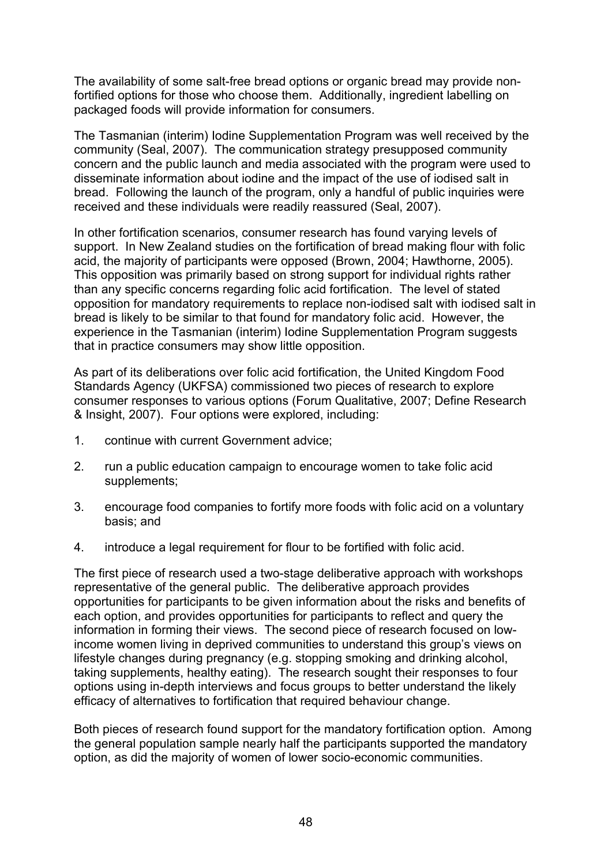The availability of some salt-free bread options or organic bread may provide nonfortified options for those who choose them. Additionally, ingredient labelling on packaged foods will provide information for consumers.

The Tasmanian (interim) Iodine Supplementation Program was well received by the community (Seal, 2007). The communication strategy presupposed community concern and the public launch and media associated with the program were used to disseminate information about iodine and the impact of the use of iodised salt in bread. Following the launch of the program, only a handful of public inquiries were received and these individuals were readily reassured (Seal, 2007).

In other fortification scenarios, consumer research has found varying levels of support. In New Zealand studies on the fortification of bread making flour with folic acid, the majority of participants were opposed (Brown, 2004; Hawthorne, 2005). This opposition was primarily based on strong support for individual rights rather than any specific concerns regarding folic acid fortification. The level of stated opposition for mandatory requirements to replace non-iodised salt with iodised salt in bread is likely to be similar to that found for mandatory folic acid. However, the experience in the Tasmanian (interim) Iodine Supplementation Program suggests that in practice consumers may show little opposition.

As part of its deliberations over folic acid fortification, the United Kingdom Food Standards Agency (UKFSA) commissioned two pieces of research to explore consumer responses to various options (Forum Qualitative, 2007; Define Research & Insight, 2007). Four options were explored, including:

- 1. continue with current Government advice;
- 2. run a public education campaign to encourage women to take folic acid supplements;
- 3. encourage food companies to fortify more foods with folic acid on a voluntary basis; and
- 4. introduce a legal requirement for flour to be fortified with folic acid.

The first piece of research used a two-stage deliberative approach with workshops representative of the general public. The deliberative approach provides opportunities for participants to be given information about the risks and benefits of each option, and provides opportunities for participants to reflect and query the information in forming their views. The second piece of research focused on lowincome women living in deprived communities to understand this group's views on lifestyle changes during pregnancy (e.g. stopping smoking and drinking alcohol, taking supplements, healthy eating). The research sought their responses to four options using in-depth interviews and focus groups to better understand the likely efficacy of alternatives to fortification that required behaviour change.

Both pieces of research found support for the mandatory fortification option. Among the general population sample nearly half the participants supported the mandatory option, as did the majority of women of lower socio-economic communities.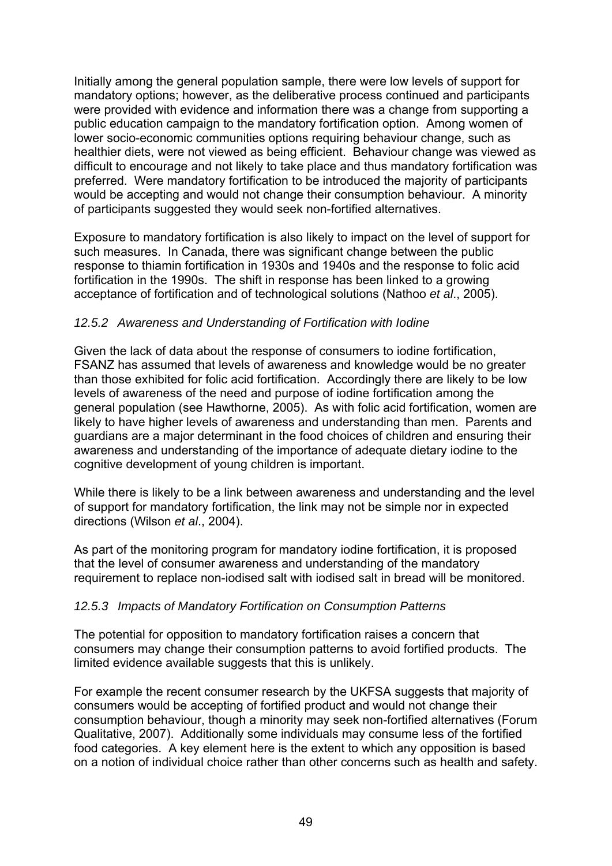Initially among the general population sample, there were low levels of support for mandatory options; however, as the deliberative process continued and participants were provided with evidence and information there was a change from supporting a public education campaign to the mandatory fortification option. Among women of lower socio-economic communities options requiring behaviour change, such as healthier diets, were not viewed as being efficient. Behaviour change was viewed as difficult to encourage and not likely to take place and thus mandatory fortification was preferred. Were mandatory fortification to be introduced the majority of participants would be accepting and would not change their consumption behaviour. A minority of participants suggested they would seek non-fortified alternatives.

Exposure to mandatory fortification is also likely to impact on the level of support for such measures. In Canada, there was significant change between the public response to thiamin fortification in 1930s and 1940s and the response to folic acid fortification in the 1990s. The shift in response has been linked to a growing acceptance of fortification and of technological solutions (Nathoo *et al*., 2005).

#### *12.5.2 Awareness and Understanding of Fortification with Iodine*

Given the lack of data about the response of consumers to iodine fortification, FSANZ has assumed that levels of awareness and knowledge would be no greater than those exhibited for folic acid fortification. Accordingly there are likely to be low levels of awareness of the need and purpose of iodine fortification among the general population (see Hawthorne, 2005). As with folic acid fortification, women are likely to have higher levels of awareness and understanding than men. Parents and guardians are a major determinant in the food choices of children and ensuring their awareness and understanding of the importance of adequate dietary iodine to the cognitive development of young children is important.

While there is likely to be a link between awareness and understanding and the level of support for mandatory fortification, the link may not be simple nor in expected directions (Wilson *et al*., 2004).

As part of the monitoring program for mandatory iodine fortification, it is proposed that the level of consumer awareness and understanding of the mandatory requirement to replace non-iodised salt with iodised salt in bread will be monitored.

## *12.5.3 Impacts of Mandatory Fortification on Consumption Patterns*

The potential for opposition to mandatory fortification raises a concern that consumers may change their consumption patterns to avoid fortified products. The limited evidence available suggests that this is unlikely.

For example the recent consumer research by the UKFSA suggests that majority of consumers would be accepting of fortified product and would not change their consumption behaviour, though a minority may seek non-fortified alternatives (Forum Qualitative, 2007). Additionally some individuals may consume less of the fortified food categories. A key element here is the extent to which any opposition is based on a notion of individual choice rather than other concerns such as health and safety.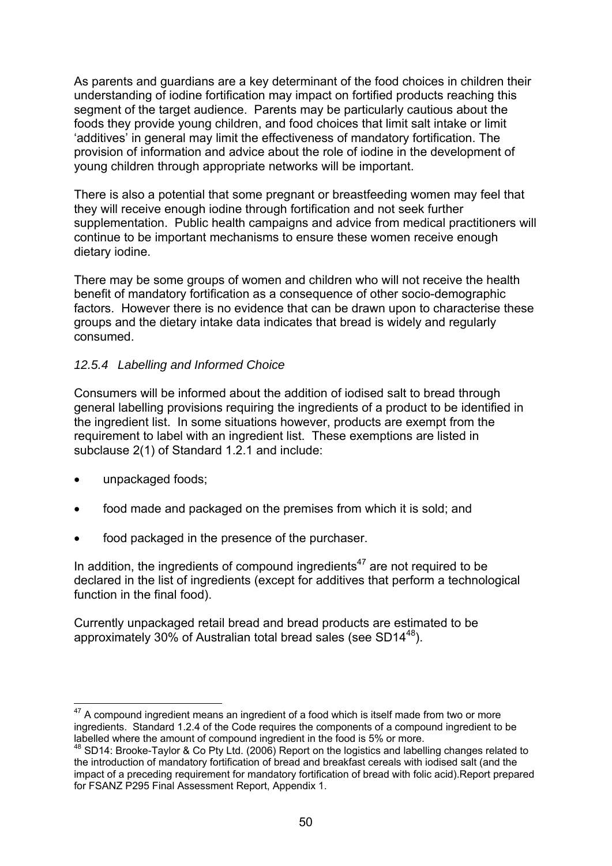As parents and guardians are a key determinant of the food choices in children their understanding of iodine fortification may impact on fortified products reaching this segment of the target audience. Parents may be particularly cautious about the foods they provide young children, and food choices that limit salt intake or limit 'additives' in general may limit the effectiveness of mandatory fortification. The provision of information and advice about the role of iodine in the development of young children through appropriate networks will be important.

There is also a potential that some pregnant or breastfeeding women may feel that they will receive enough iodine through fortification and not seek further supplementation. Public health campaigns and advice from medical practitioners will continue to be important mechanisms to ensure these women receive enough dietary iodine.

There may be some groups of women and children who will not receive the health benefit of mandatory fortification as a consequence of other socio-demographic factors. However there is no evidence that can be drawn upon to characterise these groups and the dietary intake data indicates that bread is widely and regularly consumed.

## *12.5.4 Labelling and Informed Choice*

Consumers will be informed about the addition of iodised salt to bread through general labelling provisions requiring the ingredients of a product to be identified in the ingredient list. In some situations however, products are exempt from the requirement to label with an ingredient list. These exemptions are listed in subclause 2(1) of Standard 1.2.1 and include:

- unpackaged foods;
- food made and packaged on the premises from which it is sold; and
- food packaged in the presence of the purchaser.

In addition, the ingredients of compound ingredients $47$  are not required to be declared in the list of ingredients (except for additives that perform a technological function in the final food).

Currently unpackaged retail bread and bread products are estimated to be approximately 30% of Australian total bread sales (see SD1448).

<sup>1</sup>  $47$  A compound ingredient means an ingredient of a food which is itself made from two or more ingredients. Standard 1.2.4 of the Code requires the components of a compound ingredient to be labelled where the amount of compound ingredient in the food is 5% or more.

 $48$  SD14: Brooke-Taylor & Co Pty Ltd. (2006) Report on the logistics and labelling changes related to the introduction of mandatory fortification of bread and breakfast cereals with iodised salt (and the impact of a preceding requirement for mandatory fortification of bread with folic acid).Report prepared for FSANZ P295 Final Assessment Report, Appendix 1.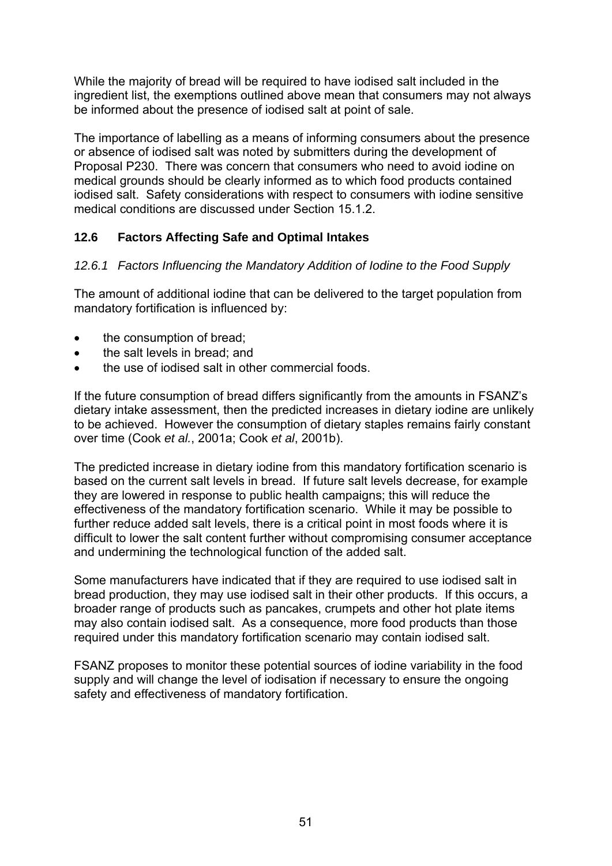While the majority of bread will be required to have iodised salt included in the ingredient list, the exemptions outlined above mean that consumers may not always be informed about the presence of iodised salt at point of sale.

The importance of labelling as a means of informing consumers about the presence or absence of iodised salt was noted by submitters during the development of Proposal P230. There was concern that consumers who need to avoid iodine on medical grounds should be clearly informed as to which food products contained iodised salt. Safety considerations with respect to consumers with iodine sensitive medical conditions are discussed under Section 15.1.2.

# **12.6 Factors Affecting Safe and Optimal Intakes**

## *12.6.1 Factors Influencing the Mandatory Addition of Iodine to the Food Supply*

The amount of additional iodine that can be delivered to the target population from mandatory fortification is influenced by:

- the consumption of bread:
- the salt levels in bread; and
- the use of iodised salt in other commercial foods.

If the future consumption of bread differs significantly from the amounts in FSANZ's dietary intake assessment, then the predicted increases in dietary iodine are unlikely to be achieved. However the consumption of dietary staples remains fairly constant over time (Cook *et al.*, 2001a; Cook *et al*, 2001b).

The predicted increase in dietary iodine from this mandatory fortification scenario is based on the current salt levels in bread. If future salt levels decrease, for example they are lowered in response to public health campaigns; this will reduce the effectiveness of the mandatory fortification scenario. While it may be possible to further reduce added salt levels, there is a critical point in most foods where it is difficult to lower the salt content further without compromising consumer acceptance and undermining the technological function of the added salt.

Some manufacturers have indicated that if they are required to use iodised salt in bread production, they may use iodised salt in their other products. If this occurs, a broader range of products such as pancakes, crumpets and other hot plate items may also contain iodised salt. As a consequence, more food products than those required under this mandatory fortification scenario may contain iodised salt.

FSANZ proposes to monitor these potential sources of iodine variability in the food supply and will change the level of iodisation if necessary to ensure the ongoing safety and effectiveness of mandatory fortification.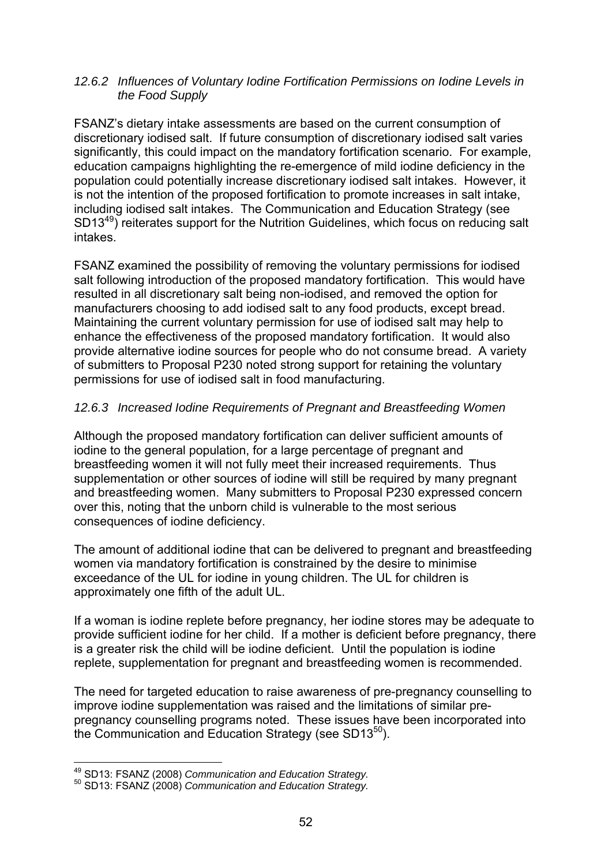#### *12.6.2 Influences of Voluntary Iodine Fortification Permissions on Iodine Levels in the Food Supply*

FSANZ's dietary intake assessments are based on the current consumption of discretionary iodised salt. If future consumption of discretionary iodised salt varies significantly, this could impact on the mandatory fortification scenario. For example, education campaigns highlighting the re-emergence of mild iodine deficiency in the population could potentially increase discretionary iodised salt intakes. However, it is not the intention of the proposed fortification to promote increases in salt intake, including iodised salt intakes. The Communication and Education Strategy (see SD1349) reiterates support for the Nutrition Guidelines, which focus on reducing salt intakes.

FSANZ examined the possibility of removing the voluntary permissions for iodised salt following introduction of the proposed mandatory fortification. This would have resulted in all discretionary salt being non-iodised, and removed the option for manufacturers choosing to add iodised salt to any food products, except bread. Maintaining the current voluntary permission for use of iodised salt may help to enhance the effectiveness of the proposed mandatory fortification. It would also provide alternative iodine sources for people who do not consume bread. A variety of submitters to Proposal P230 noted strong support for retaining the voluntary permissions for use of iodised salt in food manufacturing.

## *12.6.3 Increased Iodine Requirements of Pregnant and Breastfeeding Women*

Although the proposed mandatory fortification can deliver sufficient amounts of iodine to the general population, for a large percentage of pregnant and breastfeeding women it will not fully meet their increased requirements. Thus supplementation or other sources of iodine will still be required by many pregnant and breastfeeding women. Many submitters to Proposal P230 expressed concern over this, noting that the unborn child is vulnerable to the most serious consequences of iodine deficiency.

The amount of additional iodine that can be delivered to pregnant and breastfeeding women via mandatory fortification is constrained by the desire to minimise exceedance of the UL for iodine in young children. The UL for children is approximately one fifth of the adult UL.

If a woman is iodine replete before pregnancy, her iodine stores may be adequate to provide sufficient iodine for her child. If a mother is deficient before pregnancy, there is a greater risk the child will be iodine deficient. Until the population is iodine replete, supplementation for pregnant and breastfeeding women is recommended.

The need for targeted education to raise awareness of pre-pregnancy counselling to improve iodine supplementation was raised and the limitations of similar prepregnancy counselling programs noted. These issues have been incorporated into the Communication and Education Strategy (see  $SD13^{50}$ ).

1

<sup>49</sup> SD13: FSANZ (2008) *Communication and Education Strategy.* 50 SD13: FSANZ (2008) *Communication and Education Strategy.*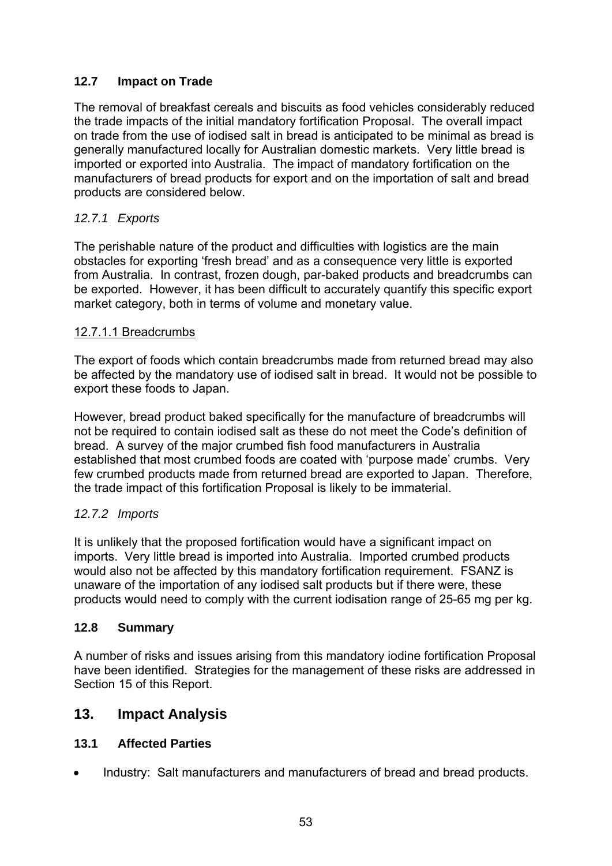# **12.7 Impact on Trade**

The removal of breakfast cereals and biscuits as food vehicles considerably reduced the trade impacts of the initial mandatory fortification Proposal. The overall impact on trade from the use of iodised salt in bread is anticipated to be minimal as bread is generally manufactured locally for Australian domestic markets. Very little bread is imported or exported into Australia. The impact of mandatory fortification on the manufacturers of bread products for export and on the importation of salt and bread products are considered below.

## *12.7.1 Exports*

The perishable nature of the product and difficulties with logistics are the main obstacles for exporting 'fresh bread' and as a consequence very little is exported from Australia. In contrast, frozen dough, par-baked products and breadcrumbs can be exported. However, it has been difficult to accurately quantify this specific export market category, both in terms of volume and monetary value.

#### 12.7.1.1 Breadcrumbs

The export of foods which contain breadcrumbs made from returned bread may also be affected by the mandatory use of iodised salt in bread. It would not be possible to export these foods to Japan.

However, bread product baked specifically for the manufacture of breadcrumbs will not be required to contain iodised salt as these do not meet the Code's definition of bread. A survey of the major crumbed fish food manufacturers in Australia established that most crumbed foods are coated with 'purpose made' crumbs. Very few crumbed products made from returned bread are exported to Japan. Therefore, the trade impact of this fortification Proposal is likely to be immaterial.

## *12.7.2 Imports*

It is unlikely that the proposed fortification would have a significant impact on imports. Very little bread is imported into Australia. Imported crumbed products would also not be affected by this mandatory fortification requirement. FSANZ is unaware of the importation of any iodised salt products but if there were, these products would need to comply with the current iodisation range of 25-65 mg per kg.

#### **12.8 Summary**

A number of risks and issues arising from this mandatory iodine fortification Proposal have been identified. Strategies for the management of these risks are addressed in Section 15 of this Report.

# **13. Impact Analysis**

## **13.1 Affected Parties**

• Industry: Salt manufacturers and manufacturers of bread and bread products.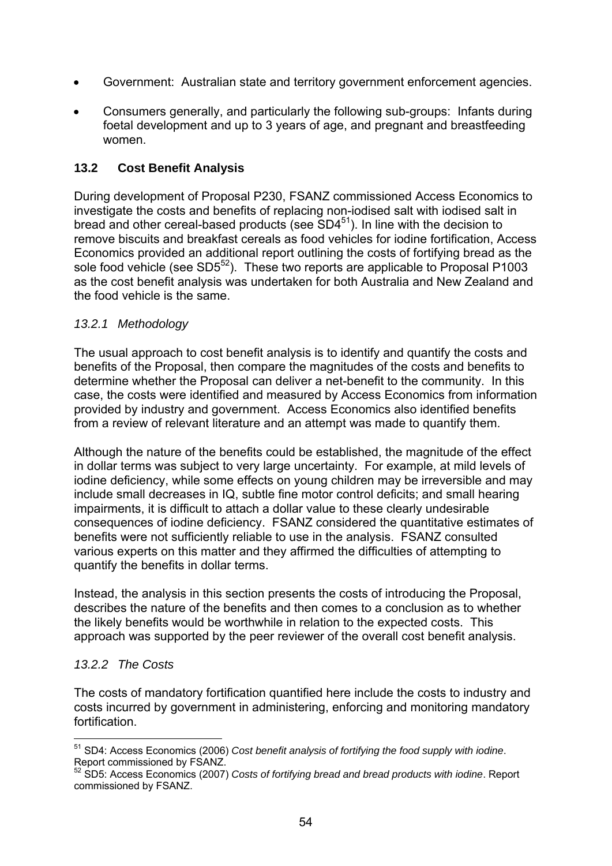- Government: Australian state and territory government enforcement agencies.
- Consumers generally, and particularly the following sub-groups: Infants during foetal development and up to 3 years of age, and pregnant and breastfeeding women.

# **13.2 Cost Benefit Analysis**

During development of Proposal P230, FSANZ commissioned Access Economics to investigate the costs and benefits of replacing non-iodised salt with iodised salt in bread and other cereal-based products (see  $SD4^{51}$ ). In line with the decision to remove biscuits and breakfast cereals as food vehicles for iodine fortification, Access Economics provided an additional report outlining the costs of fortifying bread as the sole food vehicle (see  $SD5^{52}$ ). These two reports are applicable to Proposal P1003 as the cost benefit analysis was undertaken for both Australia and New Zealand and the food vehicle is the same.

## *13.2.1 Methodology*

The usual approach to cost benefit analysis is to identify and quantify the costs and benefits of the Proposal, then compare the magnitudes of the costs and benefits to determine whether the Proposal can deliver a net-benefit to the community. In this case, the costs were identified and measured by Access Economics from information provided by industry and government. Access Economics also identified benefits from a review of relevant literature and an attempt was made to quantify them.

Although the nature of the benefits could be established, the magnitude of the effect in dollar terms was subject to very large uncertainty. For example, at mild levels of iodine deficiency, while some effects on young children may be irreversible and may include small decreases in IQ, subtle fine motor control deficits; and small hearing impairments, it is difficult to attach a dollar value to these clearly undesirable consequences of iodine deficiency. FSANZ considered the quantitative estimates of benefits were not sufficiently reliable to use in the analysis. FSANZ consulted various experts on this matter and they affirmed the difficulties of attempting to quantify the benefits in dollar terms.

Instead, the analysis in this section presents the costs of introducing the Proposal, describes the nature of the benefits and then comes to a conclusion as to whether the likely benefits would be worthwhile in relation to the expected costs. This approach was supported by the peer reviewer of the overall cost benefit analysis.

## *13.2.2 The Costs*

1

The costs of mandatory fortification quantified here include the costs to industry and costs incurred by government in administering, enforcing and monitoring mandatory fortification.

<sup>51</sup> SD4: Access Economics (2006) *Cost benefit analysis of fortifying the food supply with iodine*. Report commissioned by FSANZ.

<sup>52</sup> SD5: Access Economics (2007) *Costs of fortifying bread and bread products with iodine*. Report commissioned by FSANZ.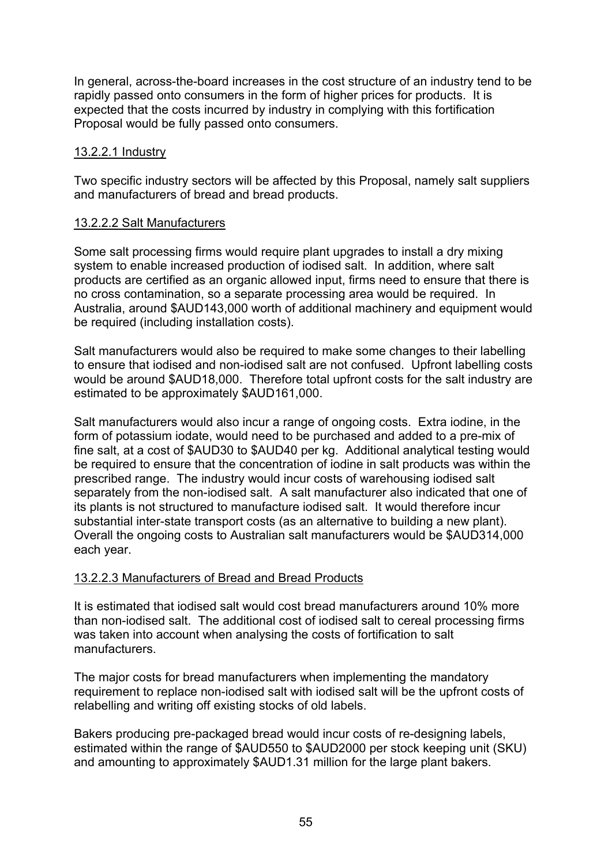In general, across-the-board increases in the cost structure of an industry tend to be rapidly passed onto consumers in the form of higher prices for products. It is expected that the costs incurred by industry in complying with this fortification Proposal would be fully passed onto consumers.

#### 13.2.2.1 Industry

Two specific industry sectors will be affected by this Proposal, namely salt suppliers and manufacturers of bread and bread products.

#### 13.2.2.2 Salt Manufacturers

Some salt processing firms would require plant upgrades to install a dry mixing system to enable increased production of iodised salt. In addition, where salt products are certified as an organic allowed input, firms need to ensure that there is no cross contamination, so a separate processing area would be required. In Australia, around \$AUD143,000 worth of additional machinery and equipment would be required (including installation costs).

Salt manufacturers would also be required to make some changes to their labelling to ensure that iodised and non-iodised salt are not confused. Upfront labelling costs would be around \$AUD18,000. Therefore total upfront costs for the salt industry are estimated to be approximately \$AUD161,000.

Salt manufacturers would also incur a range of ongoing costs. Extra iodine, in the form of potassium iodate, would need to be purchased and added to a pre-mix of fine salt, at a cost of \$AUD30 to \$AUD40 per kg. Additional analytical testing would be required to ensure that the concentration of iodine in salt products was within the prescribed range. The industry would incur costs of warehousing iodised salt separately from the non-iodised salt. A salt manufacturer also indicated that one of its plants is not structured to manufacture iodised salt. It would therefore incur substantial inter-state transport costs (as an alternative to building a new plant). Overall the ongoing costs to Australian salt manufacturers would be \$AUD314,000 each year.

#### 13.2.2.3 Manufacturers of Bread and Bread Products

It is estimated that iodised salt would cost bread manufacturers around 10% more than non-iodised salt. The additional cost of iodised salt to cereal processing firms was taken into account when analysing the costs of fortification to salt manufacturers.

The major costs for bread manufacturers when implementing the mandatory requirement to replace non-iodised salt with iodised salt will be the upfront costs of relabelling and writing off existing stocks of old labels.

Bakers producing pre-packaged bread would incur costs of re-designing labels, estimated within the range of \$AUD550 to \$AUD2000 per stock keeping unit (SKU) and amounting to approximately \$AUD1.31 million for the large plant bakers.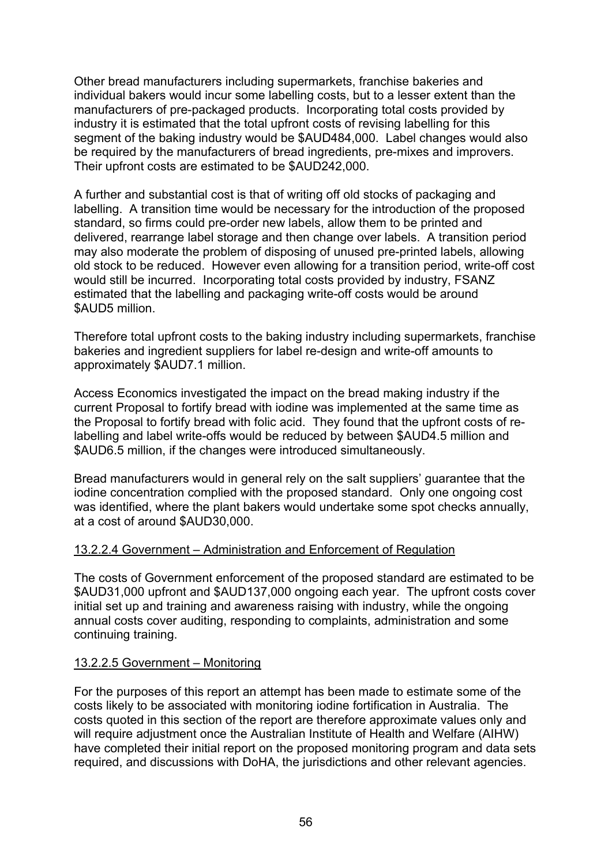Other bread manufacturers including supermarkets, franchise bakeries and individual bakers would incur some labelling costs, but to a lesser extent than the manufacturers of pre-packaged products. Incorporating total costs provided by industry it is estimated that the total upfront costs of revising labelling for this segment of the baking industry would be \$AUD484,000. Label changes would also be required by the manufacturers of bread ingredients, pre-mixes and improvers. Their upfront costs are estimated to be \$AUD242,000.

A further and substantial cost is that of writing off old stocks of packaging and labelling. A transition time would be necessary for the introduction of the proposed standard, so firms could pre-order new labels, allow them to be printed and delivered, rearrange label storage and then change over labels. A transition period may also moderate the problem of disposing of unused pre-printed labels, allowing old stock to be reduced. However even allowing for a transition period, write-off cost would still be incurred. Incorporating total costs provided by industry, FSANZ estimated that the labelling and packaging write-off costs would be around \$AUD5 million.

Therefore total upfront costs to the baking industry including supermarkets, franchise bakeries and ingredient suppliers for label re-design and write-off amounts to approximately \$AUD7.1 million.

Access Economics investigated the impact on the bread making industry if the current Proposal to fortify bread with iodine was implemented at the same time as the Proposal to fortify bread with folic acid. They found that the upfront costs of relabelling and label write-offs would be reduced by between \$AUD4.5 million and \$AUD6.5 million, if the changes were introduced simultaneously.

Bread manufacturers would in general rely on the salt suppliers' guarantee that the iodine concentration complied with the proposed standard. Only one ongoing cost was identified, where the plant bakers would undertake some spot checks annually, at a cost of around \$AUD30,000.

#### 13.2.2.4 Government – Administration and Enforcement of Regulation

The costs of Government enforcement of the proposed standard are estimated to be \$AUD31,000 upfront and \$AUD137,000 ongoing each year. The upfront costs cover initial set up and training and awareness raising with industry, while the ongoing annual costs cover auditing, responding to complaints, administration and some continuing training.

## 13.2.2.5 Government – Monitoring

For the purposes of this report an attempt has been made to estimate some of the costs likely to be associated with monitoring iodine fortification in Australia. The costs quoted in this section of the report are therefore approximate values only and will require adjustment once the Australian Institute of Health and Welfare (AIHW) have completed their initial report on the proposed monitoring program and data sets required, and discussions with DoHA, the jurisdictions and other relevant agencies.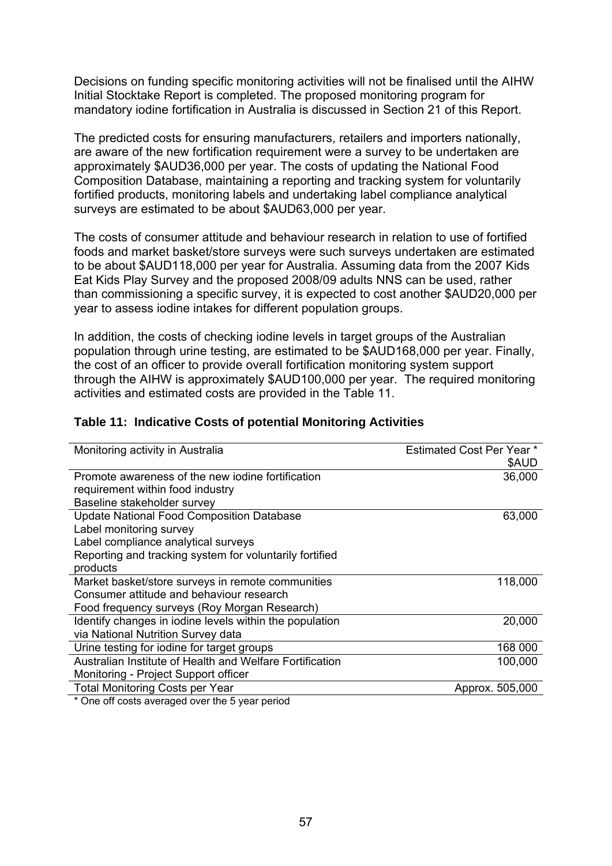Decisions on funding specific monitoring activities will not be finalised until the AIHW Initial Stocktake Report is completed. The proposed monitoring program for mandatory iodine fortification in Australia is discussed in Section 21 of this Report.

The predicted costs for ensuring manufacturers, retailers and importers nationally, are aware of the new fortification requirement were a survey to be undertaken are approximately \$AUD36,000 per year. The costs of updating the National Food Composition Database, maintaining a reporting and tracking system for voluntarily fortified products, monitoring labels and undertaking label compliance analytical surveys are estimated to be about \$AUD63,000 per year.

The costs of consumer attitude and behaviour research in relation to use of fortified foods and market basket/store surveys were such surveys undertaken are estimated to be about \$AUD118,000 per year for Australia. Assuming data from the 2007 Kids Eat Kids Play Survey and the proposed 2008/09 adults NNS can be used, rather than commissioning a specific survey, it is expected to cost another \$AUD20,000 per year to assess iodine intakes for different population groups.

In addition, the costs of checking iodine levels in target groups of the Australian population through urine testing, are estimated to be \$AUD168,000 per year. Finally, the cost of an officer to provide overall fortification monitoring system support through the AIHW is approximately \$AUD100,000 per year. The required monitoring activities and estimated costs are provided in the Table 11.

| Monitoring activity in Australia                               | Estimated Cost Per Year * |
|----------------------------------------------------------------|---------------------------|
|                                                                | \$AUD                     |
| Promote awareness of the new jodine fortification              | 36,000                    |
| requirement within food industry                               |                           |
| Baseline stakeholder survey                                    |                           |
| <b>Update National Food Composition Database</b>               | 63,000                    |
| Label monitoring survey                                        |                           |
| Label compliance analytical surveys                            |                           |
| Reporting and tracking system for voluntarily fortified        |                           |
| products                                                       |                           |
| Market basket/store surveys in remote communities              | 118,000                   |
| Consumer attitude and behaviour research                       |                           |
| Food frequency surveys (Roy Morgan Research)                   |                           |
| Identify changes in iodine levels within the population        | 20,000                    |
| via National Nutrition Survey data                             |                           |
| Urine testing for iodine for target groups                     | 168 000                   |
| Australian Institute of Health and Welfare Fortification       | 100,000                   |
| Monitoring - Project Support officer                           |                           |
| <b>Total Monitoring Costs per Year</b>                         | Approx. 505,000           |
| $*$ One off costs averaged over the $\overline{5}$ vear period |                           |

#### **Table 11: Indicative Costs of potential Monitoring Activities**

One off costs averaged over the 5 year period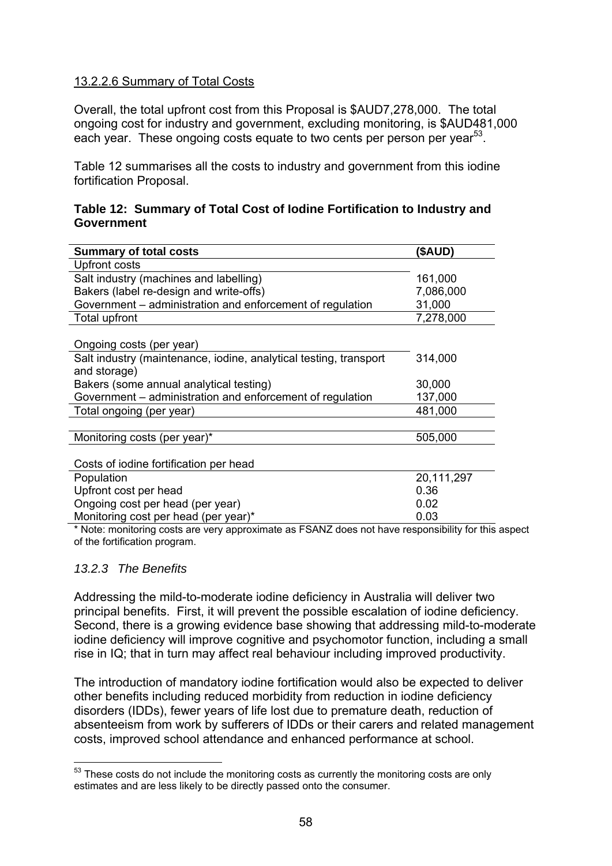#### 13.2.2.6 Summary of Total Costs

Overall, the total upfront cost from this Proposal is \$AUD7,278,000. The total ongoing cost for industry and government, excluding monitoring, is \$AUD481,000 each year. These ongoing costs equate to two cents per person per year<sup>53</sup>.

Table 12 summarises all the costs to industry and government from this iodine fortification Proposal.

#### **Table 12: Summary of Total Cost of Iodine Fortification to Industry and Government**

| <b>Summary of total costs</b>                                     | (\$AUD)    |
|-------------------------------------------------------------------|------------|
| Upfront costs                                                     |            |
| Salt industry (machines and labelling)                            | 161,000    |
| Bakers (label re-design and write-offs)                           | 7,086,000  |
| Government – administration and enforcement of regulation         | 31,000     |
| Total upfront                                                     | 7,278,000  |
|                                                                   |            |
| Ongoing costs (per year)                                          |            |
| Salt industry (maintenance, iodine, analytical testing, transport | 314,000    |
| and storage)                                                      |            |
| Bakers (some annual analytical testing)                           | 30,000     |
| Government – administration and enforcement of regulation         | 137,000    |
| Total ongoing (per year)                                          | 481,000    |
|                                                                   |            |
| Monitoring costs (per year)*                                      | 505,000    |
|                                                                   |            |
| Costs of iodine fortification per head                            |            |
| Population                                                        | 20,111,297 |
| Upfront cost per head                                             | 0.36       |
| Ongoing cost per head (per year)                                  | 0.02       |
| Monitoring cost per head (per year)*                              | 0.03       |

\* Note: monitoring costs are very approximate as FSANZ does not have responsibility for this aspect of the fortification program.

#### *13.2.3 The Benefits*

Addressing the mild-to-moderate iodine deficiency in Australia will deliver two principal benefits. First, it will prevent the possible escalation of iodine deficiency. Second, there is a growing evidence base showing that addressing mild-to-moderate iodine deficiency will improve cognitive and psychomotor function, including a small rise in IQ; that in turn may affect real behaviour including improved productivity.

The introduction of mandatory iodine fortification would also be expected to deliver other benefits including reduced morbidity from reduction in iodine deficiency disorders (IDDs), fewer years of life lost due to premature death, reduction of absenteeism from work by sufferers of IDDs or their carers and related management costs, improved school attendance and enhanced performance at school.

<sup>1</sup>  $53$  These costs do not include the monitoring costs as currently the monitoring costs are only estimates and are less likely to be directly passed onto the consumer.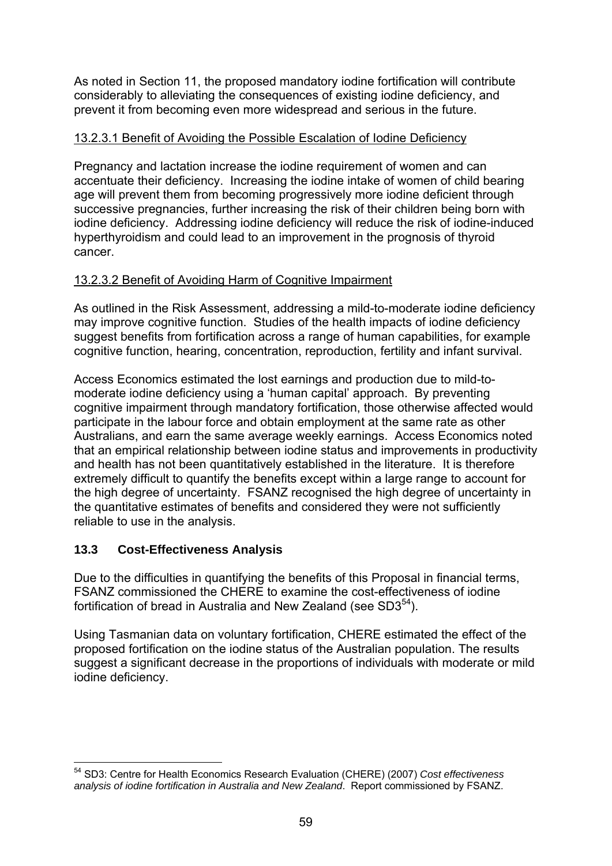As noted in Section 11, the proposed mandatory iodine fortification will contribute considerably to alleviating the consequences of existing iodine deficiency, and prevent it from becoming even more widespread and serious in the future.

## 13.2.3.1 Benefit of Avoiding the Possible Escalation of Iodine Deficiency

Pregnancy and lactation increase the iodine requirement of women and can accentuate their deficiency. Increasing the iodine intake of women of child bearing age will prevent them from becoming progressively more iodine deficient through successive pregnancies, further increasing the risk of their children being born with iodine deficiency. Addressing iodine deficiency will reduce the risk of iodine-induced hyperthyroidism and could lead to an improvement in the prognosis of thyroid cancer.

#### 13.2.3.2 Benefit of Avoiding Harm of Cognitive Impairment

As outlined in the Risk Assessment, addressing a mild-to-moderate iodine deficiency may improve cognitive function. Studies of the health impacts of iodine deficiency suggest benefits from fortification across a range of human capabilities, for example cognitive function, hearing, concentration, reproduction, fertility and infant survival.

Access Economics estimated the lost earnings and production due to mild-tomoderate iodine deficiency using a 'human capital' approach. By preventing cognitive impairment through mandatory fortification, those otherwise affected would participate in the labour force and obtain employment at the same rate as other Australians, and earn the same average weekly earnings. Access Economics noted that an empirical relationship between iodine status and improvements in productivity and health has not been quantitatively established in the literature. It is therefore extremely difficult to quantify the benefits except within a large range to account for the high degree of uncertainty. FSANZ recognised the high degree of uncertainty in the quantitative estimates of benefits and considered they were not sufficiently reliable to use in the analysis.

## **13.3 Cost-Effectiveness Analysis**

Due to the difficulties in quantifying the benefits of this Proposal in financial terms, FSANZ commissioned the CHERE to examine the cost-effectiveness of iodine fortification of bread in Australia and New Zealand (see  $SD3<sup>54</sup>$ ).

Using Tasmanian data on voluntary fortification, CHERE estimated the effect of the proposed fortification on the iodine status of the Australian population. The results suggest a significant decrease in the proportions of individuals with moderate or mild iodine deficiency.

<sup>1</sup> 54 SD3: Centre for Health Economics Research Evaluation (CHERE) (2007) *Cost effectiveness analysis of iodine fortification in Australia and New Zealand*. Report commissioned by FSANZ.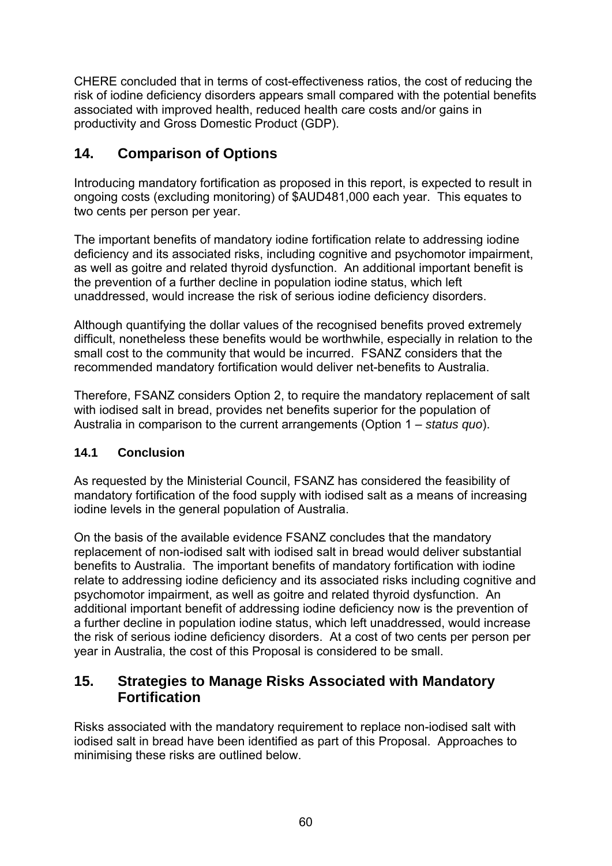CHERE concluded that in terms of cost-effectiveness ratios, the cost of reducing the risk of iodine deficiency disorders appears small compared with the potential benefits associated with improved health, reduced health care costs and/or gains in productivity and Gross Domestic Product (GDP).

# **14. Comparison of Options**

Introducing mandatory fortification as proposed in this report, is expected to result in ongoing costs (excluding monitoring) of \$AUD481,000 each year. This equates to two cents per person per year.

The important benefits of mandatory iodine fortification relate to addressing iodine deficiency and its associated risks, including cognitive and psychomotor impairment, as well as goitre and related thyroid dysfunction. An additional important benefit is the prevention of a further decline in population iodine status, which left unaddressed, would increase the risk of serious iodine deficiency disorders.

Although quantifying the dollar values of the recognised benefits proved extremely difficult, nonetheless these benefits would be worthwhile, especially in relation to the small cost to the community that would be incurred. FSANZ considers that the recommended mandatory fortification would deliver net-benefits to Australia.

Therefore, FSANZ considers Option 2, to require the mandatory replacement of salt with iodised salt in bread, provides net benefits superior for the population of Australia in comparison to the current arrangements (Option 1 – *status quo*).

# **14.1 Conclusion**

As requested by the Ministerial Council, FSANZ has considered the feasibility of mandatory fortification of the food supply with iodised salt as a means of increasing iodine levels in the general population of Australia.

On the basis of the available evidence FSANZ concludes that the mandatory replacement of non-iodised salt with iodised salt in bread would deliver substantial benefits to Australia. The important benefits of mandatory fortification with iodine relate to addressing iodine deficiency and its associated risks including cognitive and psychomotor impairment, as well as goitre and related thyroid dysfunction. An additional important benefit of addressing iodine deficiency now is the prevention of a further decline in population iodine status, which left unaddressed, would increase the risk of serious iodine deficiency disorders. At a cost of two cents per person per year in Australia, the cost of this Proposal is considered to be small.

# **15. Strategies to Manage Risks Associated with Mandatory Fortification**

Risks associated with the mandatory requirement to replace non-iodised salt with iodised salt in bread have been identified as part of this Proposal. Approaches to minimising these risks are outlined below.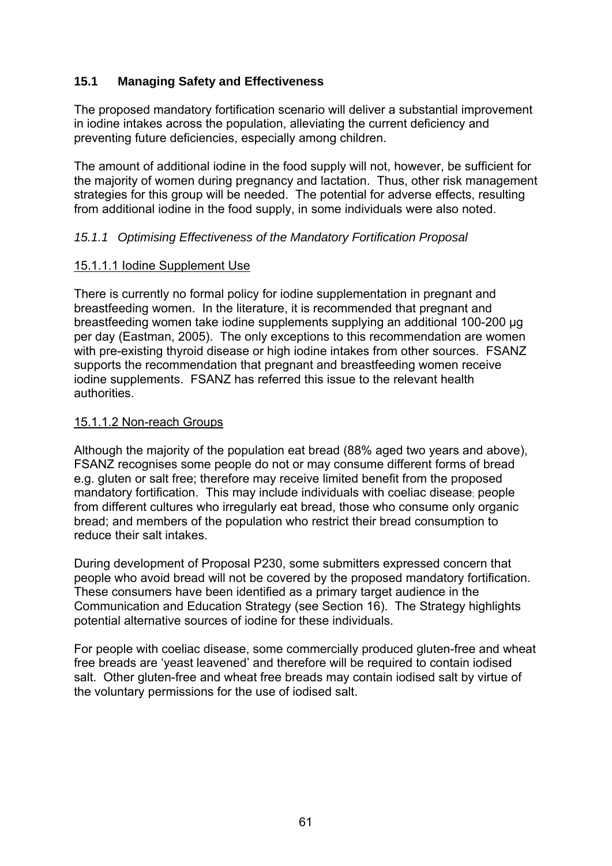# **15.1 Managing Safety and Effectiveness**

The proposed mandatory fortification scenario will deliver a substantial improvement in iodine intakes across the population, alleviating the current deficiency and preventing future deficiencies, especially among children.

The amount of additional iodine in the food supply will not, however, be sufficient for the majority of women during pregnancy and lactation. Thus, other risk management strategies for this group will be needed. The potential for adverse effects, resulting from additional iodine in the food supply, in some individuals were also noted.

#### *15.1.1 Optimising Effectiveness of the Mandatory Fortification Proposal*

#### 15.1.1.1 Iodine Supplement Use

There is currently no formal policy for iodine supplementation in pregnant and breastfeeding women. In the literature, it is recommended that pregnant and breastfeeding women take iodine supplements supplying an additional 100-200 μg per day (Eastman, 2005). The only exceptions to this recommendation are women with pre-existing thyroid disease or high iodine intakes from other sources. FSANZ supports the recommendation that pregnant and breastfeeding women receive iodine supplements. FSANZ has referred this issue to the relevant health authorities.

#### 15.1.1.2 Non-reach Groups

Although the majority of the population eat bread (88% aged two years and above), FSANZ recognises some people do not or may consume different forms of bread e.g. gluten or salt free; therefore may receive limited benefit from the proposed mandatory fortification. This may include individuals with coeliac disease; people from different cultures who irregularly eat bread, those who consume only organic bread; and members of the population who restrict their bread consumption to reduce their salt intakes.

During development of Proposal P230, some submitters expressed concern that people who avoid bread will not be covered by the proposed mandatory fortification. These consumers have been identified as a primary target audience in the Communication and Education Strategy (see Section 16). The Strategy highlights potential alternative sources of iodine for these individuals.

For people with coeliac disease, some commercially produced gluten-free and wheat free breads are 'yeast leavened' and therefore will be required to contain iodised salt. Other gluten-free and wheat free breads may contain iodised salt by virtue of the voluntary permissions for the use of iodised salt.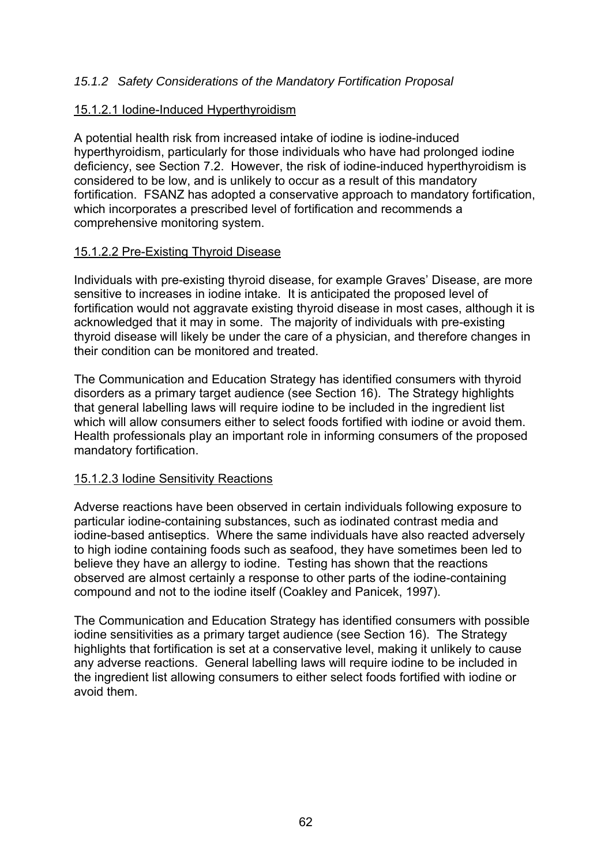## *15.1.2 Safety Considerations of the Mandatory Fortification Proposal*

#### 15.1.2.1 Iodine-Induced Hyperthyroidism

A potential health risk from increased intake of iodine is iodine-induced hyperthyroidism, particularly for those individuals who have had prolonged iodine deficiency, see Section 7.2. However, the risk of iodine-induced hyperthyroidism is considered to be low, and is unlikely to occur as a result of this mandatory fortification. FSANZ has adopted a conservative approach to mandatory fortification, which incorporates a prescribed level of fortification and recommends a comprehensive monitoring system.

#### 15.1.2.2 Pre-Existing Thyroid Disease

Individuals with pre-existing thyroid disease, for example Graves' Disease, are more sensitive to increases in iodine intake. It is anticipated the proposed level of fortification would not aggravate existing thyroid disease in most cases, although it is acknowledged that it may in some. The majority of individuals with pre-existing thyroid disease will likely be under the care of a physician, and therefore changes in their condition can be monitored and treated.

The Communication and Education Strategy has identified consumers with thyroid disorders as a primary target audience (see Section 16). The Strategy highlights that general labelling laws will require iodine to be included in the ingredient list which will allow consumers either to select foods fortified with iodine or avoid them. Health professionals play an important role in informing consumers of the proposed mandatory fortification.

#### 15.1.2.3 Iodine Sensitivity Reactions

Adverse reactions have been observed in certain individuals following exposure to particular iodine-containing substances, such as iodinated contrast media and iodine-based antiseptics. Where the same individuals have also reacted adversely to high iodine containing foods such as seafood, they have sometimes been led to believe they have an allergy to iodine. Testing has shown that the reactions observed are almost certainly a response to other parts of the iodine-containing compound and not to the iodine itself (Coakley and Panicek, 1997).

The Communication and Education Strategy has identified consumers with possible iodine sensitivities as a primary target audience (see Section 16). The Strategy highlights that fortification is set at a conservative level, making it unlikely to cause any adverse reactions. General labelling laws will require iodine to be included in the ingredient list allowing consumers to either select foods fortified with iodine or avoid them.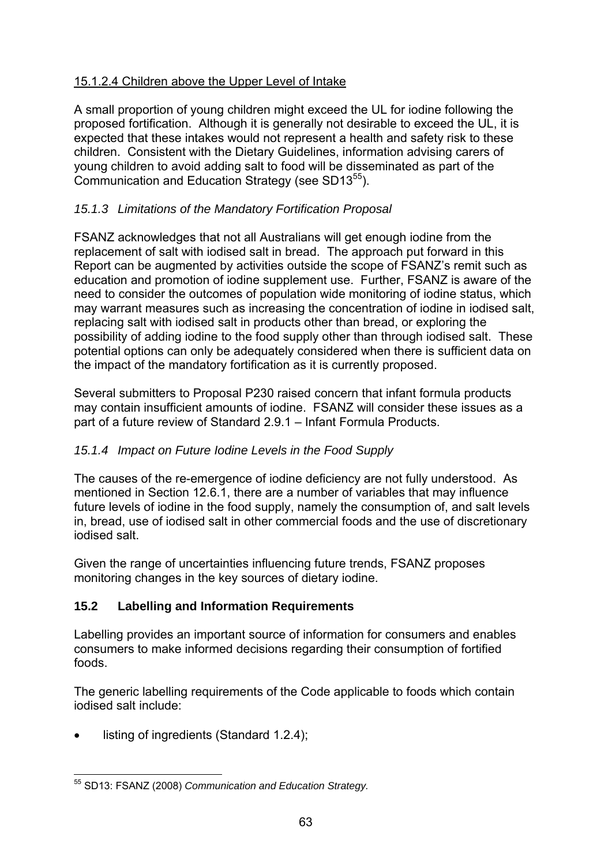# 15.1.2.4 Children above the Upper Level of Intake

A small proportion of young children might exceed the UL for iodine following the proposed fortification. Although it is generally not desirable to exceed the UL, it is expected that these intakes would not represent a health and safety risk to these children. Consistent with the Dietary Guidelines, information advising carers of young children to avoid adding salt to food will be disseminated as part of the Communication and Education Strategy (see SD13<sup>55</sup>).

# *15.1.3 Limitations of the Mandatory Fortification Proposal*

FSANZ acknowledges that not all Australians will get enough iodine from the replacement of salt with iodised salt in bread. The approach put forward in this Report can be augmented by activities outside the scope of FSANZ's remit such as education and promotion of iodine supplement use. Further, FSANZ is aware of the need to consider the outcomes of population wide monitoring of iodine status, which may warrant measures such as increasing the concentration of iodine in iodised salt, replacing salt with iodised salt in products other than bread, or exploring the possibility of adding iodine to the food supply other than through iodised salt. These potential options can only be adequately considered when there is sufficient data on the impact of the mandatory fortification as it is currently proposed.

Several submitters to Proposal P230 raised concern that infant formula products may contain insufficient amounts of iodine. FSANZ will consider these issues as a part of a future review of Standard 2.9.1 – Infant Formula Products.

## *15.1.4 Impact on Future Iodine Levels in the Food Supply*

The causes of the re-emergence of iodine deficiency are not fully understood. As mentioned in Section 12.6.1, there are a number of variables that may influence future levels of iodine in the food supply, namely the consumption of, and salt levels in, bread, use of iodised salt in other commercial foods and the use of discretionary iodised salt.

Given the range of uncertainties influencing future trends, FSANZ proposes monitoring changes in the key sources of dietary iodine.

# **15.2 Labelling and Information Requirements**

Labelling provides an important source of information for consumers and enables consumers to make informed decisions regarding their consumption of fortified foods.

The generic labelling requirements of the Code applicable to foods which contain iodised salt include:

listing of ingredients (Standard 1.2.4);

<sup>1</sup> 55 SD13: FSANZ (2008) *Communication and Education Strategy.*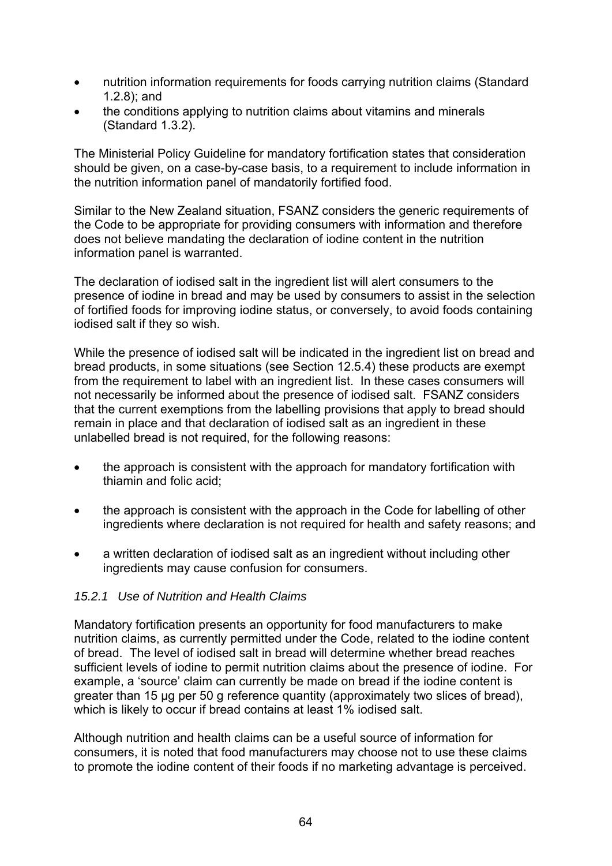- nutrition information requirements for foods carrying nutrition claims (Standard 1.2.8); and
- the conditions applying to nutrition claims about vitamins and minerals (Standard 1.3.2).

The Ministerial Policy Guideline for mandatory fortification states that consideration should be given, on a case-by-case basis, to a requirement to include information in the nutrition information panel of mandatorily fortified food.

Similar to the New Zealand situation, FSANZ considers the generic requirements of the Code to be appropriate for providing consumers with information and therefore does not believe mandating the declaration of iodine content in the nutrition information panel is warranted.

The declaration of iodised salt in the ingredient list will alert consumers to the presence of iodine in bread and may be used by consumers to assist in the selection of fortified foods for improving iodine status, or conversely, to avoid foods containing iodised salt if they so wish.

While the presence of iodised salt will be indicated in the ingredient list on bread and bread products, in some situations (see Section 12.5.4) these products are exempt from the requirement to label with an ingredient list. In these cases consumers will not necessarily be informed about the presence of iodised salt. FSANZ considers that the current exemptions from the labelling provisions that apply to bread should remain in place and that declaration of iodised salt as an ingredient in these unlabelled bread is not required, for the following reasons:

- the approach is consistent with the approach for mandatory fortification with thiamin and folic acid;
- the approach is consistent with the approach in the Code for labelling of other ingredients where declaration is not required for health and safety reasons; and
- a written declaration of iodised salt as an ingredient without including other ingredients may cause confusion for consumers.

## *15.2.1 Use of Nutrition and Health Claims*

Mandatory fortification presents an opportunity for food manufacturers to make nutrition claims, as currently permitted under the Code, related to the iodine content of bread. The level of iodised salt in bread will determine whether bread reaches sufficient levels of iodine to permit nutrition claims about the presence of iodine. For example, a 'source' claim can currently be made on bread if the iodine content is greater than 15 μg per 50 g reference quantity (approximately two slices of bread), which is likely to occur if bread contains at least 1% iodised salt.

Although nutrition and health claims can be a useful source of information for consumers, it is noted that food manufacturers may choose not to use these claims to promote the iodine content of their foods if no marketing advantage is perceived.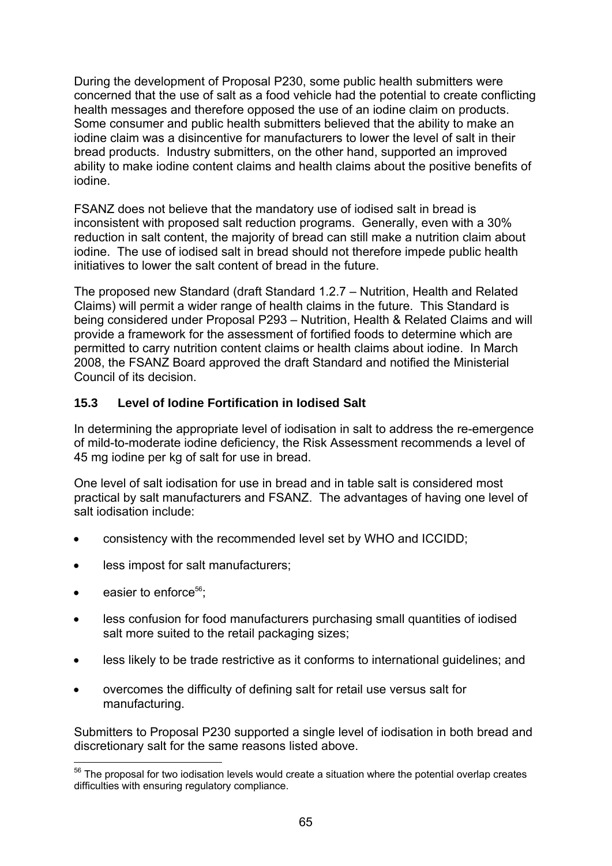During the development of Proposal P230, some public health submitters were concerned that the use of salt as a food vehicle had the potential to create conflicting health messages and therefore opposed the use of an iodine claim on products. Some consumer and public health submitters believed that the ability to make an iodine claim was a disincentive for manufacturers to lower the level of salt in their bread products. Industry submitters, on the other hand, supported an improved ability to make iodine content claims and health claims about the positive benefits of iodine.

FSANZ does not believe that the mandatory use of iodised salt in bread is inconsistent with proposed salt reduction programs. Generally, even with a 30% reduction in salt content, the majority of bread can still make a nutrition claim about iodine. The use of iodised salt in bread should not therefore impede public health initiatives to lower the salt content of bread in the future.

The proposed new Standard (draft Standard 1.2.7 – Nutrition, Health and Related Claims) will permit a wider range of health claims in the future. This Standard is being considered under Proposal P293 – Nutrition, Health & Related Claims and will provide a framework for the assessment of fortified foods to determine which are permitted to carry nutrition content claims or health claims about iodine. In March 2008, the FSANZ Board approved the draft Standard and notified the Ministerial Council of its decision.

## **15.3 Level of Iodine Fortification in Iodised Salt**

In determining the appropriate level of iodisation in salt to address the re-emergence of mild-to-moderate iodine deficiency, the Risk Assessment recommends a level of 45 mg iodine per kg of salt for use in bread.

One level of salt iodisation for use in bread and in table salt is considered most practical by salt manufacturers and FSANZ. The advantages of having one level of salt iodisation include:

- consistency with the recommended level set by WHO and ICCIDD;
- less impost for salt manufacturers;
- easier to enforce $56$ :
- less confusion for food manufacturers purchasing small quantities of iodised salt more suited to the retail packaging sizes;
- less likely to be trade restrictive as it conforms to international guidelines; and
- overcomes the difficulty of defining salt for retail use versus salt for manufacturing.

Submitters to Proposal P230 supported a single level of iodisation in both bread and discretionary salt for the same reasons listed above.

<sup>1</sup>  $56$  The proposal for two iodisation levels would create a situation where the potential overlap creates difficulties with ensuring regulatory compliance.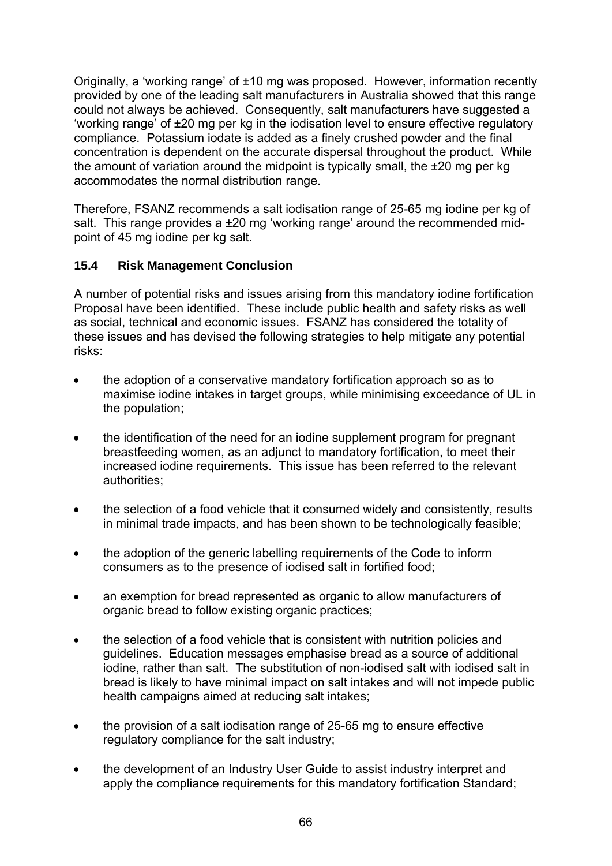Originally, a 'working range' of ±10 mg was proposed. However, information recently provided by one of the leading salt manufacturers in Australia showed that this range could not always be achieved. Consequently, salt manufacturers have suggested a 'working range' of ±20 mg per kg in the iodisation level to ensure effective regulatory compliance. Potassium iodate is added as a finely crushed powder and the final concentration is dependent on the accurate dispersal throughout the product. While the amount of variation around the midpoint is typically small, the ±20 mg per kg accommodates the normal distribution range.

Therefore, FSANZ recommends a salt iodisation range of 25-65 mg iodine per kg of salt. This range provides a ±20 mg 'working range' around the recommended midpoint of 45 mg iodine per kg salt.

# **15.4 Risk Management Conclusion**

A number of potential risks and issues arising from this mandatory iodine fortification Proposal have been identified. These include public health and safety risks as well as social, technical and economic issues. FSANZ has considered the totality of these issues and has devised the following strategies to help mitigate any potential risks:

- the adoption of a conservative mandatory fortification approach so as to maximise iodine intakes in target groups, while minimising exceedance of UL in the population;
- the identification of the need for an iodine supplement program for pregnant breastfeeding women, as an adjunct to mandatory fortification, to meet their increased iodine requirements. This issue has been referred to the relevant authorities;
- the selection of a food vehicle that it consumed widely and consistently, results in minimal trade impacts, and has been shown to be technologically feasible;
- the adoption of the generic labelling requirements of the Code to inform consumers as to the presence of iodised salt in fortified food;
- an exemption for bread represented as organic to allow manufacturers of organic bread to follow existing organic practices;
- the selection of a food vehicle that is consistent with nutrition policies and guidelines. Education messages emphasise bread as a source of additional iodine, rather than salt. The substitution of non-iodised salt with iodised salt in bread is likely to have minimal impact on salt intakes and will not impede public health campaigns aimed at reducing salt intakes;
- the provision of a salt iodisation range of 25-65 mg to ensure effective regulatory compliance for the salt industry;
- the development of an Industry User Guide to assist industry interpret and apply the compliance requirements for this mandatory fortification Standard;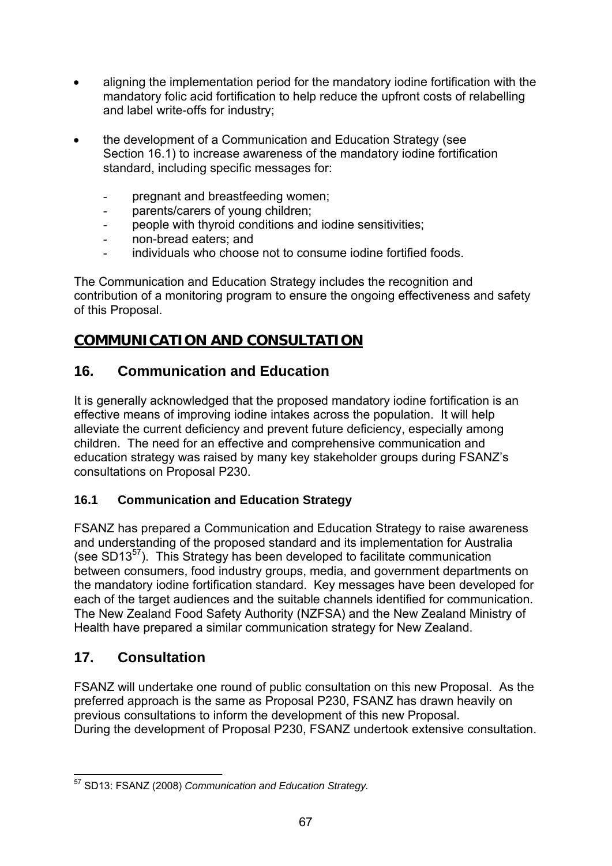- aligning the implementation period for the mandatory iodine fortification with the mandatory folic acid fortification to help reduce the upfront costs of relabelling and label write-offs for industry;
- the development of a Communication and Education Strategy (see Section 16.1) to increase awareness of the mandatory iodine fortification standard, including specific messages for:
	- pregnant and breastfeeding women;
	- parents/carers of young children;
	- people with thyroid conditions and iodine sensitivities;
	- non-bread eaters; and
	- individuals who choose not to consume iodine fortified foods.

The Communication and Education Strategy includes the recognition and contribution of a monitoring program to ensure the ongoing effectiveness and safety of this Proposal.

# **COMMUNICATION AND CONSULTATION**

# **16. Communication and Education**

It is generally acknowledged that the proposed mandatory iodine fortification is an effective means of improving iodine intakes across the population. It will help alleviate the current deficiency and prevent future deficiency, especially among children. The need for an effective and comprehensive communication and education strategy was raised by many key stakeholder groups during FSANZ's consultations on Proposal P230.

# **16.1 Communication and Education Strategy**

FSANZ has prepared a Communication and Education Strategy to raise awareness and understanding of the proposed standard and its implementation for Australia (see  $SD13^{57}$ ). This Strategy has been developed to facilitate communication between consumers, food industry groups, media, and government departments on the mandatory iodine fortification standard. Key messages have been developed for each of the target audiences and the suitable channels identified for communication. The New Zealand Food Safety Authority (NZFSA) and the New Zealand Ministry of Health have prepared a similar communication strategy for New Zealand.

# **17. Consultation**

FSANZ will undertake one round of public consultation on this new Proposal. As the preferred approach is the same as Proposal P230, FSANZ has drawn heavily on previous consultations to inform the development of this new Proposal. During the development of Proposal P230, FSANZ undertook extensive consultation.

<sup>1</sup> 57 SD13: FSANZ (2008) *Communication and Education Strategy.*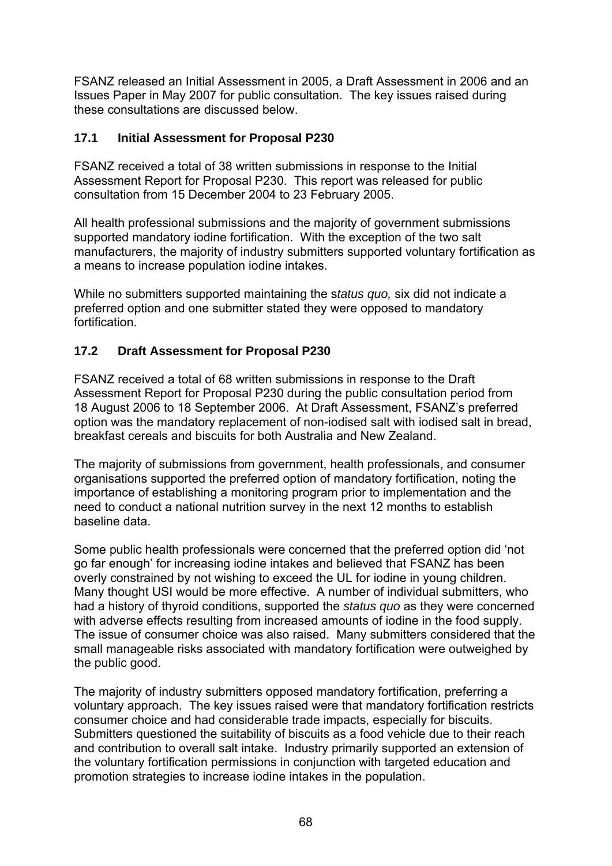FSANZ released an Initial Assessment in 2005, a Draft Assessment in 2006 and an Issues Paper in May 2007 for public consultation. The key issues raised during these consultations are discussed below.

## **17.1 Initial Assessment for Proposal P230**

FSANZ received a total of 38 written submissions in response to the Initial Assessment Report for Proposal P230. This report was released for public consultation from 15 December 2004 to 23 February 2005.

All health professional submissions and the majority of government submissions supported mandatory iodine fortification. With the exception of the two salt manufacturers, the majority of industry submitters supported voluntary fortification as a means to increase population iodine intakes.

While no submitters supported maintaining the s*tatus quo,* six did not indicate a preferred option and one submitter stated they were opposed to mandatory fortification.

## **17.2 Draft Assessment for Proposal P230**

FSANZ received a total of 68 written submissions in response to the Draft Assessment Report for Proposal P230 during the public consultation period from 18 August 2006 to 18 September 2006. At Draft Assessment, FSANZ's preferred option was the mandatory replacement of non-iodised salt with iodised salt in bread, breakfast cereals and biscuits for both Australia and New Zealand.

The majority of submissions from government, health professionals, and consumer organisations supported the preferred option of mandatory fortification, noting the importance of establishing a monitoring program prior to implementation and the need to conduct a national nutrition survey in the next 12 months to establish baseline data.

Some public health professionals were concerned that the preferred option did 'not go far enough' for increasing iodine intakes and believed that FSANZ has been overly constrained by not wishing to exceed the UL for iodine in young children. Many thought USI would be more effective. A number of individual submitters, who had a history of thyroid conditions, supported the *status quo* as they were concerned with adverse effects resulting from increased amounts of iodine in the food supply. The issue of consumer choice was also raised. Many submitters considered that the small manageable risks associated with mandatory fortification were outweighed by the public good.

The majority of industry submitters opposed mandatory fortification, preferring a voluntary approach. The key issues raised were that mandatory fortification restricts consumer choice and had considerable trade impacts, especially for biscuits. Submitters questioned the suitability of biscuits as a food vehicle due to their reach and contribution to overall salt intake. Industry primarily supported an extension of the voluntary fortification permissions in conjunction with targeted education and promotion strategies to increase iodine intakes in the population.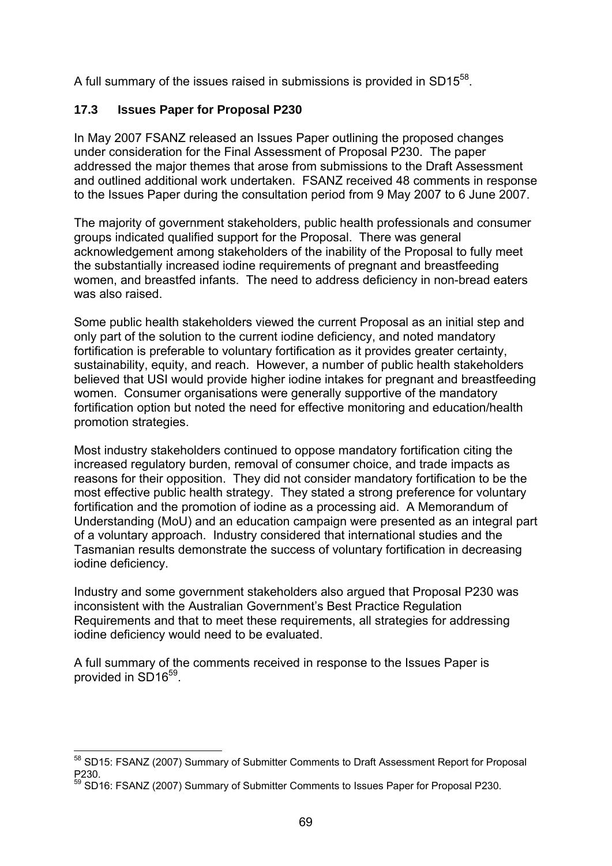A full summary of the issues raised in submissions is provided in SD15<sup>58</sup>.

## **17.3 Issues Paper for Proposal P230**

In May 2007 FSANZ released an Issues Paper outlining the proposed changes under consideration for the Final Assessment of Proposal P230. The paper addressed the major themes that arose from submissions to the Draft Assessment and outlined additional work undertaken. FSANZ received 48 comments in response to the Issues Paper during the consultation period from 9 May 2007 to 6 June 2007.

The majority of government stakeholders, public health professionals and consumer groups indicated qualified support for the Proposal. There was general acknowledgement among stakeholders of the inability of the Proposal to fully meet the substantially increased iodine requirements of pregnant and breastfeeding women, and breastfed infants. The need to address deficiency in non-bread eaters was also raised.

Some public health stakeholders viewed the current Proposal as an initial step and only part of the solution to the current iodine deficiency, and noted mandatory fortification is preferable to voluntary fortification as it provides greater certainty, sustainability, equity, and reach. However, a number of public health stakeholders believed that USI would provide higher iodine intakes for pregnant and breastfeeding women. Consumer organisations were generally supportive of the mandatory fortification option but noted the need for effective monitoring and education/health promotion strategies.

Most industry stakeholders continued to oppose mandatory fortification citing the increased regulatory burden, removal of consumer choice, and trade impacts as reasons for their opposition. They did not consider mandatory fortification to be the most effective public health strategy. They stated a strong preference for voluntary fortification and the promotion of iodine as a processing aid. A Memorandum of Understanding (MoU) and an education campaign were presented as an integral part of a voluntary approach. Industry considered that international studies and the Tasmanian results demonstrate the success of voluntary fortification in decreasing iodine deficiency.

Industry and some government stakeholders also argued that Proposal P230 was inconsistent with the Australian Government's Best Practice Regulation Requirements and that to meet these requirements, all strategies for addressing iodine deficiency would need to be evaluated.

A full summary of the comments received in response to the Issues Paper is provided in SD16<sup>59</sup>.

<sup>1</sup> <sup>58</sup> SD15: FSANZ (2007) Summary of Submitter Comments to Draft Assessment Report for Proposal P230.

<sup>&</sup>lt;sup>59</sup> SD16: FSANZ (2007) Summary of Submitter Comments to Issues Paper for Proposal P230.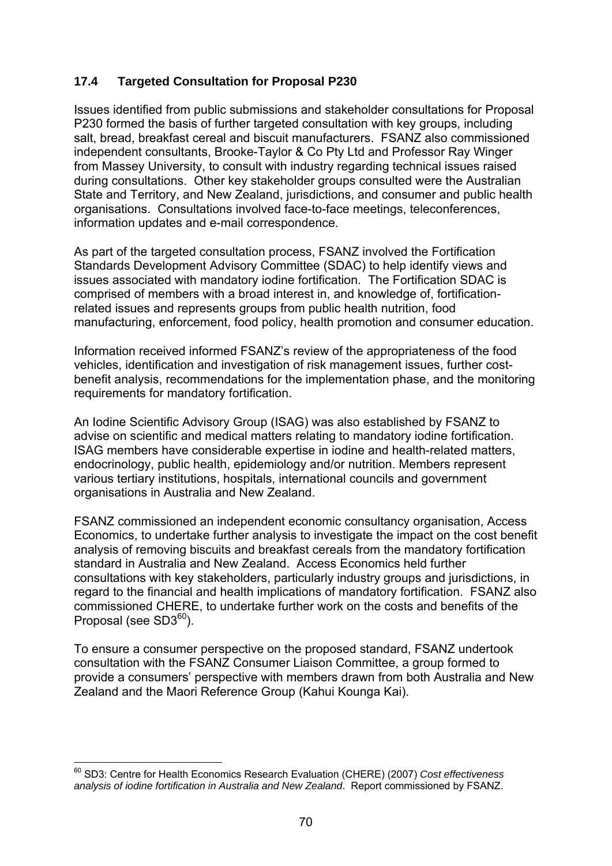## **17.4 Targeted Consultation for Proposal P230**

Issues identified from public submissions and stakeholder consultations for Proposal P230 formed the basis of further targeted consultation with key groups, including salt, bread, breakfast cereal and biscuit manufacturers. FSANZ also commissioned independent consultants, Brooke-Taylor & Co Pty Ltd and Professor Ray Winger from Massey University, to consult with industry regarding technical issues raised during consultations. Other key stakeholder groups consulted were the Australian State and Territory, and New Zealand, jurisdictions, and consumer and public health organisations. Consultations involved face-to-face meetings, teleconferences, information updates and e-mail correspondence.

As part of the targeted consultation process, FSANZ involved the Fortification Standards Development Advisory Committee (SDAC) to help identify views and issues associated with mandatory iodine fortification. The Fortification SDAC is comprised of members with a broad interest in, and knowledge of, fortificationrelated issues and represents groups from public health nutrition, food manufacturing, enforcement, food policy, health promotion and consumer education.

Information received informed FSANZ's review of the appropriateness of the food vehicles, identification and investigation of risk management issues, further costbenefit analysis, recommendations for the implementation phase, and the monitoring requirements for mandatory fortification.

An Iodine Scientific Advisory Group (ISAG) was also established by FSANZ to advise on scientific and medical matters relating to mandatory iodine fortification. ISAG members have considerable expertise in iodine and health-related matters, endocrinology, public health, epidemiology and/or nutrition. Members represent various tertiary institutions, hospitals, international councils and government organisations in Australia and New Zealand.

FSANZ commissioned an independent economic consultancy organisation, Access Economics, to undertake further analysis to investigate the impact on the cost benefit analysis of removing biscuits and breakfast cereals from the mandatory fortification standard in Australia and New Zealand. Access Economics held further consultations with key stakeholders, particularly industry groups and jurisdictions, in regard to the financial and health implications of mandatory fortification. FSANZ also commissioned CHERE, to undertake further work on the costs and benefits of the Proposal (see SD3<sup>60</sup>).

To ensure a consumer perspective on the proposed standard, FSANZ undertook consultation with the FSANZ Consumer Liaison Committee, a group formed to provide a consumers' perspective with members drawn from both Australia and New Zealand and the Maori Reference Group (Kahui Kounga Kai).

<sup>1</sup> 60 SD3: Centre for Health Economics Research Evaluation (CHERE) (2007) *Cost effectiveness analysis of iodine fortification in Australia and New Zealand*. Report commissioned by FSANZ.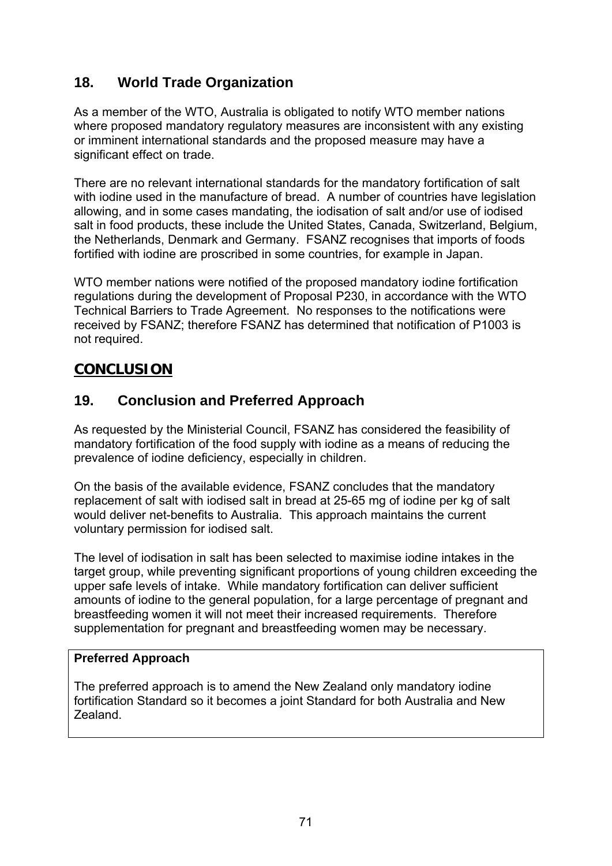# **18. World Trade Organization**

As a member of the WTO, Australia is obligated to notify WTO member nations where proposed mandatory regulatory measures are inconsistent with any existing or imminent international standards and the proposed measure may have a significant effect on trade.

There are no relevant international standards for the mandatory fortification of salt with iodine used in the manufacture of bread. A number of countries have legislation allowing, and in some cases mandating, the iodisation of salt and/or use of iodised salt in food products, these include the United States, Canada, Switzerland, Belgium, the Netherlands, Denmark and Germany. FSANZ recognises that imports of foods fortified with iodine are proscribed in some countries, for example in Japan.

WTO member nations were notified of the proposed mandatory iodine fortification regulations during the development of Proposal P230, in accordance with the WTO Technical Barriers to Trade Agreement. No responses to the notifications were received by FSANZ; therefore FSANZ has determined that notification of P1003 is not required.

# **CONCLUSION**

# **19. Conclusion and Preferred Approach**

As requested by the Ministerial Council, FSANZ has considered the feasibility of mandatory fortification of the food supply with iodine as a means of reducing the prevalence of iodine deficiency, especially in children.

On the basis of the available evidence, FSANZ concludes that the mandatory replacement of salt with iodised salt in bread at 25-65 mg of iodine per kg of salt would deliver net-benefits to Australia. This approach maintains the current voluntary permission for iodised salt.

The level of iodisation in salt has been selected to maximise iodine intakes in the target group, while preventing significant proportions of young children exceeding the upper safe levels of intake. While mandatory fortification can deliver sufficient amounts of iodine to the general population, for a large percentage of pregnant and breastfeeding women it will not meet their increased requirements. Therefore supplementation for pregnant and breastfeeding women may be necessary.

#### **Preferred Approach**

The preferred approach is to amend the New Zealand only mandatory iodine fortification Standard so it becomes a joint Standard for both Australia and New Zealand.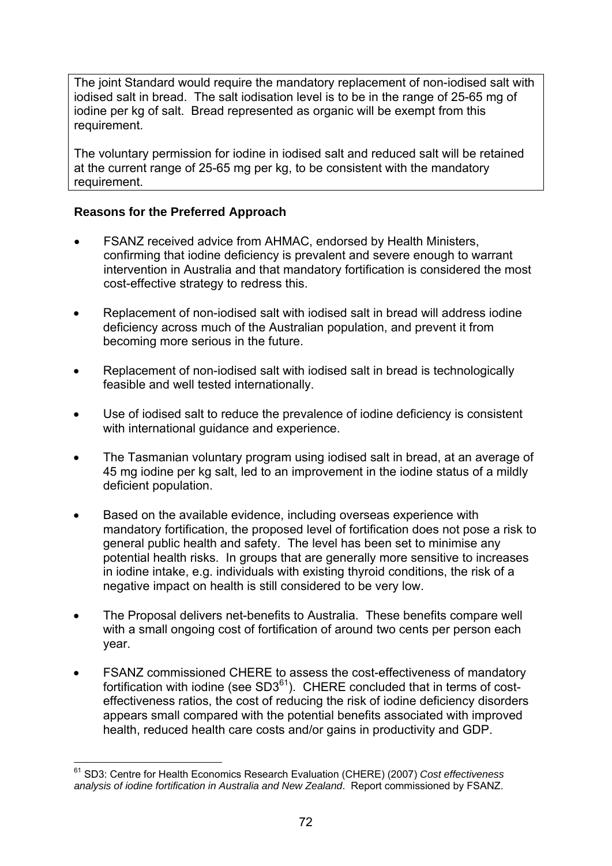The joint Standard would require the mandatory replacement of non-iodised salt with iodised salt in bread. The salt iodisation level is to be in the range of 25-65 mg of iodine per kg of salt. Bread represented as organic will be exempt from this requirement.

The voluntary permission for iodine in iodised salt and reduced salt will be retained at the current range of 25-65 mg per kg, to be consistent with the mandatory requirement.

#### **Reasons for the Preferred Approach**

- FSANZ received advice from AHMAC, endorsed by Health Ministers, confirming that iodine deficiency is prevalent and severe enough to warrant intervention in Australia and that mandatory fortification is considered the most cost-effective strategy to redress this.
- Replacement of non-iodised salt with iodised salt in bread will address iodine deficiency across much of the Australian population, and prevent it from becoming more serious in the future.
- Replacement of non-iodised salt with iodised salt in bread is technologically feasible and well tested internationally.
- Use of iodised salt to reduce the prevalence of iodine deficiency is consistent with international guidance and experience.
- The Tasmanian voluntary program using iodised salt in bread, at an average of 45 mg iodine per kg salt, led to an improvement in the iodine status of a mildly deficient population.
- Based on the available evidence, including overseas experience with mandatory fortification, the proposed level of fortification does not pose a risk to general public health and safety. The level has been set to minimise any potential health risks. In groups that are generally more sensitive to increases in iodine intake, e.g. individuals with existing thyroid conditions, the risk of a negative impact on health is still considered to be very low.
- The Proposal delivers net-benefits to Australia. These benefits compare well with a small ongoing cost of fortification of around two cents per person each year.
- FSANZ commissioned CHERE to assess the cost-effectiveness of mandatory fortification with iodine (see  $SD3<sup>61</sup>$ ). CHERE concluded that in terms of costeffectiveness ratios, the cost of reducing the risk of iodine deficiency disorders appears small compared with the potential benefits associated with improved health, reduced health care costs and/or gains in productivity and GDP.

<sup>1</sup> 61 SD3: Centre for Health Economics Research Evaluation (CHERE) (2007) *Cost effectiveness analysis of iodine fortification in Australia and New Zealand*. Report commissioned by FSANZ.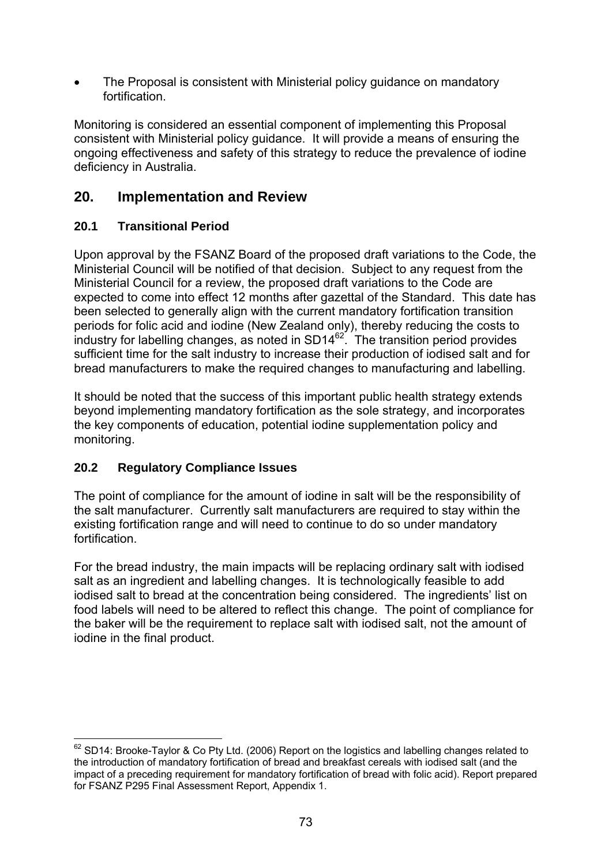The Proposal is consistent with Ministerial policy guidance on mandatory fortification.

Monitoring is considered an essential component of implementing this Proposal consistent with Ministerial policy guidance. It will provide a means of ensuring the ongoing effectiveness and safety of this strategy to reduce the prevalence of iodine deficiency in Australia.

# **20. Implementation and Review**

## **20.1 Transitional Period**

Upon approval by the FSANZ Board of the proposed draft variations to the Code, the Ministerial Council will be notified of that decision. Subject to any request from the Ministerial Council for a review, the proposed draft variations to the Code are expected to come into effect 12 months after gazettal of the Standard. This date has been selected to generally align with the current mandatory fortification transition periods for folic acid and iodine (New Zealand only), thereby reducing the costs to industry for labelling changes, as noted in  $SD14^{62}$ . The transition period provides sufficient time for the salt industry to increase their production of iodised salt and for bread manufacturers to make the required changes to manufacturing and labelling.

It should be noted that the success of this important public health strategy extends beyond implementing mandatory fortification as the sole strategy, and incorporates the key components of education, potential iodine supplementation policy and monitoring.

## **20.2 Regulatory Compliance Issues**

1

The point of compliance for the amount of iodine in salt will be the responsibility of the salt manufacturer. Currently salt manufacturers are required to stay within the existing fortification range and will need to continue to do so under mandatory fortification.

For the bread industry, the main impacts will be replacing ordinary salt with iodised salt as an ingredient and labelling changes. It is technologically feasible to add iodised salt to bread at the concentration being considered. The ingredients' list on food labels will need to be altered to reflect this change. The point of compliance for the baker will be the requirement to replace salt with iodised salt, not the amount of iodine in the final product.

 $62$  SD14: Brooke-Taylor & Co Pty Ltd. (2006) Report on the logistics and labelling changes related to the introduction of mandatory fortification of bread and breakfast cereals with iodised salt (and the impact of a preceding requirement for mandatory fortification of bread with folic acid). Report prepared for FSANZ P295 Final Assessment Report, Appendix 1.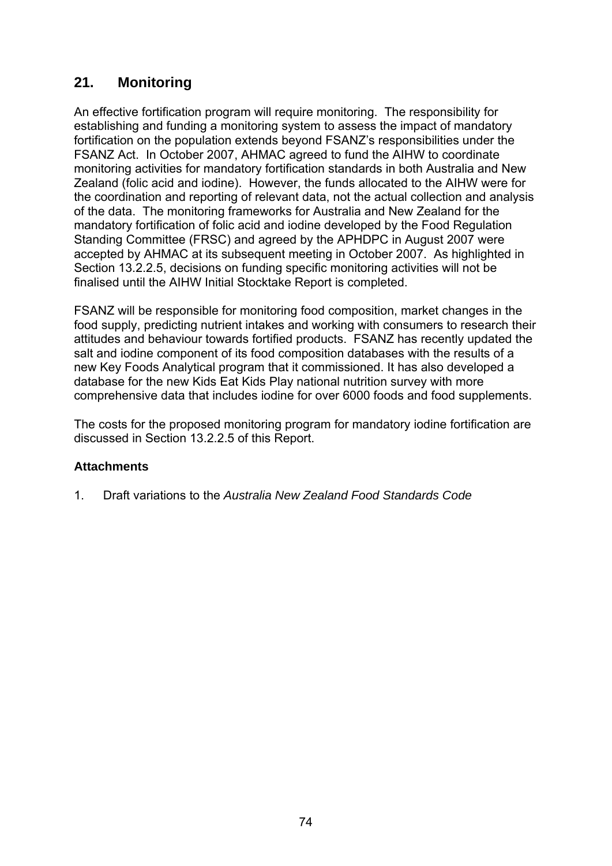# **21. Monitoring**

An effective fortification program will require monitoring. The responsibility for establishing and funding a monitoring system to assess the impact of mandatory fortification on the population extends beyond FSANZ's responsibilities under the FSANZ Act. In October 2007, AHMAC agreed to fund the AIHW to coordinate monitoring activities for mandatory fortification standards in both Australia and New Zealand (folic acid and iodine). However, the funds allocated to the AIHW were for the coordination and reporting of relevant data, not the actual collection and analysis of the data. The monitoring frameworks for Australia and New Zealand for the mandatory fortification of folic acid and iodine developed by the Food Regulation Standing Committee (FRSC) and agreed by the APHDPC in August 2007 were accepted by AHMAC at its subsequent meeting in October 2007. As highlighted in Section 13.2.2.5, decisions on funding specific monitoring activities will not be finalised until the AIHW Initial Stocktake Report is completed.

FSANZ will be responsible for monitoring food composition, market changes in the food supply, predicting nutrient intakes and working with consumers to research their attitudes and behaviour towards fortified products. FSANZ has recently updated the salt and iodine component of its food composition databases with the results of a new Key Foods Analytical program that it commissioned. It has also developed a database for the new Kids Eat Kids Play national nutrition survey with more comprehensive data that includes iodine for over 6000 foods and food supplements.

The costs for the proposed monitoring program for mandatory iodine fortification are discussed in Section 13.2.2.5 of this Report.

#### **Attachments**

1. Draft variations to the *Australia New Zealand Food Standards Code*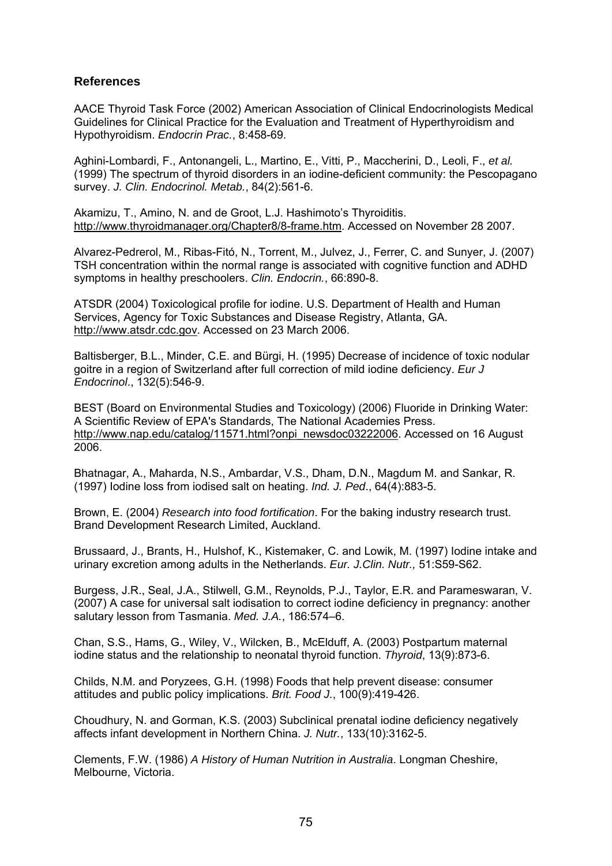#### **References**

AACE Thyroid Task Force (2002) American Association of Clinical Endocrinologists Medical Guidelines for Clinical Practice for the Evaluation and Treatment of Hyperthyroidism and Hypothyroidism. *Endocrin Prac.*, 8:458-69.

Aghini-Lombardi, F., Antonangeli, L., Martino, E., Vitti, P., Maccherini, D., Leoli, F., *et al.* (1999) The spectrum of thyroid disorders in an iodine-deficient community: the Pescopagano survey. *J. Clin. Endocrinol. Metab.*, 84(2):561-6.

Akamizu, T., Amino, N. and de Groot, L.J. Hashimoto's Thyroiditis. http://www.thyroidmanager.org/Chapter8/8-frame.htm. Accessed on November 28 2007.

Alvarez-Pedrerol, M., Ribas-Fitó, N., Torrent, M., Julvez, J., Ferrer, C. and Sunyer, J. (2007) TSH concentration within the normal range is associated with cognitive function and ADHD symptoms in healthy preschoolers. *Clin. Endocrin.*, 66:890-8.

ATSDR (2004) Toxicological profile for iodine. U.S. Department of Health and Human Services, Agency for Toxic Substances and Disease Registry, Atlanta, GA. http://www.atsdr.cdc.gov. Accessed on 23 March 2006.

Baltisberger, B.L., Minder, C.E. and Bürgi, H. (1995) Decrease of incidence of toxic nodular goitre in a region of Switzerland after full correction of mild iodine deficiency. *Eur J Endocrinol*., 132(5):546-9.

BEST (Board on Environmental Studies and Toxicology) (2006) Fluoride in Drinking Water: A Scientific Review of EPA's Standards, The National Academies Press. http://www.nap.edu/catalog/11571.html?onpi\_newsdoc03222006. Accessed on 16 August 2006.

Bhatnagar, A., Maharda, N.S., Ambardar, V.S., Dham, D.N., Magdum M. and Sankar, R. (1997) Iodine loss from iodised salt on heating. *Ind. J. Ped*., 64(4):883-5.

Brown, E. (2004) *Research into food fortification*. For the baking industry research trust. Brand Development Research Limited, Auckland.

Brussaard, J., Brants, H., Hulshof, K., Kistemaker, C. and Lowik, M. (1997) Iodine intake and urinary excretion among adults in the Netherlands. *Eur. J.Clin. Nutr.,* 51:S59-S62.

Burgess, J.R., Seal, J.A., Stilwell, G.M., Reynolds, P.J., Taylor, E.R. and Parameswaran, V. (2007) A case for universal salt iodisation to correct iodine deficiency in pregnancy: another salutary lesson from Tasmania. *Med. J.A.*, 186:574–6.

Chan, S.S., Hams, G., Wiley, V., Wilcken, B., McElduff, A. (2003) Postpartum maternal iodine status and the relationship to neonatal thyroid function. *Thyroid*, 13(9):873-6.

Childs, N.M. and Poryzees, G.H. (1998) Foods that help prevent disease: consumer attitudes and public policy implications. *Brit. Food J.*, 100(9):419-426.

Choudhury, N. and Gorman, K.S. (2003) Subclinical prenatal iodine deficiency negatively affects infant development in Northern China. *J. Nutr.*, 133(10):3162-5.

Clements, F.W. (1986) *A History of Human Nutrition in Australia*. Longman Cheshire, Melbourne, Victoria.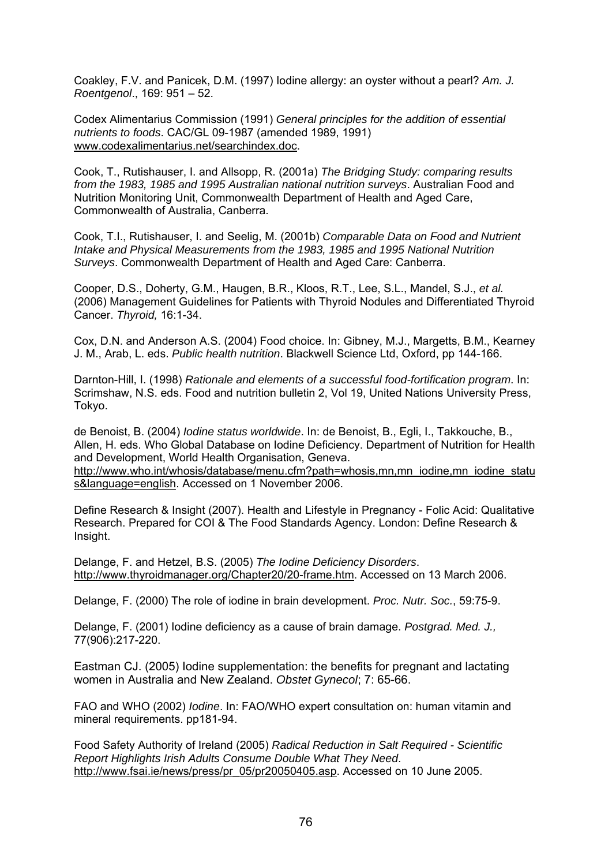Coakley, F.V. and Panicek, D.M. (1997) Iodine allergy: an oyster without a pearl? *Am. J. Roentgenol*., 169: 951 – 52.

Codex Alimentarius Commission (1991) *General principles for the addition of essential nutrients to foods*. CAC/GL 09-1987 (amended 1989, 1991) www.codexalimentarius.net/searchindex.doc.

Cook, T., Rutishauser, I. and Allsopp, R. (2001a) *The Bridging Study: comparing results from the 1983, 1985 and 1995 Australian national nutrition surveys*. Australian Food and Nutrition Monitoring Unit, Commonwealth Department of Health and Aged Care, Commonwealth of Australia, Canberra.

Cook, T.I., Rutishauser, I. and Seelig, M. (2001b) *Comparable Data on Food and Nutrient Intake and Physical Measurements from the 1983, 1985 and 1995 National Nutrition Surveys*. Commonwealth Department of Health and Aged Care: Canberra.

Cooper, D.S., Doherty, G.M., Haugen, B.R., Kloos, R.T., Lee, S.L., Mandel, S.J., *et al.* (2006) Management Guidelines for Patients with Thyroid Nodules and Differentiated Thyroid Cancer. *Thyroid,* 16:1-34.

Cox, D.N. and Anderson A.S. (2004) Food choice. In: Gibney, M.J., Margetts, B.M., Kearney J. M., Arab, L. eds. *Public health nutrition*. Blackwell Science Ltd, Oxford, pp 144-166.

Darnton-Hill, I. (1998) *Rationale and elements of a successful food-fortification program*. In: Scrimshaw, N.S. eds. Food and nutrition bulletin 2, Vol 19, United Nations University Press, Tokyo.

de Benoist, B. (2004) *Iodine status worldwide*. In: de Benoist, B., Egli, I., Takkouche, B., Allen, H. eds. Who Global Database on Iodine Deficiency. Department of Nutrition for Health and Development, World Health Organisation, Geneva.

http://www.who.int/whosis/database/menu.cfm?path=whosis,mn,mn\_iodine,mn\_iodine\_statu s&language=english. Accessed on 1 November 2006.

Define Research & Insight (2007). Health and Lifestyle in Pregnancy - Folic Acid: Qualitative Research. Prepared for COI & The Food Standards Agency. London: Define Research & Insight.

Delange, F. and Hetzel, B.S. (2005) *The Iodine Deficiency Disorders*. http://www.thyroidmanager.org/Chapter20/20-frame.htm. Accessed on 13 March 2006.

Delange, F. (2000) The role of iodine in brain development. *Proc. Nutr. Soc.*, 59:75-9.

Delange, F. (2001) Iodine deficiency as a cause of brain damage. *Postgrad. Med. J.,*  77(906):217-220.

Eastman CJ. (2005) Iodine supplementation: the benefits for pregnant and lactating women in Australia and New Zealand. *Obstet Gynecol*; 7: 65-66.

FAO and WHO (2002) *Iodine*. In: FAO/WHO expert consultation on: human vitamin and mineral requirements. pp181-94.

Food Safety Authority of Ireland (2005) *Radical Reduction in Salt Required - Scientific Report Highlights Irish Adults Consume Double What They Need*. http://www.fsai.ie/news/press/pr\_05/pr20050405.asp. Accessed on 10 June 2005.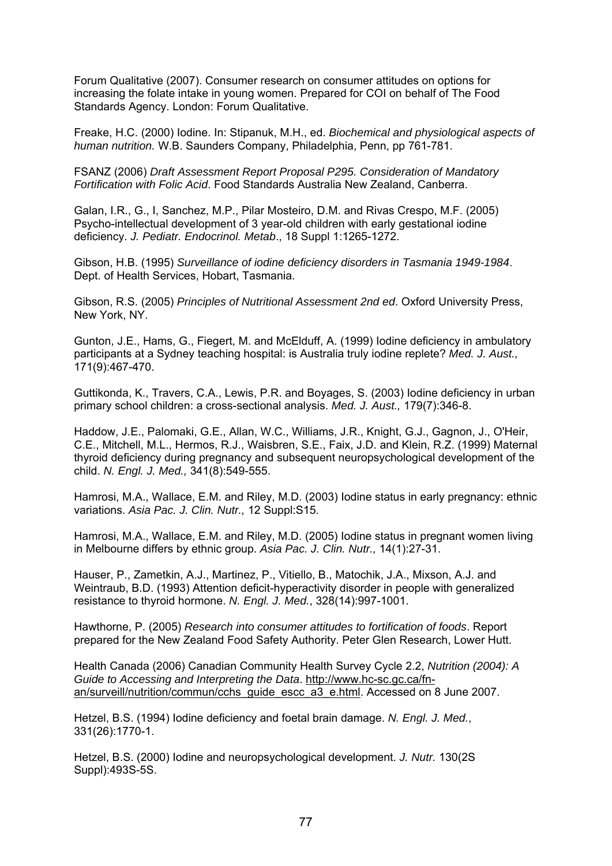Forum Qualitative (2007). Consumer research on consumer attitudes on options for increasing the folate intake in young women. Prepared for COI on behalf of The Food Standards Agency. London: Forum Qualitative.

Freake, H.C. (2000) Iodine. In: Stipanuk, M.H., ed. *Biochemical and physiological aspects of human nutrition.* W.B. Saunders Company, Philadelphia, Penn, pp 761-781.

FSANZ (2006) *Draft Assessment Report Proposal P295. Consideration of Mandatory Fortification with Folic Acid*. Food Standards Australia New Zealand, Canberra.

Galan, I.R., G., I, Sanchez, M.P., Pilar Mosteiro, D.M. and Rivas Crespo, M.F. (2005) Psycho-intellectual development of 3 year-old children with early gestational iodine deficiency. *J. Pediatr. Endocrinol. Metab*., 18 Suppl 1:1265-1272.

Gibson, H.B. (1995) *Surveillance of iodine deficiency disorders in Tasmania 1949-1984*. Dept. of Health Services, Hobart, Tasmania.

Gibson, R.S. (2005) *Principles of Nutritional Assessment 2nd ed*. Oxford University Press, New York, NY.

Gunton, J.E., Hams, G., Fiegert, M. and McElduff, A. (1999) Iodine deficiency in ambulatory participants at a Sydney teaching hospital: is Australia truly iodine replete? *Med. J. Aust.,*  171(9):467-470.

Guttikonda, K., Travers, C.A., Lewis, P.R. and Boyages, S. (2003) Iodine deficiency in urban primary school children: a cross-sectional analysis. *Med. J. Aust.,* 179(7):346-8.

Haddow, J.E., Palomaki, G.E., Allan, W.C., Williams, J.R., Knight, G.J., Gagnon, J., O'Heir, C.E., Mitchell, M.L., Hermos, R.J., Waisbren, S.E., Faix, J.D. and Klein, R.Z. (1999) Maternal thyroid deficiency during pregnancy and subsequent neuropsychological development of the child. *N. Engl. J. Med.,* 341(8):549-555.

Hamrosi, M.A., Wallace, E.M. and Riley, M.D. (2003) Iodine status in early pregnancy: ethnic variations. *Asia Pac. J. Clin. Nutr.,* 12 Suppl:S15.

Hamrosi, M.A., Wallace, E.M. and Riley, M.D. (2005) Iodine status in pregnant women living in Melbourne differs by ethnic group. *Asia Pac. J. Clin. Nutr.,* 14(1):27-31.

Hauser, P., Zametkin, A.J., Martinez, P., Vitiello, B., Matochik, J.A., Mixson, A.J. and Weintraub, B.D. (1993) Attention deficit-hyperactivity disorder in people with generalized resistance to thyroid hormone. *N. Engl. J. Med.*, 328(14):997-1001.

Hawthorne, P. (2005) *Research into consumer attitudes to fortification of foods*. Report prepared for the New Zealand Food Safety Authority. Peter Glen Research, Lower Hutt.

Health Canada (2006) Canadian Community Health Survey Cycle 2.2, *Nutrition (2004): A Guide to Accessing and Interpreting the Data*. http://www.hc-sc.gc.ca/fnan/surveill/nutrition/commun/cchs\_guide\_escc\_a3\_e.html. Accessed on 8 June 2007.

Hetzel, B.S. (1994) Iodine deficiency and foetal brain damage. *N. Engl. J. Med.*, 331(26):1770-1.

Hetzel, B.S. (2000) Iodine and neuropsychological development. *J. Nutr.* 130(2S Suppl):493S-5S.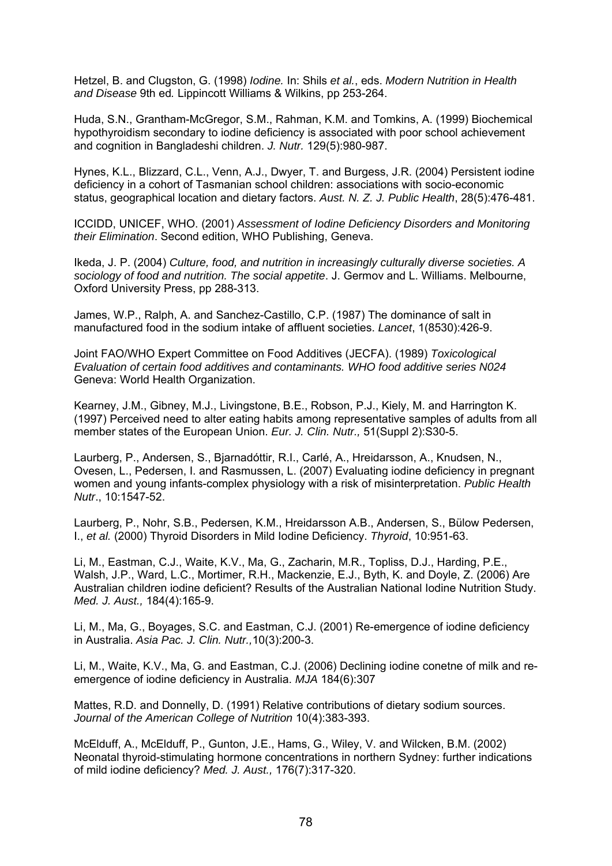Hetzel, B. and Clugston, G. (1998) *Iodine.* In: Shils *et al.*, eds. *Modern Nutrition in Health and Disease* 9th ed*.* Lippincott Williams & Wilkins, pp 253-264.

Huda, S.N., Grantham-McGregor, S.M., Rahman, K.M. and Tomkins, A. (1999) Biochemical hypothyroidism secondary to iodine deficiency is associated with poor school achievement and cognition in Bangladeshi children. *J. Nutr.* 129(5):980-987.

Hynes, K.L., Blizzard, C.L., Venn, A.J., Dwyer, T. and Burgess, J.R. (2004) Persistent iodine deficiency in a cohort of Tasmanian school children: associations with socio-economic status, geographical location and dietary factors. *Aust. N. Z. J. Public Health*, 28(5):476-481.

ICCIDD, UNICEF, WHO. (2001) *Assessment of Iodine Deficiency Disorders and Monitoring their Elimination*. Second edition, WHO Publishing, Geneva.

Ikeda, J. P. (2004) *Culture, food, and nutrition in increasingly culturally diverse societies. A sociology of food and nutrition. The social appetite*. J. Germov and L. Williams. Melbourne, Oxford University Press, pp 288-313.

James, W.P., Ralph, A. and Sanchez-Castillo, C.P. (1987) The dominance of salt in manufactured food in the sodium intake of affluent societies. *Lancet*, 1(8530):426-9.

Joint FAO/WHO Expert Committee on Food Additives (JECFA). (1989) *Toxicological Evaluation of certain food additives and contaminants. WHO food additive series N024* Geneva: World Health Organization.

Kearney, J.M., Gibney, M.J., Livingstone, B.E., Robson, P.J., Kiely, M. and Harrington K. (1997) Perceived need to alter eating habits among representative samples of adults from all member states of the European Union. *Eur. J. Clin. Nutr.,* 51(Suppl 2):S30-5.

Laurberg, P., Andersen, S., Bjarnadóttir, R.I., Carlé, A., Hreidarsson, A., Knudsen, N., Ovesen, L., Pedersen, I. and Rasmussen, L. (2007) Evaluating iodine deficiency in pregnant women and young infants-complex physiology with a risk of misinterpretation. *Public Health Nutr*., 10:1547-52.

Laurberg, P., Nohr, S.B., Pedersen, K.M., Hreidarsson A.B., Andersen, S., Bülow Pedersen, I., *et al.* (2000) Thyroid Disorders in Mild Iodine Deficiency. *Thyroid*, 10:951-63.

Li, M., Eastman, C.J., Waite, K.V., Ma, G., Zacharin, M.R., Topliss, D.J., Harding, P.E., Walsh, J.P., Ward, L.C., Mortimer, R.H., Mackenzie, E.J., Byth, K. and Doyle, Z. (2006) Are Australian children iodine deficient? Results of the Australian National Iodine Nutrition Study. *Med. J. Aust.,* 184(4):165-9.

Li, M., Ma, G., Boyages, S.C. and Eastman, C.J. (2001) Re-emergence of iodine deficiency in Australia. *Asia Pac. J. Clin. Nutr.,*10(3):200-3.

Li, M., Waite, K.V., Ma, G. and Eastman, C.J. (2006) Declining iodine conetne of milk and reemergence of iodine deficiency in Australia. *MJA* 184(6):307

Mattes, R.D. and Donnelly, D. (1991) Relative contributions of dietary sodium sources. *Journal of the American College of Nutrition* 10(4):383-393.

McElduff, A., McElduff, P., Gunton, J.E., Hams, G., Wiley, V. and Wilcken, B.M. (2002) Neonatal thyroid-stimulating hormone concentrations in northern Sydney: further indications of mild iodine deficiency? *Med. J. Aust.,* 176(7):317-320.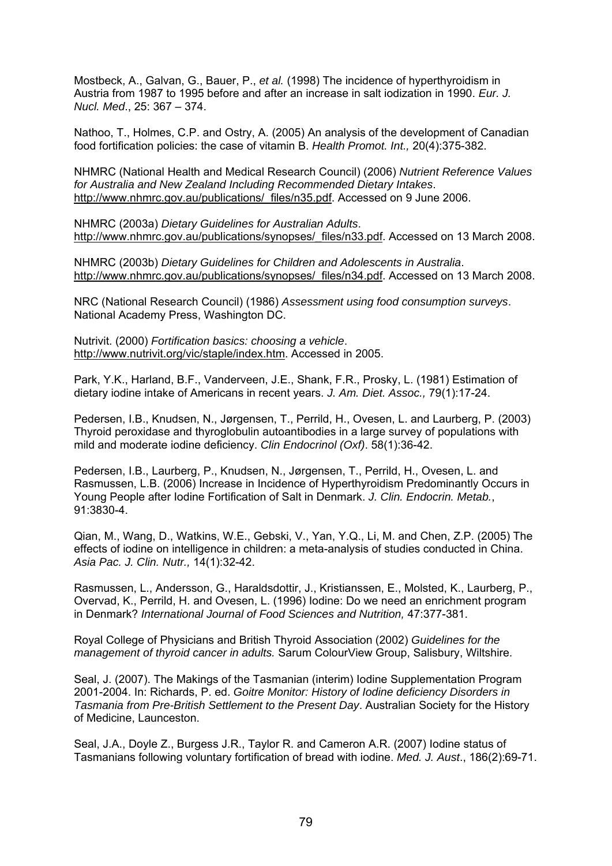Mostbeck, A., Galvan, G., Bauer, P., *et al.* (1998) The incidence of hyperthyroidism in Austria from 1987 to 1995 before and after an increase in salt iodization in 1990. *Eur. J. Nucl. Med*., 25: 367 – 374.

Nathoo, T., Holmes, C.P. and Ostry, A. (2005) An analysis of the development of Canadian food fortification policies: the case of vitamin B. *Health Promot. Int.,* 20(4):375-382.

NHMRC (National Health and Medical Research Council) (2006) *Nutrient Reference Values for Australia and New Zealand Including Recommended Dietary Intakes*. http://www.nhmrc.gov.au/publications/\_files/n35.pdf. Accessed on 9 June 2006.

NHMRC (2003a) *Dietary Guidelines for Australian Adults*. http://www.nhmrc.gov.au/publications/synopses/\_files/n33.pdf. Accessed on 13 March 2008.

NHMRC (2003b) *Dietary Guidelines for Children and Adolescents in Australia*. http://www.nhmrc.gov.au/publications/synopses/\_files/n34.pdf. Accessed on 13 March 2008.

NRC (National Research Council) (1986) *Assessment using food consumption surveys*. National Academy Press, Washington DC.

Nutrivit. (2000) *Fortification basics: choosing a vehicle*. http://www.nutrivit.org/vic/staple/index.htm. Accessed in 2005.

Park, Y.K., Harland, B.F., Vanderveen, J.E., Shank, F.R., Prosky, L. (1981) Estimation of dietary iodine intake of Americans in recent years. *J. Am. Diet. Assoc.,* 79(1):17-24.

Pedersen, I.B., Knudsen, N., Jørgensen, T., Perrild, H., Ovesen, L. and Laurberg, P. (2003) Thyroid peroxidase and thyroglobulin autoantibodies in a large survey of populations with mild and moderate iodine deficiency. *Clin Endocrinol (Oxf)*. 58(1):36-42.

Pedersen, I.B., Laurberg, P., Knudsen, N., Jørgensen, T., Perrild, H., Ovesen, L. and Rasmussen, L.B. (2006) Increase in Incidence of Hyperthyroidism Predominantly Occurs in Young People after Iodine Fortification of Salt in Denmark. *J. Clin. Endocrin. Metab.*, 91:3830-4.

Qian, M., Wang, D., Watkins, W.E., Gebski, V., Yan, Y.Q., Li, M. and Chen, Z.P. (2005) The effects of iodine on intelligence in children: a meta-analysis of studies conducted in China. *Asia Pac. J. Clin. Nutr.,* 14(1):32-42.

Rasmussen, L., Andersson, G., Haraldsdottir, J., Kristianssen, E., Molsted, K., Laurberg, P., Overvad, K., Perrild, H. and Ovesen, L. (1996) Iodine: Do we need an enrichment program in Denmark? *International Journal of Food Sciences and Nutrition,* 47:377-381.

Royal College of Physicians and British Thyroid Association (2002) *Guidelines for the management of thyroid cancer in adults.* Sarum ColourView Group, Salisbury, Wiltshire.

Seal, J. (2007). The Makings of the Tasmanian (interim) Iodine Supplementation Program 2001-2004. In: Richards, P. ed. *Goitre Monitor: History of Iodine deficiency Disorders in Tasmania from Pre-British Settlement to the Present Day*. Australian Society for the History of Medicine, Launceston.

Seal, J.A., Doyle Z., Burgess J.R., Taylor R. and Cameron A.R. (2007) Iodine status of Tasmanians following voluntary fortification of bread with iodine. *Med. J. Aust*., 186(2):69-71.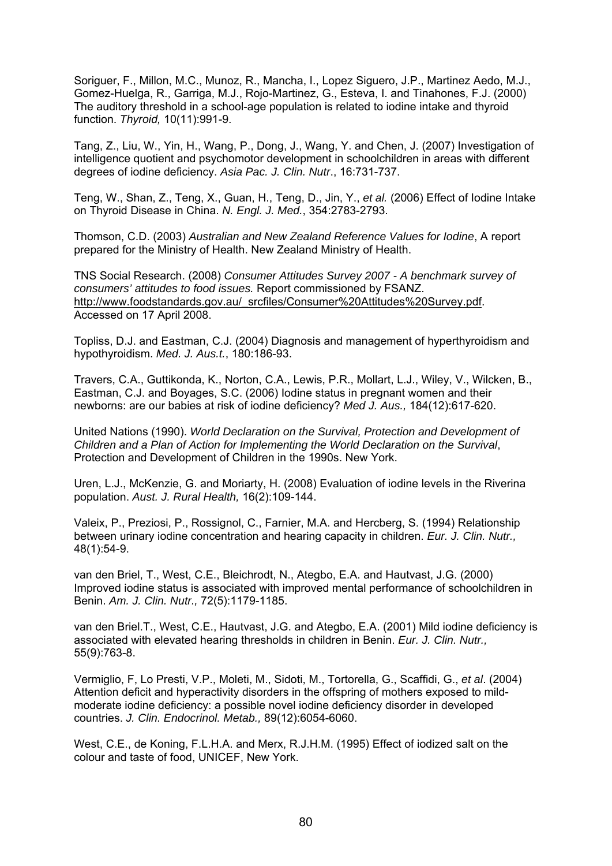Soriguer, F., Millon, M.C., Munoz, R., Mancha, I., Lopez Siguero, J.P., Martinez Aedo, M.J., Gomez-Huelga, R., Garriga, M.J., Rojo-Martinez, G., Esteva, I. and Tinahones, F.J. (2000) The auditory threshold in a school-age population is related to iodine intake and thyroid function. *Thyroid,* 10(11):991-9.

Tang, Z., Liu, W., Yin, H., Wang, P., Dong, J., Wang, Y. and Chen, J. (2007) Investigation of intelligence quotient and psychomotor development in schoolchildren in areas with different degrees of iodine deficiency. *Asia Pac. J. Clin. Nutr*., 16:731-737.

Teng, W., Shan, Z., Teng, X., Guan, H., Teng, D., Jin, Y., *et al.* (2006) Effect of Iodine Intake on Thyroid Disease in China. *N. Engl. J. Med.*, 354:2783-2793.

Thomson, C.D. (2003) *Australian and New Zealand Reference Values for Iodine*, A report prepared for the Ministry of Health. New Zealand Ministry of Health.

TNS Social Research. (2008) *Consumer Attitudes Survey 2007 - A benchmark survey of consumers' attitudes to food issues.* Report commissioned by FSANZ. http://www.foodstandards.gov.au/\_srcfiles/Consumer%20Attitudes%20Survey.pdf. Accessed on 17 April 2008.

Topliss, D.J. and Eastman, C.J. (2004) Diagnosis and management of hyperthyroidism and hypothyroidism. *Med. J. Aus.t.*, 180:186-93.

Travers, C.A., Guttikonda, K., Norton, C.A., Lewis, P.R., Mollart, L.J., Wiley, V., Wilcken, B., Eastman, C.J. and Boyages, S.C. (2006) Iodine status in pregnant women and their newborns: are our babies at risk of iodine deficiency? *Med J. Aus.,* 184(12):617-620.

United Nations (1990). *World Declaration on the Survival, Protection and Development of Children and a Plan of Action for Implementing the World Declaration on the Survival*, Protection and Development of Children in the 1990s. New York.

Uren, L.J., McKenzie, G. and Moriarty, H. (2008) Evaluation of iodine levels in the Riverina population. *Aust. J. Rural Health,* 16(2):109-144.

Valeix, P., Preziosi, P., Rossignol, C., Farnier, M.A. and Hercberg, S. (1994) Relationship between urinary iodine concentration and hearing capacity in children. *Eur. J. Clin. Nutr.,*  48(1):54-9.

van den Briel, T., West, C.E., Bleichrodt, N., Ategbo, E.A. and Hautvast, J.G. (2000) Improved iodine status is associated with improved mental performance of schoolchildren in Benin. *Am. J. Clin. Nutr.,* 72(5):1179-1185.

van den Briel.T., West, C.E., Hautvast, J.G. and Ategbo, E.A. (2001) Mild iodine deficiency is associated with elevated hearing thresholds in children in Benin. *Eur. J. Clin. Nutr.,*  55(9):763-8.

Vermiglio, F, Lo Presti, V.P., Moleti, M., Sidoti, M., Tortorella, G., Scaffidi, G., *et al*. (2004) Attention deficit and hyperactivity disorders in the offspring of mothers exposed to mildmoderate iodine deficiency: a possible novel iodine deficiency disorder in developed countries. *J. Clin. Endocrinol. Metab.,* 89(12):6054-6060.

West, C.E., de Koning, F.L.H.A. and Merx, R.J.H.M. (1995) Effect of iodized salt on the colour and taste of food, UNICEF, New York.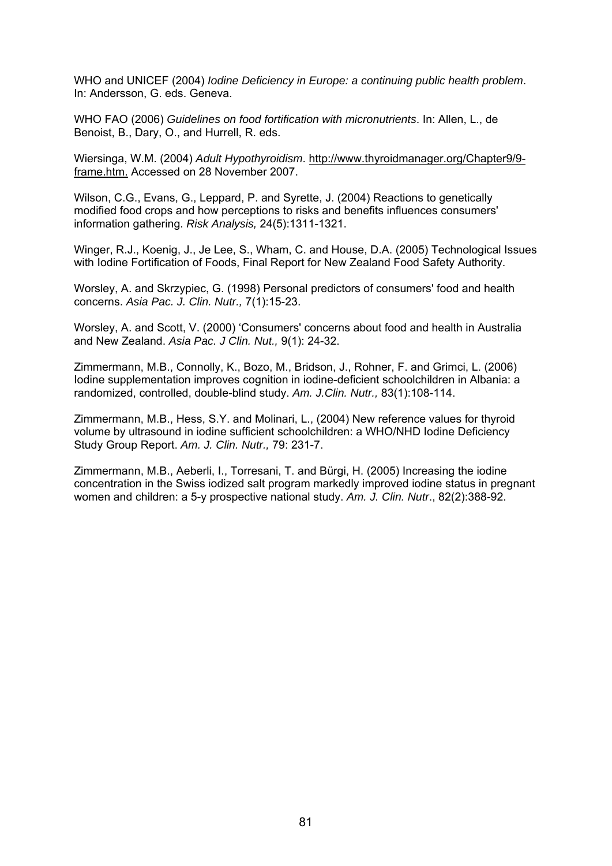WHO and UNICEF (2004) *Iodine Deficiency in Europe: a continuing public health problem*. In: Andersson, G. eds. Geneva.

WHO FAO (2006) *Guidelines on food fortification with micronutrients*. In: Allen, L., de Benoist, B., Dary, O., and Hurrell, R. eds.

Wiersinga, W.M. (2004) *Adult Hypothyroidism*. http://www.thyroidmanager.org/Chapter9/9 frame.htm. Accessed on 28 November 2007.

Wilson, C.G., Evans, G., Leppard, P. and Syrette, J. (2004) Reactions to genetically modified food crops and how perceptions to risks and benefits influences consumers' information gathering. *Risk Analysis,* 24(5):1311-1321.

Winger, R.J., Koenig, J., Je Lee, S., Wham, C. and House, D.A. (2005) Technological Issues with Iodine Fortification of Foods, Final Report for New Zealand Food Safety Authority.

Worsley, A. and Skrzypiec, G. (1998) Personal predictors of consumers' food and health concerns. *Asia Pac. J. Clin. Nutr.,* 7(1):15-23.

Worsley, A. and Scott, V. (2000) 'Consumers' concerns about food and health in Australia and New Zealand. *Asia Pac. J Clin. Nut.,* 9(1): 24-32.

Zimmermann, M.B., Connolly, K., Bozo, M., Bridson, J., Rohner, F. and Grimci, L. (2006) Iodine supplementation improves cognition in iodine-deficient schoolchildren in Albania: a randomized, controlled, double-blind study. *Am. J.Clin. Nutr.,* 83(1):108-114.

Zimmermann, M.B., Hess, S.Y. and Molinari, L., (2004) New reference values for thyroid volume by ultrasound in iodine sufficient schoolchildren: a WHO/NHD Iodine Deficiency Study Group Report. *Am. J. Clin. Nutr.,* 79: 231-7.

Zimmermann, M.B., Aeberli, I., Torresani, T. and Bürgi, H. (2005) Increasing the iodine concentration in the Swiss iodized salt program markedly improved iodine status in pregnant women and children: a 5-y prospective national study. *Am. J. Clin. Nutr*., 82(2):388-92.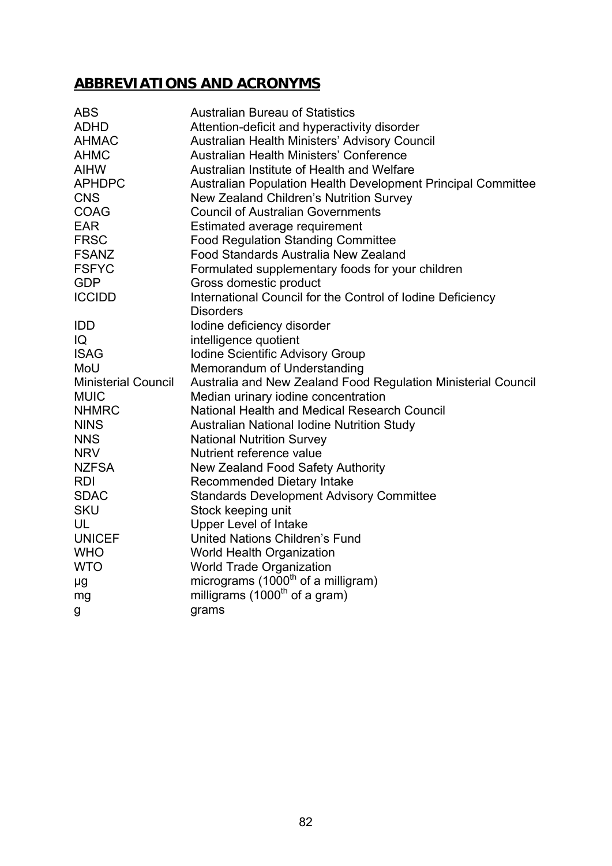# **ABBREVIATIONS AND ACRONYMS**

| <b>ABS</b>                 | <b>Australian Bureau of Statistics</b>                              |
|----------------------------|---------------------------------------------------------------------|
| <b>ADHD</b>                | Attention-deficit and hyperactivity disorder                        |
| <b>AHMAC</b>               | Australian Health Ministers' Advisory Council                       |
| <b>AHMC</b>                | Australian Health Ministers' Conference                             |
| <b>AIHW</b>                | Australian Institute of Health and Welfare                          |
| <b>APHDPC</b>              | <b>Australian Population Health Development Principal Committee</b> |
| <b>CNS</b>                 | New Zealand Children's Nutrition Survey                             |
| <b>COAG</b>                | <b>Council of Australian Governments</b>                            |
| <b>EAR</b>                 | Estimated average requirement                                       |
| <b>FRSC</b>                | <b>Food Regulation Standing Committee</b>                           |
| <b>FSANZ</b>               | Food Standards Australia New Zealand                                |
| <b>FSFYC</b>               | Formulated supplementary foods for your children                    |
| <b>GDP</b>                 | Gross domestic product                                              |
| <b>ICCIDD</b>              | International Council for the Control of Iodine Deficiency          |
|                            | <b>Disorders</b>                                                    |
| <b>IDD</b>                 | lodine deficiency disorder                                          |
| IQ                         | intelligence quotient                                               |
| <b>ISAG</b>                | <b>Iodine Scientific Advisory Group</b>                             |
| MoU                        | Memorandum of Understanding                                         |
| <b>Ministerial Council</b> | Australia and New Zealand Food Regulation Ministerial Council       |
| <b>MUIC</b>                | Median urinary iodine concentration                                 |
| <b>NHMRC</b>               | National Health and Medical Research Council                        |
| <b>NINS</b>                | Australian National Iodine Nutrition Study                          |
| <b>NNS</b>                 | <b>National Nutrition Survey</b>                                    |
| <b>NRV</b>                 | Nutrient reference value                                            |
| <b>NZFSA</b>               | New Zealand Food Safety Authority                                   |
| <b>RDI</b>                 | Recommended Dietary Intake                                          |
| <b>SDAC</b>                | <b>Standards Development Advisory Committee</b>                     |
| <b>SKU</b>                 | Stock keeping unit                                                  |
| UL                         | <b>Upper Level of Intake</b>                                        |
| <b>UNICEF</b>              | United Nations Children's Fund                                      |
| <b>WHO</b>                 | <b>World Health Organization</b>                                    |
| <b>WTO</b>                 | <b>World Trade Organization</b>                                     |
| μg                         | micrograms (1000 <sup>th</sup> of a milligram)                      |
| mg                         | milligrams (1000 <sup>th</sup> of a gram)                           |
| g                          | grams                                                               |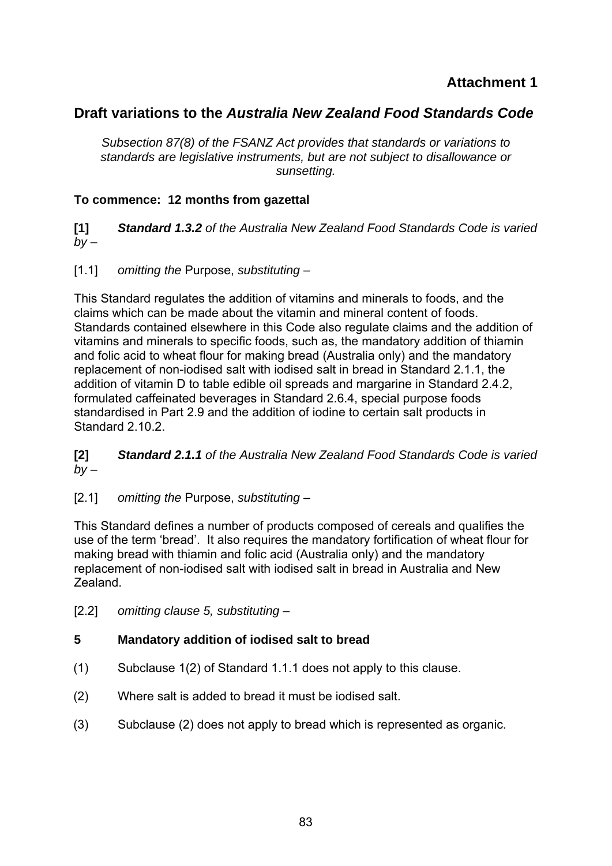# **Attachment 1**

# **Draft variations to the** *Australia New Zealand Food Standards Code*

*Subsection 87(8) of the FSANZ Act provides that standards or variations to standards are legislative instruments, but are not subject to disallowance or sunsetting.* 

## **To commence: 12 months from gazettal**

**[1]** *Standard 1.3.2 of the Australia New Zealand Food Standards Code is varied*   $by -$ 

[1.1] *omitting the* Purpose, *substituting* –

This Standard regulates the addition of vitamins and minerals to foods, and the claims which can be made about the vitamin and mineral content of foods. Standards contained elsewhere in this Code also regulate claims and the addition of vitamins and minerals to specific foods, such as, the mandatory addition of thiamin and folic acid to wheat flour for making bread (Australia only) and the mandatory replacement of non-iodised salt with iodised salt in bread in Standard 2.1.1, the addition of vitamin D to table edible oil spreads and margarine in Standard 2.4.2, formulated caffeinated beverages in Standard 2.6.4, special purpose foods standardised in Part 2.9 and the addition of iodine to certain salt products in Standard 2.10.2.

**[2]** *Standard 2.1.1 of the Australia New Zealand Food Standards Code is varied*   $bv -$ 

[2.1] *omitting the* Purpose, *substituting* –

This Standard defines a number of products composed of cereals and qualifies the use of the term 'bread'. It also requires the mandatory fortification of wheat flour for making bread with thiamin and folic acid (Australia only) and the mandatory replacement of non-iodised salt with iodised salt in bread in Australia and New Zealand.

[2.2] *omitting clause 5, substituting* –

#### **5 Mandatory addition of iodised salt to bread**

- (1) Subclause 1(2) of Standard 1.1.1 does not apply to this clause.
- (2) Where salt is added to bread it must be iodised salt.
- (3) Subclause (2) does not apply to bread which is represented as organic.